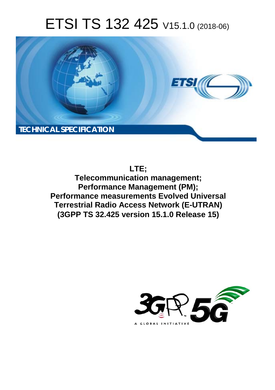# ETSI TS 132 425 V15.1.0 (2018-06)



# **LTE;**

**Telecommunication management; Performance Management (PM); Performance measurements Evolved Universal Terrestrial Radio Access Network (E-UTRAN) (3GPP TS 32.425 version 15.1.0 Release 15)** 

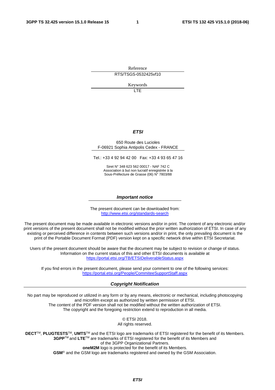Reference RTS/TSGS-0532425vf10

Keywords

LTE

#### *ETSI*

#### 650 Route des Lucioles F-06921 Sophia Antipolis Cedex - FRANCE

Tel.: +33 4 92 94 42 00 Fax: +33 4 93 65 47 16

Siret N° 348 623 562 00017 - NAF 742 C Association à but non lucratif enregistrée à la Sous-Préfecture de Grasse (06) N° 7803/88

#### *Important notice*

The present document can be downloaded from: <http://www.etsi.org/standards-search>

The present document may be made available in electronic versions and/or in print. The content of any electronic and/or print versions of the present document shall not be modified without the prior written authorization of ETSI. In case of any existing or perceived difference in contents between such versions and/or in print, the only prevailing document is the print of the Portable Document Format (PDF) version kept on a specific network drive within ETSI Secretariat.

Users of the present document should be aware that the document may be subject to revision or change of status. Information on the current status of this and other ETSI documents is available at <https://portal.etsi.org/TB/ETSIDeliverableStatus.aspx>

If you find errors in the present document, please send your comment to one of the following services: <https://portal.etsi.org/People/CommiteeSupportStaff.aspx>

#### *Copyright Notification*

No part may be reproduced or utilized in any form or by any means, electronic or mechanical, including photocopying and microfilm except as authorized by written permission of ETSI. The content of the PDF version shall not be modified without the written authorization of ETSI. The copyright and the foregoing restriction extend to reproduction in all media.

> © ETSI 2018. All rights reserved.

**DECT**TM, **PLUGTESTS**TM, **UMTS**TM and the ETSI logo are trademarks of ETSI registered for the benefit of its Members. **3GPP**TM and **LTE**TM are trademarks of ETSI registered for the benefit of its Members and of the 3GPP Organizational Partners. **oneM2M** logo is protected for the benefit of its Members.

**GSM**® and the GSM logo are trademarks registered and owned by the GSM Association.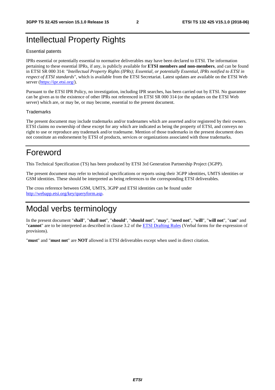# Intellectual Property Rights

#### Essential patents

IPRs essential or potentially essential to normative deliverables may have been declared to ETSI. The information pertaining to these essential IPRs, if any, is publicly available for **ETSI members and non-members**, and can be found in ETSI SR 000 314: *"Intellectual Property Rights (IPRs); Essential, or potentially Essential, IPRs notified to ETSI in respect of ETSI standards"*, which is available from the ETSI Secretariat. Latest updates are available on the ETSI Web server ([https://ipr.etsi.org/\)](https://ipr.etsi.org/).

Pursuant to the ETSI IPR Policy, no investigation, including IPR searches, has been carried out by ETSI. No guarantee can be given as to the existence of other IPRs not referenced in ETSI SR 000 314 (or the updates on the ETSI Web server) which are, or may be, or may become, essential to the present document.

#### **Trademarks**

The present document may include trademarks and/or tradenames which are asserted and/or registered by their owners. ETSI claims no ownership of these except for any which are indicated as being the property of ETSI, and conveys no right to use or reproduce any trademark and/or tradename. Mention of those trademarks in the present document does not constitute an endorsement by ETSI of products, services or organizations associated with those trademarks.

# Foreword

This Technical Specification (TS) has been produced by ETSI 3rd Generation Partnership Project (3GPP).

The present document may refer to technical specifications or reports using their 3GPP identities, UMTS identities or GSM identities. These should be interpreted as being references to the corresponding ETSI deliverables.

The cross reference between GSM, UMTS, 3GPP and ETSI identities can be found under [http://webapp.etsi.org/key/queryform.asp.](http://webapp.etsi.org/key/queryform.asp)

# Modal verbs terminology

In the present document "**shall**", "**shall not**", "**should**", "**should not**", "**may**", "**need not**", "**will**", "**will not**", "**can**" and "**cannot**" are to be interpreted as described in clause 3.2 of the [ETSI Drafting Rules](https://portal.etsi.org/Services/editHelp!/Howtostart/ETSIDraftingRules.aspx) (Verbal forms for the expression of provisions).

"**must**" and "**must not**" are **NOT** allowed in ETSI deliverables except when used in direct citation.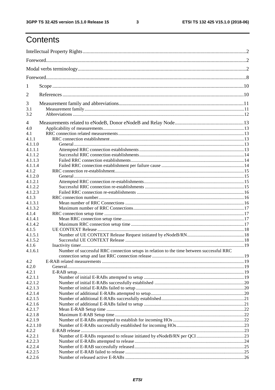ETSI TS 132 425 V15.1.0 (2018-06)

# Contents

| 1              |                                                                                           |  |
|----------------|-------------------------------------------------------------------------------------------|--|
| 2              |                                                                                           |  |
| 3              |                                                                                           |  |
| 3.1            |                                                                                           |  |
| 3.2            |                                                                                           |  |
| $\overline{4}$ |                                                                                           |  |
| 4.0            |                                                                                           |  |
| 4.1            |                                                                                           |  |
| 4.1.1          |                                                                                           |  |
| 4.1.1.0        |                                                                                           |  |
| 4.1.1.1        |                                                                                           |  |
| 4.1.1.2        |                                                                                           |  |
| 4.1.1.3        |                                                                                           |  |
| 4.1.1.4        |                                                                                           |  |
| 4.1.2          |                                                                                           |  |
| 4.1.2.0        |                                                                                           |  |
| 4.1.2.1        |                                                                                           |  |
| 4.1.2.2        |                                                                                           |  |
| 4.1.2.3        |                                                                                           |  |
| 4.1.3          |                                                                                           |  |
| 4.1.3.1        |                                                                                           |  |
| 4.1.3.2        |                                                                                           |  |
| 4.1.4          |                                                                                           |  |
| 4.1.4.1        |                                                                                           |  |
| 4.1.4.2        |                                                                                           |  |
| 4.1.5          |                                                                                           |  |
| 4.1.5.1        |                                                                                           |  |
| 4.1.5.2        |                                                                                           |  |
| 4.1.6          |                                                                                           |  |
| 4.1.6.1        | Number of successful RRC connection setups in relation to the time between successful RRC |  |
|                |                                                                                           |  |
| 4.2            |                                                                                           |  |
| 4.2.0          |                                                                                           |  |
| 4.2.1          |                                                                                           |  |
| 4.2.1.1        |                                                                                           |  |
| 4.2.1.2        |                                                                                           |  |
| 4.2.1.3        |                                                                                           |  |
| 4.2.1.4        |                                                                                           |  |
| 4.2.1.5        |                                                                                           |  |
| 4.2.1.6        |                                                                                           |  |
| 4.2.1.7        |                                                                                           |  |
| 4.2.1.8        |                                                                                           |  |
| 4.2.1.9        |                                                                                           |  |
| 4.2.1.10       |                                                                                           |  |
| 4.2.2          |                                                                                           |  |
| 4.2.2.1        |                                                                                           |  |
| 4.2.2.3        |                                                                                           |  |
| 4.2.2.4        |                                                                                           |  |
| 4.2.2.5        |                                                                                           |  |
| 4.2.2.6        |                                                                                           |  |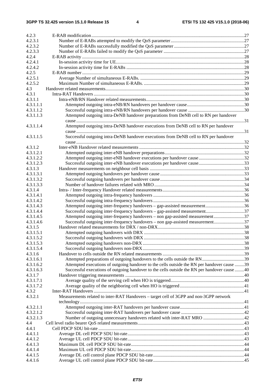| 4.2.3                  |                                                                                              |  |
|------------------------|----------------------------------------------------------------------------------------------|--|
| 4.2.3.1                |                                                                                              |  |
| 4.2.3.2                |                                                                                              |  |
| 4.2.3.3                |                                                                                              |  |
| 4.2.4                  |                                                                                              |  |
| 4.2.4.1                |                                                                                              |  |
| 4.2.4.2                |                                                                                              |  |
| 4.2.5                  |                                                                                              |  |
| 4.2.5.1                |                                                                                              |  |
| 4.2.5.2                |                                                                                              |  |
| 4.3                    |                                                                                              |  |
| 4.3.1                  |                                                                                              |  |
| 4.3.1.1                |                                                                                              |  |
| 4.3.1.1.1              |                                                                                              |  |
| 4.3.1.1.2              |                                                                                              |  |
| 4.3.1.1.3              | Attempted outgoing intra-DeNB handover preparations from DeNB cell to RN per handover        |  |
|                        |                                                                                              |  |
| 4.3.1.1.4              | Attempted outgoing intra-DeNB handover executions from DeNB cell to RN per handover          |  |
| 4.3.1.1.5              | Successful outgoing intra-DeNB handover executions from DeNB cell to RN per handover         |  |
|                        |                                                                                              |  |
| 4.3.1.2                |                                                                                              |  |
| 4.3.1.2.1              |                                                                                              |  |
| 4.3.1.2.2              |                                                                                              |  |
| 4.3.1.2.3              |                                                                                              |  |
| 4.3.1.3                |                                                                                              |  |
| 4.3.1.3.1              |                                                                                              |  |
| 4.3.1.3.2              |                                                                                              |  |
| 4.3.1.3.3              |                                                                                              |  |
| 4.3.1.4                |                                                                                              |  |
| 4.3.1.4.1<br>4.3.1.4.2 |                                                                                              |  |
|                        | Attempted outgoing inter-frequency handovers – gap-assisted measurement36                    |  |
| 4.3.1.4.3<br>4.3.1.4.4 | Successful outgoing inter-frequency handovers – gap-assisted measurement37                   |  |
| 4.3.1.4.5              | Attempted outgoing inter-frequency handovers - non gap-assisted measurement37                |  |
| 4.3.1.4.6              | Successful outgoing inter-frequency handovers – non gap-assisted measurement37               |  |
| 4.3.1.5                |                                                                                              |  |
| 4.3.1.5.1              |                                                                                              |  |
| 4.3.1.5.2              |                                                                                              |  |
| 4.3.1.5.3              |                                                                                              |  |
| 4.3.1.5.4              |                                                                                              |  |
| 4.3.1.6                |                                                                                              |  |
| 4.3.1.6.1              |                                                                                              |  |
| 4.3.1.6.2              | Attempted executions of outgoing handover to the cells outside the RN per handover cause 39  |  |
| 4.3.1.6.3              | Successful executions of outgoing handover to the cells outside the RN per handover cause 40 |  |
| 4.3.1.7                |                                                                                              |  |
| 4.3.1.7.1              |                                                                                              |  |
| 4.3.1.7.2              |                                                                                              |  |
| 4.3.2                  |                                                                                              |  |
| 4.3.2.1                | Measurements related to inter-RAT Handovers - target cell of 3GPP and non-3GPP network       |  |
|                        |                                                                                              |  |
| 4.3.2.1.1              |                                                                                              |  |
| 4.3.2.1.2              |                                                                                              |  |
| 4.3.2.1.3              |                                                                                              |  |
| 4.4                    |                                                                                              |  |
| 4.4.1                  |                                                                                              |  |
| 4.4.1.1                |                                                                                              |  |
| 4.4.1.2                |                                                                                              |  |
| 4.4.1.3                |                                                                                              |  |
| 4.4.1.4                |                                                                                              |  |
| 4.4.1.5                |                                                                                              |  |
| 4.4.1.6                |                                                                                              |  |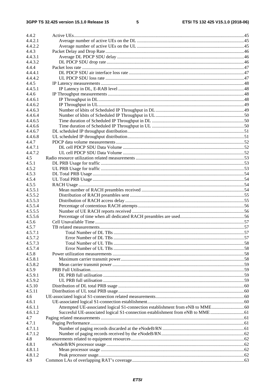#### $5\phantom{a}$

| 4.4.2              |  |
|--------------------|--|
| 4.4.2.1            |  |
| 4.4.2.2            |  |
| 4.4.3              |  |
| 4.4.3.1            |  |
| 4.4.3.2            |  |
| 4.4.4              |  |
| 4.4.4.1            |  |
| 4.4.4.2            |  |
| 4.4.5              |  |
| 4.4.5.1            |  |
| 4.4.6              |  |
| 4.4.6.1            |  |
| 4.4.6.2            |  |
| 4.4.6.3            |  |
| 4.4.6.4            |  |
| 4.4.6.5            |  |
| 4.4.6.6            |  |
| 4.4.6.7            |  |
| 4.4.6.8            |  |
| 4.4.7              |  |
| 4.4.7.1            |  |
| 4.4.7.2            |  |
| 4.5                |  |
| 4.5.1              |  |
| 4.5.2              |  |
| 4.5.3              |  |
| 4.5.4              |  |
| 4.5.5              |  |
| 4.5.5.1            |  |
| 4.5.5.2            |  |
| 4.5.5.3            |  |
| 4.5.5.4            |  |
| 4.5.5.5            |  |
| 4.5.5.6            |  |
| 4.5.6              |  |
| 4.5.7              |  |
| 4.5.7.1            |  |
| 4.5.7.2<br>4.5.7.3 |  |
| 4.5.7.4            |  |
| 4.5.8              |  |
| 4.5.8.1            |  |
| 4.5.8.2            |  |
| 4.5.9              |  |
| 4.5.9.1            |  |
| 4.5.9.2            |  |
| 4.5.10             |  |
| 4.5.11             |  |
| 4.6                |  |
| 4.6.1              |  |
| 4.6.1.1            |  |
| 4.6.1.2            |  |
| 4.7                |  |
| 4.7.1              |  |
| 4.7.1.1            |  |
| 4.7.1.2            |  |
| 4.8                |  |
| 4.8.1              |  |
| 4.8.1.1            |  |
| 4.8.1.2            |  |
| 4.9                |  |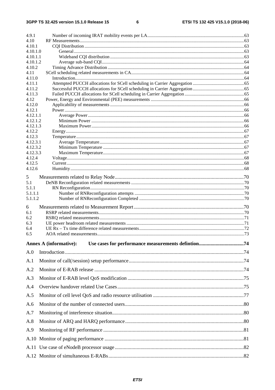| 4.9.1              |                               |  |
|--------------------|-------------------------------|--|
| 4.10               |                               |  |
| 4.10.1<br>4.10.1.0 |                               |  |
| 4.10.1.1           |                               |  |
| 4.10.1.2           |                               |  |
| 4.10.2             |                               |  |
| 4.11               |                               |  |
| 4.11.0             |                               |  |
| 4.11.1             |                               |  |
| 4.11.2<br>4.11.3   |                               |  |
| 4.12               |                               |  |
| 4.12.0             |                               |  |
| 4.12.1             |                               |  |
| 4.12.1.1           |                               |  |
| 4.12.1.2           |                               |  |
| 4.12.1.3           |                               |  |
| 4.12.2             |                               |  |
| 4.12.3<br>4.12.3.1 |                               |  |
| 4.12.3.2           |                               |  |
| 4.12.3.3           |                               |  |
| 4.12.4             |                               |  |
| 4.12.5             |                               |  |
| 4.12.6             |                               |  |
| 5                  |                               |  |
| 5.1                |                               |  |
| 5.1.1              |                               |  |
| 5.1.1.1<br>5.1.1.2 |                               |  |
|                    |                               |  |
| 6                  |                               |  |
| 6.1                |                               |  |
| 6.2<br>6.3         |                               |  |
| 6.4                |                               |  |
| 6.5                |                               |  |
|                    |                               |  |
|                    | <b>Annex A (informative):</b> |  |
| A.0                |                               |  |
| A.1                |                               |  |
| A.2                |                               |  |
| A.3                |                               |  |
| A.4                |                               |  |
| A.5                |                               |  |
| A.6                |                               |  |
| A.7                |                               |  |
| A.8                |                               |  |
| A.9                |                               |  |
|                    |                               |  |
|                    |                               |  |
|                    |                               |  |
|                    |                               |  |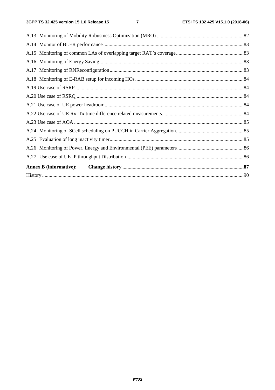$\overline{7}$ 

| <b>Annex B (informative):</b> |  |
|-------------------------------|--|
|                               |  |
|                               |  |
|                               |  |
|                               |  |
|                               |  |
|                               |  |
|                               |  |
|                               |  |
|                               |  |
|                               |  |
|                               |  |
|                               |  |
|                               |  |
|                               |  |
|                               |  |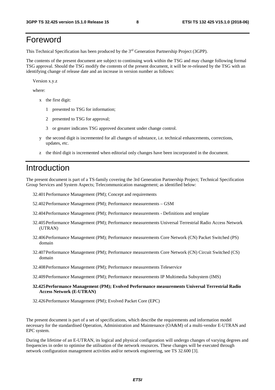# Foreword

This Technical Specification has been produced by the 3rd Generation Partnership Project (3GPP).

The contents of the present document are subject to continuing work within the TSG and may change following formal TSG approval. Should the TSG modify the contents of the present document, it will be re-released by the TSG with an identifying change of release date and an increase in version number as follows:

Version x.y.z

where:

- x the first digit:
	- 1 presented to TSG for information;
	- 2 presented to TSG for approval;
	- 3 or greater indicates TSG approved document under change control.
- y the second digit is incremented for all changes of substance, i.e. technical enhancements, corrections, updates, etc.
- z the third digit is incremented when editorial only changes have been incorporated in the document.

# Introduction

The present document is part of a TS-family covering the 3rd Generation Partnership Project; Technical Specification Group Services and System Aspects; Telecommunication management; as identified below:

- 32.401 Performance Management (PM); Concept and requirements
- 52.402 Performance Management (PM); Performance measurements GSM
- 32.404 Performance Management (PM); Performance measurements Definitions and template
- 32.405 Performance Management (PM); Performance measurements Universal Terrestrial Radio Access Network (UTRAN)
- 32.406 Performance Management (PM); Performance measurements Core Network (CN) Packet Switched (PS) domain
- 32.407 Performance Management (PM); Performance measurements Core Network (CN) Circuit Switched (CS) domain
- 32.408 Performance Management (PM); Performance measurements Teleservice
- 32.409 Performance Management (PM); Performance measurements IP Multimedia Subsystem (IMS)
- **32.425 Performance Management (PM); Evolved Performance measurements Universal Terrestrial Radio Access Network (E-UTRAN)**
- 32.426 Performance Management (PM); Evolved Packet Core (EPC)

The present document is part of a set of specifications, which describe the requirements and information model necessary for the standardised Operation, Administration and Maintenance (OA&M) of a multi-vendor E-UTRAN and EPC system.

During the lifetime of an E-UTRAN, its logical and physical configuration will undergo changes of varying degrees and frequencies in order to optimise the utilisation of the network resources. These changes will be executed through network configuration management activities and/or network engineering, see TS 32.600 [3].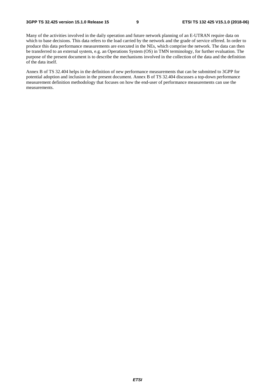Many of the activities involved in the daily operation and future network planning of an E-UTRAN require data on which to base decisions. This data refers to the load carried by the network and the grade of service offered. In order to produce this data performance measurements are executed in the NEs, which comprise the network. The data can then be transferred to an external system, e.g. an Operations System (OS) in TMN terminology, for further evaluation. The purpose of the present document is to describe the mechanisms involved in the collection of the data and the definition of the data itself.

Annex B of TS 32.404 helps in the definition of new performance measurements that can be submitted to 3GPP for potential adoption and inclusion in the present document. Annex B of TS 32.404 discusses a top-down performance measurement definition methodology that focuses on how the end-user of performance measurements can use the measurements.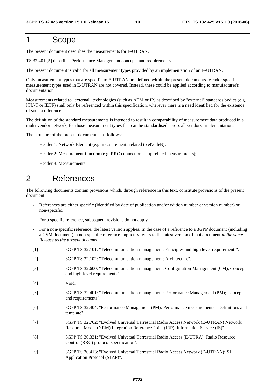# 1 Scope

The present document describes the measurements for E-UTRAN.

TS 32.401 [5] describes Performance Management concepts and requirements.

The present document is valid for all measurement types provided by an implementation of an E-UTRAN.

Only measurement types that are specific to E-UTRAN are defined within the present documents. Vendor specific measurement types used in E-UTRAN are not covered. Instead, these could be applied according to manufacturer's documentation.

Measurements related to "external" technologies (such as ATM or IP) as described by "external" standards bodies (e.g. ITU-T or IETF) shall only be referenced within this specification, wherever there is a need identified for the existence of such a reference.

The definition of the standard measurements is intended to result in comparability of measurement data produced in a multi-vendor network, for those measurement types that can be standardised across all vendors' implementations.

The structure of the present document is as follows:

- Header 1: Network Element (e.g. measurements related to eNodeB);
- Header 2: Measurement function (e.g. RRC connection setup related measurements);
- Header 3: Measurements.

# 2 References

The following documents contain provisions which, through reference in this text, constitute provisions of the present document.

- References are either specific (identified by date of publication and/or edition number or version number) or non-specific.
- For a specific reference, subsequent revisions do not apply.
- For a non-specific reference, the latest version applies. In the case of a reference to a 3GPP document (including a GSM document), a non-specific reference implicitly refers to the latest version of that document *in the same Release as the present document*.
- [1] 3GPP TS 32.101: "Telecommunication management; Principles and high level requirements".
- [2] 3GPP TS 32.102: "Telecommunication management; Architecture".
- [3] 3GPP TS 32.600: "Telecommunication management; Configuration Management (CM); Concept and high-level requirements".
- [4] Void.
- [5] 3GPP TS 32.401: "Telecommunication management; Performance Management (PM); Concept and requirements".
- [6] 3GPP TS 32.404: "Performance Management (PM); Performance measurements Definitions and template".
- [7] 3GPP TS 32.762: "Evolved Universal Terrestrial Radio Access Network (E-UTRAN) Network Resource Model (NRM) Integration Reference Point (IRP): Information Service (IS)".
- [8] 3GPP TS 36.331: "Evolved Universal Terrestrial Radio Access (E-UTRA); Radio Resource Control (RRC) protocol specification".
- [9] 3GPP TS 36.413: "Evolved Universal Terrestrial Radio Access Network (E-UTRAN); S1 Application Protocol (S1AP)".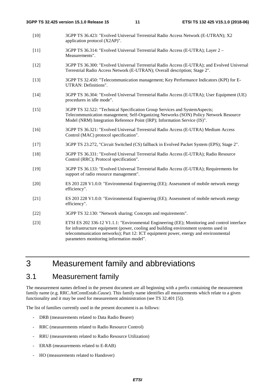- [10] 3GPP TS 36.423: "Evolved Universal Terrestrial Radio Access Network (E-UTRAN); X2 application protocol (X2AP)".
- [11] 3GPP TS 36.314: "Evolved Universal Terrestrial Radio Access (E-UTRA); Layer 2 Measurements".
- [12] 3GPP TS 36.300: "Evolved Universal Terrestrial Radio Access (E-UTRA); and Evolved Universal Terrestrial Radio Access Network (E-UTRAN); Overall description; Stage 2".
- [13] 3GPP TS 32.450: "Telecommunication management; Key Performance Indicators (KPI) for E-UTRAN: Definitions".
- [14] 3GPP TS 36.304: "Evolved Universal Terrestrial Radio Access (E-UTRA); User Equipment (UE) procedures in idle mode".
- [15] 3GPP TS 32.522: "Technical Specification Group Services and SystemAspects; Telecommunication management; Self-Organizing Networks (SON) Policy Network Resource Model (NRM) Integration Reference Point (IRP); Information Service (IS)".
- [16] 3GPP TS 36.321: "Evolved Universal Terrestrial Radio Access (E-UTRA) Medium Access Control (MAC) protocol specification".
- [17] 3GPP TS 23.272, "Circuit Switched (CS) fallback in Evolved Packet System (EPS); Stage 2".
- [18] 3GPP TS 36.331: "Evolved Universal Terrestrial Radio Access (E-UTRA); Radio Resource Control (RRC); Protocol specification".
- [19] 3GPP TS 36.133: "Evolved Universal Terrestrial Radio Access (E-UTRA); Requirements for support of radio resource management".
- [20] ES 203 228 V1.0.0: "Environmental Engineering (EE); Assessment of mobile network energy efficiency".
- [21] ES 203 228 V1.0.0: "Environmental Engineering (EE); Assessment of mobile network energy efficiency".
- [22] 3GPP TS 32.130: "Network sharing; Concepts and requirements".
- [23] ETSI ES 202 336-12 V1.1.1: "Environmental Engineering (EE); Monitoring and control interface for infrastructure equipment (power, cooling and building environment systems used in telecommunication networks); Part 12: ICT equipment power, energy and environmental parameters monitoring information model".
- 3 Measurement family and abbreviations

# 3.1 Measurement family

The measurement names defined in the present document are all beginning with a prefix containing the measurement family name (e.g. RRC.AttConnEstab.*Cause*). This family name identifies all measurements which relate to a given functionality and it may be used for measurement administration (see TS 32.401 [5]).

The list of families currently used in the present document is as follows:

- DRB (measurements related to Data Radio Bearer)
- RRC (measurements related to Radio Resource Control)
- RRU (measurements related to Radio Resource Utilization)
- ERAB (measurements related to E-RAB)
- HO (measurements related to Handover)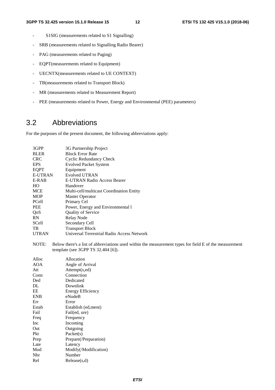- S1SIG (measurements related to S1 Signalling)
- SRB (measurements related to Signalling Radio Bearer)
- PAG (measurements related to Paging)
- EQPT(measurements related to Equipment)
- UECNTX(measurements related to UE CONTEXT)
- TB(measurements related to Transport Block)
- MR (measurements related to Measurement Report)
- PEE (measurements related to Power, Energy and Environmental (PEE) parameters)

# 3.2 Abbreviations

For the purposes of the present document, the following abbreviations apply:

| 3GPP           | 3G Partnership Project                                                                                                                       |
|----------------|----------------------------------------------------------------------------------------------------------------------------------------------|
| <b>BLER</b>    | <b>Block Error Rate</b>                                                                                                                      |
| <b>CRC</b>     | <b>Cyclic Redundancy Check</b>                                                                                                               |
| <b>EPS</b>     | <b>Evolved Packet System</b>                                                                                                                 |
| <b>EQPT</b>    | Equipment                                                                                                                                    |
| <b>E-UTRAN</b> | <b>Evolved UTRAN</b>                                                                                                                         |
| E-RAB          | E-UTRAN Radio Access Bearer                                                                                                                  |
| HO             | Handover                                                                                                                                     |
| <b>MCE</b>     | Multi-cell/multicast Coordination Entity                                                                                                     |
| <b>MOP</b>     | <b>Master Operator</b>                                                                                                                       |
| PCell          | Primary Cel                                                                                                                                  |
| PEE            | Power, Energy and Environmental 1                                                                                                            |
| QoS            | Quality of Service                                                                                                                           |
| <b>RN</b>      | Relay Node                                                                                                                                   |
| SCell          | Secondary Cell                                                                                                                               |
| TB             | <b>Transport Block</b>                                                                                                                       |
| <b>UTRAN</b>   | Universal Terrestrial Radio Access Network                                                                                                   |
| NOTE:          | Below there's a list of abbreviations used within the measurement types for field E of the measurement<br>template (see 3GPP TS 32.404 [6]). |
| Alloc          | Allocation                                                                                                                                   |
| AOA            | Angle of Arrival                                                                                                                             |
| Att            | Attempt(s,ed)                                                                                                                                |
| Conn           | Connection                                                                                                                                   |
| Ded            | Dedicated                                                                                                                                    |
| DL             | Downlink                                                                                                                                     |
| EE             |                                                                                                                                              |
|                |                                                                                                                                              |
|                | <b>Energy Efficiency</b>                                                                                                                     |
| <b>ENB</b>     | eNodeB                                                                                                                                       |
| Err            | Error                                                                                                                                        |
| Estab          | Establish (ed, ment)                                                                                                                         |
| Fail           | Fail(ed, ure)                                                                                                                                |
| Freq           | Frequency                                                                                                                                    |
| Inc            | Incoming                                                                                                                                     |
| Out            | Outgoing                                                                                                                                     |
| Pkt            | Packet(s)                                                                                                                                    |
| Prep<br>Late   | Prepare(/Preparation)                                                                                                                        |
| Mod            | Latency                                                                                                                                      |
|                | Modify(/Modification)<br>Number                                                                                                              |
| Nbr<br>Rel     | Release(s,d)                                                                                                                                 |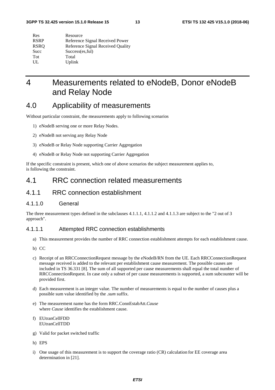| Res         | Resource                          |
|-------------|-----------------------------------|
| <b>RSRP</b> | Reference Signal Received Power   |
| <b>RSRO</b> | Reference Signal Received Quality |
| Succ        | Success(es, ful)                  |
| Tot         | Total                             |
| UЦ.         | <b>Uplink</b>                     |
|             |                                   |

# 4 Measurements related to eNodeB, Donor eNodeB and Relay Node

# 4.0 Applicability of measurements

Without particular constraint, the measurements apply to following scenarios

- 1) eNodeB serving one or more Relay Nodes.
- 2) eNodeB not serving any Relay Node
- 3) eNodeB or Relay Node supporting Carrier Aggregation
- 4) eNodeB or Relay Node not supporting Carrier Aggregation

If the specific constraint is present, which one of above scenarios the subject measurement applies to, is following the constraint.

# 4.1 RRC connection related measurements

### 4.1.1 RRC connection establishment

#### 4.1.1.0 General

The three measurement types defined in the subclauses 4.1.1.1, 4.1.1.2 and 4.1.1.3 are subject to the "2 out of 3 approach".

#### 4.1.1.1 Attempted RRC connection establishments

- a) This measurement provides the number of RRC connection establishment attempts for each establishment cause.
- b) CC
- c) Receipt of an RRCConnectionRequest message by the eNodeB/RN from the UE. Each RRCConnectionRequest message received is added to the relevant per establishment cause measurement. The possible causes are included in TS 36.331 [8]. The sum of all supported per cause measurements shall equal the total number of RRCConnectionRequest. In case only a subset of per cause measurements is supported, a sum subcounter will be provided first.
- d) Each measurement is an integer value. The number of measurements is equal to the number of causes plus a possible sum value identified by the *.sum* suffix.
- e) The measurement name has the form RRC.ConnEstabAtt.*Cause* where *Cause* identifies the establishment cause.
- f) EUtranCellFDD EUtranCellTDD
- g) Valid for packet switched traffic
- h) EPS
- i) One usage of this measurement is to support the coverage ratio (CR) calculation for EE coverage area determination in [21].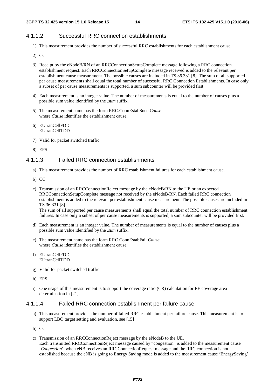#### 4.1.1.2 Successful RRC connection establishments

- 1) This measurement provides the number of successful RRC establishments for each establishment cause.
- 2) CC
- 3) Receipt by the eNodeB/RN of an RRCConnectionSetupComplete message following a RRC connection establishment request. Each RRCConnectionSetupComplete message received is added to the relevant per establishment cause measurement. The possible causes are included in TS 36.331 [8]. The sum of all supported per cause measurements shall equal the total number of successful RRC Connection Establishments. In case only a subset of per cause measurements is supported, a sum subcounter will be provided first.
- 4) Each measurement is an integer value. The number of measurements is equal to the number of causes plus a possible sum value identified by the *.sum* suffix.
- 5) The measurement name has the form RRC.ConnEstabSucc.*Cause* where *Cause* identifies the establishment cause.
- 6) EUtranCellFDD EUtranCellTDD
- 7) Valid for packet switched traffic
- 8) EPS

#### 4.1.1.3 Failed RRC connection establishments

- a) This measurement provides the number of RRC establishment failures for each establishment cause.
- b) CC
- c) Transmission of an RRCConnectionReject message by the eNodeB/RN to the UE or an expected RRCConnectionSetupComplete message not received by the eNodeB/RN. Each failed RRC connection establishment is added to the relevant per establishment cause measurement. The possible causes are included in TS 36.331 [8].

The sum of all supported per cause measurements shall equal the total number of RRC connection establishment failures. In case only a subset of per cause measurements is supported, a sum subcounter will be provided first.

- d) Each measurement is an integer value. The number of measurements is equal to the number of causes plus a possible sum value identified by the *.sum* suffix.
- e) The measurement name has the form RRC.ConnEstabFail.*Cause* where *Cause* identifies the establishment cause.
- f) EUtranCellFDD EUtranCellTDD
- g) Valid for packet switched traffic
- h) EPS
- i) One usage of this measurement is to support the coverage ratio (CR) calculation for EE coverage area determination in [21].

#### 4.1.1.4 Failed RRC connection establishment per failure cause

- a) This measurement provides the number of failed RRC establishment per failure cause. This measurement is to support LBO target setting and evaluation, see [15]
- b) CC
- c) Transmission of an RRCConnectionReject message by the eNodeB to the UE. Each transmitted RRCConnectionReject message caused by "congestion" is added to the measurement cause '*Congestion*', when eNB receives an RRCConnectionRequest message and the RRC connection is not established because the eNB is going to Energy Saving mode is added to the measurement cause 'EnergySaving'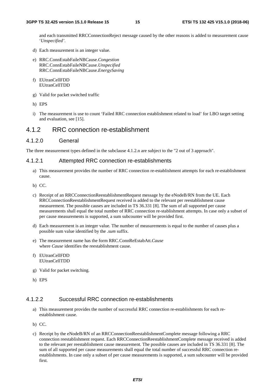and each transmitted RRCConnectionReject message caused by the other reasons is added to measurement cause '*Unspecified'*.

- d) Each measurement is an integer value.
- e) RRC.ConnEstabFaileNBCause.*Congestion*  RRC.ConnEstabFaileNBCause.*Unspecified*  RRC.ConnEstabFaileNBCause.*EnergySaving*
- f) EUtranCellFDD EUtranCellTDD
- g) Valid for packet switched traffic
- h) EPS
- i) The measurement is use to count 'Failed RRC connection establishment related to load' for LBO target setting and evaluation, see [15].

### 4.1.2 RRC connection re-establishment

#### 4.1.2.0 General

The three measurement types defined in the subclause 4.1.2.n are subject to the "2 out of 3 approach".

#### 4.1.2.1 Attempted RRC connection re-establishments

- a) This measurement provides the number of RRC connection re-establishment attempts for each re-establishment cause.
- b) CC.
- c) Receipt of an RRCConnectionReestablishmentRequest message by the eNodeB/RN from the UE. Each RRCConnectionReestablishmentRequest received is added to the relevant per reestablishment cause measurement. The possible causes are included in TS 36.331 [8]. The sum of all supported per cause measurements shall equal the total number of RRC connection re-stablishment attempts. In case only a subset of per cause measurements is supported, a sum subcounter will be provided first.
- d) Each measurement is an integer value. The number of measurements is equal to the number of causes plus a possible sum value identified by the *.sum* suffix.
- e) The measurement name has the form RRC.ConnReEstabAtt.*Cause* where *Cause* identifies the reestablishment cause.
- f) EUtranCellFDD EUtranCellTDD
- g) Valid for packet switching.
- h) EPS

#### 4.1.2.2 Successful RRC connection re-establishments

- a) This measurement provides the number of successful RRC connection re-establishments for each reestablishment cause.
- b) CC.
- c) Receipt by the eNodeB/RN of an RRCConnectionReestablishmentComplete message following a RRC connection reestablishment request. Each RRCConnectionReestablishmentComplete message received is added to the relevant per reestablishment cause measurement. The possible causes are included in TS 36.331 [8]. The sum of all supported per cause measurements shall equal the total number of successful RRC connection reestablishments. In case only a subset of per cause measurements is supported, a sum subcounter will be provided first.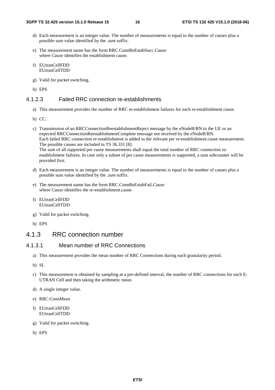- d) Each measurement is an integer value. The number of measurements is equal to the number of causes plus a possible sum value identified by the *.sum* suffix.
- e) The measurement name has the form RRC.ConnReEstabSucc.*Cause* where *Cause* identifies the establishment cause.
- f) EUtranCellFDD EUtranCellTDD
- g) Valid for packet switching.
- h) EPS

#### 4.1.2.3 Failed RRC connection re-establishments

- a) This measurement provides the number of RRC re-establishment failures for each re-establishment cause.
- b) CC.

c) Transmission of an RRCConnectionReestablishmentReject message by the eNodeB/RN to the UE or an expected RRCConnectionReestablishmentComplete message not received by the eNodeB/RN. Each failed RRC connection re-establishment is added to the relevant per re-establishment.cause measurement. The possible causes are included in TS 36.331 [8]. The sum of all supported per cause measurements shall equal the total number of RRC connection reestablishment failures. In case only a subset of per cause measurements is supported, a sum subcounter will be provided first.

- d) Each measurement is an integer value. The number of measurements is equal to the number of causes plus a possible sum value identified by the *.sum* suffix.
- e) The measurement name has the form RRC.ConnReEstabFail.*Cause* where *Cause* identifies the re-establishment.cause.
- f) EUtranCellFDD EUtranCellTDD
- g) Valid for packet switching.
- h) EPS

### 4.1.3 RRC connection number

### 4.1.3.1 Mean number of RRC Connections

- a) This measurement provides the mean number of RRC Connections during each granularity period.
- b) SI.
- c) This measurement is obtained by sampling at a pre-defined interval, the number of RRC connections for each E-UTRAN Cell and then taking the arithmetic mean
- d) A single integer value.
- e) RRC.ConnMean
- f) EUtranCellFDD EUtranCellTDD
- g) Valid for packet switching.
- h) EPS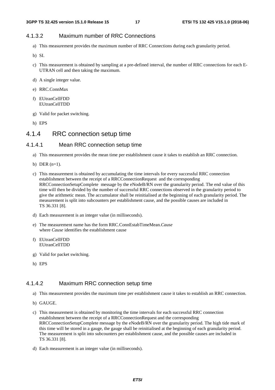### 4.1.3.2 Maximum number of RRC Connections

- a) This measurement provides the maximum number of RRC Connections during each granularity period.
- b) SI.
- c) This measurement is obtained by sampling at a pre-defined interval, the number of RRC connections for each E-UTRAN cell and then taking the maximum.
- d) A single integer value.
- e) RRC.ConnMax
- f) EUtranCellFDD EUtranCellTDD
- g) Valid for packet switching.
- h) EPS

### 4.1.4 RRC connection setup time

#### 4.1.4.1 Mean RRC connection setup time

- a) This measurement provides the mean time per establishment cause it takes to establish an RRC connection.
- b) DER (n=1).
- c) This measurement is obtained by accumulating the time intervals for every successful RRC connection establishment between the receipt of a RRCConnectionRequest and the corresponding RRCConnectionSetupComplete message by the eNodeB/RN over the granularity period. The end value of this time will then be divided by the number of successful RRC connections observed in the granularity period to give the arithmetic mean. The accumulator shall be reinitialised at the beginning of each granularity period. The measurement is split into subcounters per establishment cause, and the possible causes are included in TS 36.331 [8].
- d) Each measurement is an integer value (in milliseconds).
- e) The measurement name has the form RRC.ConnEstabTimeMean.*Cause* where *Cause* identifies the establishment cause
- f) EUtranCellFDD EUtranCellTDD
- g) Valid for packet switching.
- h) EPS

#### 4.1.4.2 Maximum RRC connection setup time

- a) This measurement provides the maximum time per establishment cause it takes to establish an RRC connection.
- b) GAUGE.
- c) This measurement is obtained by monitoring the time intervals for each successful RRC connection establishment between the receipt of a RRCConnectionRequest and the corresponding RRCConnectionSetupComplete message by the eNodeB/RN over the granularity period. The high tide mark of this time will be stored in a gauge, the gauge shall be reinitialised at the beginning of each granularity period. The measurement is split into subcounters per establishment cause, and the possible causes are included in TS 36.331 [8].
- d) Each measurement is an integer value (in milliseconds).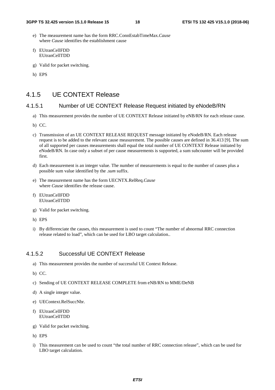- e) The measurement name has the form RRC.ConnEstabTimeMax.*Cause* where *Cause* identifies the establishment cause
- f) EUtranCellFDD EUtranCellTDD
- g) Valid for packet switching.
- h) EPS

### 4.1.5 UE CONTEXT Release

#### 4.1.5.1 Number of UE CONTEXT Release Request initiated by eNodeB/RN

- a) This measurement provides the number of UE CONTEXT Release initiated by eNB/RN for each release cause.
- b) CC.
- c) Transmission of an UE CONTEXT RELEASE REQUEST message initiated by eNodeB/RN. Each release request is to be added to the relevant cause measurement. The possible causes are defined in 36.413 [9]. The sum of all supported per causes measurements shall equal the total number of UE CONTEXT Release initiated by eNodeB/RN. In case only a subset of per cause measurements is supported, a sum subcounter will be provided first.
- d) Each measurement is an integer value. The number of measurements is equal to the number of causes plus a possible sum value identified by the *.sum* suffix.
- e) The measurement name has the form UECNTX.RelReq.*Cause* where *Cause* identifies the release cause.
- f) EUtranCellFDD EUtranCellTDD
- g) Valid for packet switching.
- h) EPS
- i) By differenciate the causes, this measurement is used to count "The number of abnormal RRC connection release related to load", which can be used for LBO target calculation..

#### 4.1.5.2 Successful UE CONTEXT Release

- a) This measurement provides the number of successful UE Context Release.
- b) CC.
- c) Sending of UE CONTEXT RELEASE COMPLETE from eNB/RN to MME/DeNB
- d) A single integer value.
- e) UEContext.RelSuccNbr.
- f) EUtranCellFDD EUtranCellTDD
- g) Valid for packet switching.
- h) EPS
- i) This measurement can be used to count "the total number of RRC connection release", which can be used for LBO target calculation.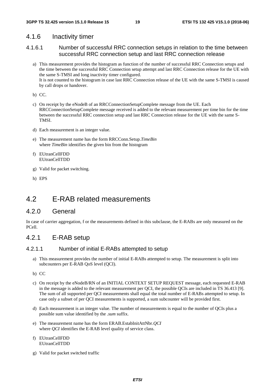# 4.1.6 Inactivity timer

- 4.1.6.1 Number of successful RRC connection setups in relation to the time between successful RRC connection setup and last RRC connection release
	- a) This measurement provides the histogram as function of the number of successful RRC Connection setups and the time between the successful RRC Connection setup attempt and last RRC Connection release for the UE with the same S-TMSI and long inactivity timer configured. It is not counted to the histogram in case last RRC Connection release of the UE with the same S-TMSI is caused by call drops or handover.

b) CC.

- c) On receipt by the eNodeB of an RRCConnectionSetupComplete message from the UE. Each RRCConnectionSetupComplete message received is added to the relevant measurement per time bin for the time between the successful RRC connection setup and last RRC Connection release for the UE with the same S-TMSI.
- d) Each measurement is an integer value.
- e) The measurement name has the form RRCConn.Setup.*TimeBin* where *TimeBin* identifies the given bin from the histogram
- f) EUtranCellFDD EUtranCellTDD
- g) Valid for packet switching.
- h) EPS

# 4.2 E-RAB related measurements

### 4.2.0 General

In case of carrier aggregation, f or the measurements defined in this subclause, the E-RABs are only measured on the  $PC<sub>e</sub>11$ 

# 4.2.1 E-RAB setup

#### 4.2.1.1 Number of initial E-RABs attempted to setup

a) This measurement provides the number of initial E-RABs attempted to setup. The measurement is split into subcounters per E-RAB QoS level (QCI).

b) CC

- c) On receipt by the eNodeB/RN of an INITIAL CONTEXT SETUP REQUEST message, each requested E-RAB in the message is added to the relevant measurement per QCI, the possible QCIs are included in TS 36.413 [9]. The sum of all supported per QCI measurements shall equal the total number of E-RABs attempted to setup. In case only a subset of per QCI measurements is supported, a sum subcounter will be provided first.
- d) Each measurement is an integer value. The number of measurements is equal to the number of QCIs plus a possible sum value identified by the *.sum* suffix.
- e) The measurement name has the form ERAB.EstabInitAttNbr.*QCI* where *QCI* identifies the E-RAB level quality of service class.
- f) EUtranCellFDD EUtranCellTDD
- g) Valid for packet switched traffic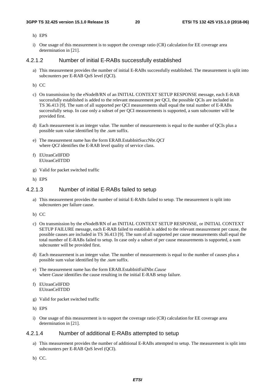#### h) EPS

i) One usage of this measurement is to support the coverage ratio (CR) calculation for EE coverage area determination in [21].

#### 4.2.1.2 Number of initial E-RABs successfully established

a) This measurement provides the number of initial E-RABs successfully established. The measurement is split into subcounters per E-RAB OoS level (OCI).

b) CC

- c) On transmission by the eNodeB/RN of an INITIAL CONTEXT SETUP RESPONSE message, each E-RAB successfully established is added to the relevant measurement per QCI, the possible QCIs are included in TS 36.413 [9]. The sum of all supported per QCI measurements shall equal the total number of E-RABs successfully setup. In case only a subset of per QCI measurements is supported, a sum subcounter will be provided first.
- d) Each measurement is an integer value. The number of measurements is equal to the number of QCIs plus a possible sum value identified by the *.sum* suffix.
- e) The measurement name has the form ERAB.EstabInitSuccNbr.*QCI* where *QCI* identifies the E-RAB level quality of service class.
- f) EUtranCellFDD EUtranCellTDD
- g) Valid for packet switched traffic
- h) EPS

#### 4.2.1.3 Number of initial E-RABs failed to setup

- a) This measurement provides the number of initial E-RABs failed to setup. The measurement is split into subcounters per failure cause.
- b) CC
- c) On transmission by the eNodeB/RN of an INITIAL CONTEXT SETUP RESPONSE, or INITIAL CONTEXT SETUP FAILURE message, each E-RAB failed to establish is added to the relevant measurement per cause, the possible causes are included in TS 36.413 [9]. The sum of all supported per cause measurements shall equal the total number of E-RABs failed to setup. In case only a subset of per cause measurements is supported, a sum subcounter will be provided first.
- d) Each measurement is an integer value. The number of measurements is equal to the number of causes plus a possible sum value identified by the *.sum* suffix.
- e) The measurement name has the form ERAB.EstabInitFailNbr.*Cause* where *Cause* identifies the cause resulting in the initial E-RAB setup failure.
- f) EUtranCellFDD EUtranCellTDD
- g) Valid for packet switched traffic
- h) EPS
- i) One usage of this measurement is to support the coverage ratio (CR) calculation for EE coverage area determination in [21].

#### 4.2.1.4 Number of additional E-RABs attempted to setup

- a) This measurement provides the number of additional E-RABs attempted to setup. The measurement is split into subcounters per E-RAB QoS level (QCI).
- b) CC.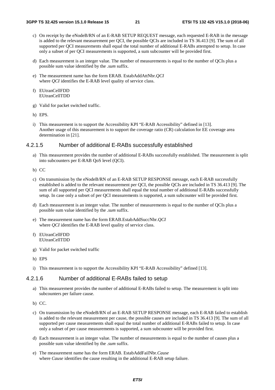- c) On receipt by the eNodeB/RN of an E-RAB SETUP REQUEST message, each requested E-RAB in the message is added to the relevant measurement per QCI, the possible QCIs are included in TS 36.413 [9]. The sum of all supported per QCI measurements shall equal the total number of additional E-RABs attempted to setup. In case only a subset of per QCI measurements is supported, a sum subcounter will be provided first.
- d) Each measurement is an integer value. The number of measurements is equal to the number of QCIs plus a possible sum value identified by the *.sum* suffix.
- e) The measurement name has the form ERAB. EstabAddAttNbr.*QCI* where *QCI* identifies the E-RAB level quality of service class.
- f) EUtranCellFDD EUtranCellTDD
- g) Valid for packet switched traffic.
- h) EPS.
- i) This measurement is to support the Accessibility KPI "E-RAB Accessibility" defined in [13]. Another usage of this measurement is to support the coverage ratio (CR) calculation for EE coverage area determination in [21].

#### 4.2.1.5 Number of additional E-RABs successfully established

- a) This measurement provides the number of additional E-RABs successfully established. The measurement is split into subcounters per E-RAB QoS level (QCI).
- b) CC
- c) On transmission by the eNodeB/RN of an E-RAB SETUP RESPONSE message, each E-RAB successfully established is added to the relevant measurement per QCI, the possible QCIs are included in TS 36.413 [9]. The sum of all supported per QCI measurements shall equal the total number of additional E-RABs successfully setup. In case only a subset of per QCI measurements is supported, a sum subcounter will be provided first.
- d) Each measurement is an integer value. The number of measurements is equal to the number of QCIs plus a possible sum value identified by the *.sum* suffix.
- e) The measurement name has the form ERAB.EstabAddSuccNbr.*QCI* where *QCI* identifies the E-RAB level quality of service class.
- f) EUtranCellFDD EUtranCellTDD
- g) Valid for packet switched traffic
- h) EPS
- i) This measurement is to support the Accessibility KPI "E-RAB Accessibility" defined [13].

#### 4.2.1.6 Number of additional E-RABs failed to setup

- a) This measurement provides the number of additional E-RABs failed to setup. The measurement is split into subcounters per failure cause.
- b) CC.
- c) On transmission by the eNodeB/RN of an E-RAB SETUP RESPONSE message, each E-RAB failed to establish is added to the relevant measurement per cause, the possible causes are included in TS 36.413 [9]. The sum of all supported per cause measurements shall equal the total number of additional E-RABs failed to setup. In case only a subset of per cause measurements is supported, a sum subcounter will be provided first.
- d) Each measurement is an integer value. The number of measurements is equal to the number of causes plus a possible sum value identified by the *.sum* suffix.
- e) The measurement name has the form ERAB. EstabAddFailNbr.*Cause* where *Cause* identifies the cause resulting in the additional E-RAB setup failure.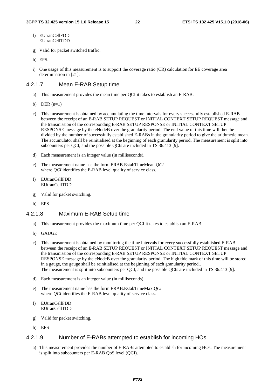- f) EUtranCellFDD EUtranCellTDD
- g) Valid for packet switched traffic.
- h) EPS.
- i) One usage of this measurement is to support the coverage ratio (CR) calculation for EE coverage area determination in [21].

#### 4.2.1.7 Mean E-RAB Setup time

- a) This measurement provides the mean time per QCI it takes to establish an E-RAB.
- b) DER  $(n=1)$
- c) This measurement is obtained by accumulating the time intervals for every successfully established E-RAB between the receipt of an E-RAB SETUP REQUEST or INITIAL CONTEXT SETUP REQUEST message and the transmission of the corresponding E-RAB SETUP RESPONSE or INITIAL CONTEXT SETUP RESPONSE message by the eNodeB over the granularity period. The end value of this time will then be divided by the number of successfully established E-RABs in the granularity period to give the arithmetic mean. The accumulator shall be reinitialised at the beginning of each granularity period. The measurement is split into subcounters per QCI, and the possible QCIs are included in TS 36.413 [9].
- d) Each measurement is an integer value (in milliseconds).
- e) The measurement name has the form ERAB.EstabTimeMean.*QCI*  where *QCI* identifies the E-RAB level quality of service class.
- f) EUtranCellFDD EUtranCellTDD
- g) Valid for packet switching.
- h) EPS

#### 4.2.1.8 Maximum E-RAB Setup time

- a) This measurement provides the maximum time per QCI it takes to establish an E-RAB.
- b) GAUGE
- c) This measurement is obtained by monitoring the time intervals for every successfully established E-RAB between the receipt of an E-RAB SETUP REQUEST or INITIAL CONTEXT SETUP REQUEST message and the transmission of the corresponding E-RAB SETUP RESPONSE or INITIAL CONTEXT SETUP RESPONSE message by the eNodeB over the granularity period. The high tide mark of this time will be stored in a gauge, the gauge shall be reinitialised at the beginning of each granularity period.. The measurement is split into subcounters per QCI, and the possible QCIs are included in TS 36.413 [9].
- d) Each measurement is an integer value (in milliseconds).
- e) The measurement name has the form ERAB.EstabTimeMax.*QCI*  where *QCI* identifies the E-RAB level quality of service class.
- f) EUtranCellFDD EUtranCellTDD
- g) Valid for packet switching.
- h) EPS

#### 4.2.1.9 Number of E-RABs attempted to establish for incoming HOs

a) This measurement provides the number of E-RABs attempted to establish for incoming HOs. The measurement is split into subcounters per E-RAB QoS level (QCI).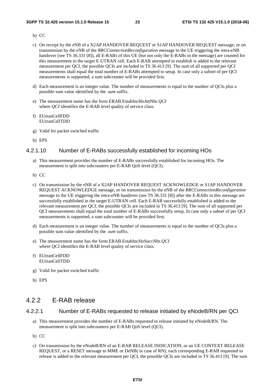- b) CC
- c) On receipt by the eNB of a X2AP HANDOVER REQUEST or S1AP HANDOVER REQUEST message; or on transmission by the eNB of the *RRCConnectionReconfiguration* message to the UE triggering the intra-eNB handover (see TS 36.331 [8]), all E-RABs of this UE (but not only the E-RABs in the message) are counted for this measurement to the target E-UTRAN cell. Each E-RAB attempted to establish is added to the relevant measurement per QCI, the possible QCIs are included in TS 36.413 [9]. The sum of all supported per QCI measurements shall equal the total number of E-RABs attempted to setup. In case only a subset of per QCI measurements is supported, a sum subcounter will be provided first.
- d) Each measurement is an integer value. The number of measurements is equal to the number of QCIs plus a possible sum value identified by the *.sum* suffix.
- e) The measurement name has the form ERAB.EstabIncHoAttNbr.*QCI* where *QCI* identifies the E-RAB level quality of service class.
- f) EUtranCellFDD EUtranCellTDD
- g) Valid for packet switched traffic
- h) EPS

#### 4.2.1.10 Number of E-RABs successfully established for incoming HOs

- a) This measurement provides the number of E-RABs successfully established for incoming HOs. The measurement is split into subcounters per E-RAB QoS level (QCI).
- b) CC
- c) On transmission by the eNB of a X2AP HANDOVER REQUEST ACKNOWLEDGE or S1AP HANDOVER REQUEST ACKNOWLEDGE message, or on transmission by the eNB of the *RRCConnectionReconfiguration* message to the UE triggering the intra-eNB handover (see TS 36.331 [8]) after the E-RABs in this message are successfully established in the target E-UTRAN cell. Each E-RAB successfully established is added to the relevant measurement per QCI, the possible QCIs are included in TS 36.413 [9]. The sum of all supported per QCI measurements shall equal the total number of E-RABs successfully setup. In case only a subset of per QCI measurements is supported, a sum subcounter will be provided first.
- d) Each measurement is an integer value. The number of measurements is equal to the number of QCIs plus a possible sum value identified by the *.sum* suffix.
- e) The measurement name has the form ERAB.EstabIncHoSuccNbr.*QCI* where *QCI* identifies the E-RAB level quality of service class.
- f) EUtranCellFDD EUtranCellTDD
- g) Valid for packet switched traffic
- h) EPS

## 4.2.2 E-RAB release

#### 4.2.2.1 Number of E-RABs requested to release initiated by eNodeB/RN per QCI

- a) This measurement provides the number of E-RABs requested to release initiated by eNodeB/RN. The measurement is split into subcounters per E-RAB QoS level (QCI).
- b) CC
- c) On transmission by the eNodeB/RN of an E-RAB RELEASE INDICATION, or an UE CONTEXT RELEASE REQUEST, or a RESET message to MME or DeNB( in case of RN), each corresponding E-RAB requested to release is added to the relevant measurement per QCI, the possible QCIs are included in TS 36.413 [9]. The sum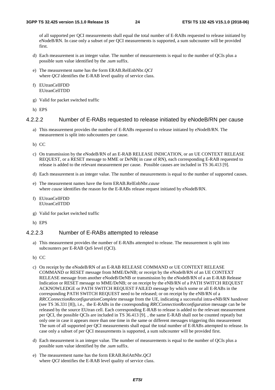of all supported per QCI measurements shall equal the total number of E-RABs requested to release initiated by eNodeB/RN. In case only a subset of per QCI measurements is supported, a sum subcounter will be provided first.

- d) Each measurement is an integer value. The number of measurements is equal to the number of QCIs plus a possible sum value identified by the *.sum* suffix.
- e) The measurement name has the form ERAB.RelEnbNbr.*QCI* where *QCI* identifies the E-RAB level quality of service class.
- f) EUtranCellFDD EUtranCellTDD
- g) Valid for packet switched traffic

h) EPS

#### 4.2.2.2 Number of E-RABs requested to release initiated by eNodeB/RN per cause

a) This measurement provides the number of E-RABs requested to release initiated by eNodeB/RN. The measurement is split into subcounters per cause.

b) CC

- c) On transmission by the eNodeB/RN of an E-RAB RELEASE INDICATION, or an UE CONTEXT RELEASE REQUEST, or a RESET message to MME or DeNB( in case of RN), each corresponding E-RAB requested to release is added to the relevant measurement per cause. Possible causes are included in TS 36.413 [9].
- d) Each measurement is an integer value. The number of measurements is equal to the number of supported causes.
- e) The measurement names have the form ERAB.RelEnbNbr.*cause* where *cause* identifies the reason for the E-RABs release request initiated by eNodeB/RN.
- f) EUtranCellFDD EUtranCellTDD
- g) Valid for packet switched traffic
- h) EPS

#### 4.2.2.3 Number of E-RABs attempted to release

- a) This measurement provides the number of E-RABs attempted to release. The measurement is split into subcounters per E-RAB QoS level (QCI).
- b) CC
- c) On receipt by the eNodeB/RN of an E-RAB RELEASE COMMAND or UE CONTEXT RELEASE COMMAND or RESET message from MME/DeNB; or receipt by the eNodeB/RN of an UE CONTEXT RELEASE message from another eNodeB/DeNB or transmission by the eNodeB/RN of a an E-RAB Release Indication or RESET message to MME/DeNB; or on receipt by the eNB/RN of a PATH SWITCH REQUEST ACKNOWLEDGE or PATH SWITCH REQUEST FAILED message by which some or all E-RABs in the corresponding PATH SWITCH REQUEST need to be released; or on receipt by the eNB/RN of a *RRCConnectionReconfigurationComplete* message from the UE, indicating a successful intra-eNB/RN handover (see TS 36.331 [8]), i.e., the E-RABs in the cooresponding *RRCConnectionReconfiguration* message can be be released by the source EUtran cell. Each corresponding E-RAB to release is added to the relevant measurement per QCI, the possible QCIs are included in TS 36.413 [9]. , the same E-RAB shall not be counted repeatly but only one in case it appears more than one time in the same or different messages triggering this measurement The sum of all supported per QCI measurements shall equal the total number of E-RABs attempted to release. In case only a subset of per QCI measurements is supported, a sum subcounter will be provided first.
- d) Each measurement is an integer value. The number of measurements is equal to the number of QCIs plus a possible sum value identified by the *.sum* suffix.
- e) The measurement name has the form ERAB.RelAttNbr.*QCI* where *QCI* identifies the E-RAB level quality of service class.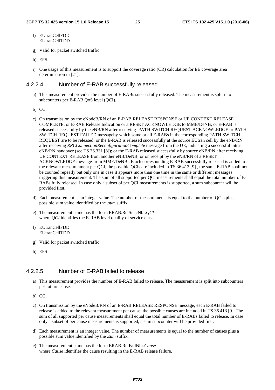- f) EUtranCellFDD EUtranCellTDD
- g) Valid for packet switched traffic
- h) EPS
- i) One usage of this measurement is to support the coverage ratio (CR) calculation for EE coverage area determination in [21].

#### 4.2.2.4 Number of E-RAB successfully released

- a) This measurement provides the number of E-RABs successfully released. The measurement is split into subcounters per E-RAB QoS level (QCI).
- b) CC
- c) On transmission by the eNodeB/RN of an E-RAB RELEASE RESPONSE or UE CONTEXT RELEASE COMPLETE, or E-RAB Release Indication or a RESET ACKNOWLEDGE to MME/DeNB; or E-RAB is released successfully by the eNB/RN after receiving PATH SWITCH REQUEST ACKNOWLEDGE or PATH SWITCH REQUEST FAILED messageby which some or all E-RABs in the corresponding PATH SWITCH REQUEST are to be released; or the E-RAB is released successfully at the source EUtran cell by the eNB/RN after receiving *RRCConnectionReconfigurationComplete* message from the UE, indicating a successful intraeNB/RN handover (see TS 36.331 [8]); or the E-RAB released successfully by source eNB/RN after receiving UE CONTEXT RELEASE from another eNB/DeNB; or on receipt by the eNB/RN of a RESET ACKNOWLEDGE message from MME/DeNB . E ach corresponding E-RAB successfully released is added to the relevant measurenment per QCI, the possible QCIs are included in TS 36.413 [9] , the same E-RAB shall not be counted repeatly but only one in case it appears more than one time in the same or different messages triggering this measurement. The sum of all supported per QCI measurements shall equal the total number of E-RABs fully released. In case only a subset of per QCI measurements is supported, a sum subcounter will be provided first.
- d) Each measurement is an integer value. The number of measurements is equal to the number of QCIs plus a possible sum value identified by the *.sum* suffix.
- e) The measurement name has the form ERAB.RelSuccNbr.*QCI* where *QCI* identifies the E-RAB level quality of service class.
- f) EUtranCellFDD EUtranCellTDD
- g) Valid for packet switched traffic
- h) EPS

#### 4.2.2.5 Number of E-RAB failed to release

- a) This measurement provides the number of E-RAB failed to release. The measurement is split into subcounters per failure cause.
- b) CC
- c) On transmission by the eNodeB/RN of an E-RAB RELEASE RESPONSE message, each E-RAB failed to release is added to the relevant measurement per cause, the possible causes are included in TS 36.413 [9]. The sum of all supported per cause measurements shall equal the total number of E-RABs failed to release. In case only a subset of per cause measurements is supported, a sum subcounter will be provided first.
- d) Each measurement is an integer value. The number of measurements is equal to the number of causes plus a possible sum value identified by the *.sum* suffix.
- e) The measurement name has the form ERAB.RelFailNbr.*Cause* where *Cause* identifies the cause resulting in the E-RAB release failure.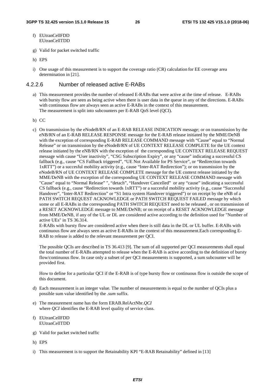- f) EUtranCellFDD EUtranCellTDD
- g) Valid for packet switched traffic
- h) EPS
- i) One usage of this measurement is to support the coverage ratio (CR) calculation for EE coverage area determination in [21].

#### 4.2.2.6 Number of released active E-RABs

- a) This measurement provides the number of released E-RABs that were active at the time of release. E-RABs with bursty flow are seen as being active when there is user data in the queue in any of the directions. E-RABs with continuous flow are always seen as active E-RABs in the context of this measurement. The measurement is split into subcounters per E-RAB QoS level (QCI).
- b) CC
- c) On transmission by the eNodeB/RN of an E-RAB RELEASE INDICATION message; or on transmission by the eNB/RN of an E-RAB RELEASE RESPONSE message for the E-RAB release initiated by the MME/DeNB with the exception of corresponding E-RAB RELEASE COMMAND message with "Cause" equal to "Normal Release" or on transmission by the eNodeB/RN of UE CONTEXT RELEASE COMPLETE for the UE context release initiated by the eNB/RN with the exception of the corresponding UE CONTEXT RELEASE REQUEST message with cause "User inactivity", "CSG Subscription Expiry", or any "cause" indicating a successful CS fallback (e.g., cause "CS Fallback triggered", "UE Not Available for PS Service", or "Redirection towards 1xRTT") or a succesful mobility activity (e.g., cause "Inter-RAT Redirection"); or on transmission by the eNodeB/RN of UE CONTEXT RELEASE COMPLETE message for the UE context release initiated by the MME/DeNB with the exception of the corresponding UE CONTEXT RELEASE COMMAND message with "Cause" equal to "Normal Release" ", "detach", "Handover Cancelled" or any "cause" indicating a successful CS fallback (e.g., cause "Redirection towards 1xRTT") or a succesful mobility activity (e.g., cause "Successful Handover", "Inter-RAT Redirection" or "S1 Intra system Handover triggered") or on receipt by the eNB of a PATH SWITCH REQUEST ACKNOWLEDGE or PATH SWITCH REQUEST FAILED message by which some or all E-RABs in the corresponding PATH SWITCH REQUEST need to be released , or on transmission of a RESET ACKNOWLEDGE message to MME/DeNB; or on receipt of a RESET ACKNOWLEDGE message from MME/DeNB, if any of the UL or DL are considered active according to the definition used for "Number of active UEs" in TS 36.314.

E-RABs with bursty flow are considered active when there is still data in the DL or UL buffer. E-RABs with continuous flow are always seen as active E-RABs in the context of this measurement.Each corresponding E-RAB to release is added to the relevant measurement per QCI.

The possible QCIs are described in TS 36.413 [9]. The sum of all supported per QCI measurements shall equal the total number of E-RABs attempted to release when the E-RAB is active according to the definition of bursty flow/continuous flow. In case only a subset of per QCI measurements is supported, a sum subcounter will be provided first.

How to define for a particular QCI if the E-RAB is of type bursty flow or continuous flow is outside the scope of this document.

- d) Each measurement is an integer value. The number of measurements is equal to the number of QCIs plus a possible sum value identified by the *.sum* suffix.
- e) The measurement name has the form ERAB.RelActNbr.*QCI* where *QCI* identifies the E-RAB level quality of service class.
- f) EUtranCellFDD EUtranCellTDD
- g) Valid for packet switched traffic
- h) EPS
- i) This measurement is to support the Retainability KPI "E-RAB Retainability" defined in [13]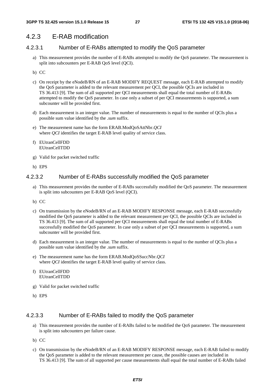### 4.2.3 E-RAB modification

#### 4.2.3.1 Number of E-RABs attempted to modify the QoS parameter

- a) This measurement provides the number of E-RABs attempted to modify the QoS parameter. The measurement is split into subcounters per E-RAB QoS level (QCI).
- b) CC
- c) On receipt by the eNodeB/RN of an E-RAB MODIFY REQUEST message, each E-RAB attempted to modify the QoS parameter is added to the relevant measurement per QCI, the possible QCIs are included in TS 36.413 [9]. The sum of all supported per QCI measurements shall equal the total number of E-RABs attempted to modify the QoS parameter. In case only a subset of per QCI measurements is supported, a sum subcounter will be provided first.
- d) Each measurement is an integer value. The number of measurements is equal to the number of QCIs plus a possible sum value identified by the *.sum* suffix.
- e) The measurement name has the form ERAB.ModQoSAttNbr.*QCI* where *QCI* identifies the target E-RAB level quality of service class.
- f) EUtranCellFDD EUtranCellTDD
- g) Valid for packet switched traffic
- h) EPS

#### 4.2.3.2 Number of E-RABs successfully modified the QoS parameter

- a) This measurement provides the number of E-RABs successfully modified the QoS parameter. The measurement is split into subcounters per E-RAB QoS level (QCI).
- b) CC
- c) On transmission by the eNodeB/RN of an E-RAB MODIFY RESPONSE message, each E-RAB successfully modified the QoS parameter is added to the relevant measurement per QCI, the possible QCIs are included in TS 36.413 [9]. The sum of all supported per QCI measurements shall equal the total number of E-RABs successfully modified the QoS parameter. In case only a subset of per QCI measurements is supported, a sum subcounter will be provided first.
- d) Each measurement is an integer value. The number of measurements is equal to the number of QCIs plus a possible sum value identified by the *.sum* suffix.
- e) The measurement name has the form ERAB.ModQoSSuccNbr.*QCI* where *QCI* identifies the target E-RAB level quality of service class.
- f) EUtranCellFDD EUtranCellTDD
- g) Valid for packet switched traffic
- h) EPS

#### 4.2.3.3 Number of E-RABs failed to modify the QoS parameter

- a) This measurement provides the number of E-RABs failed to be modified the QoS parameter. The measurement is split into subcounters per failure cause.
- b) CC
- c) On transmission by the eNodeB/RN of an E-RAB MODIFY RESPONSE message, each E-RAB failed to modify the QoS parameter is added to the relevant measurement per cause, the possible causes are included in TS 36.413 [9]. The sum of all supported per cause measurements shall equal the total number of E-RABs failed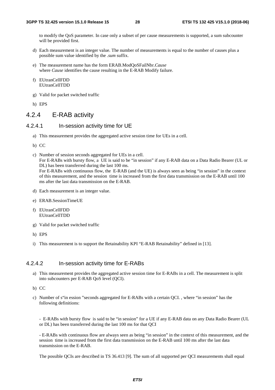to modify the QoS parameter. In case only a subset of per cause measurements is supported, a sum subcounter will be provided first.

- d) Each measurement is an integer value. The number of measurements is equal to the number of causes plus a possible sum value identified by the *.sum* suffix.
- e) The measurement name has the form ERAB.ModQoSFailNbr.*Cause* where *Cause* identifies the cause resulting in the E-RAB Modify failure.
- f) EUtranCellFDD EUtranCellTDD
- g) Valid for packet switched traffic
- h) EPS

# 4.2.4 E-RAB activity

### 4.2.4.1 In-session activity time for UE

- a) This measurement provides the aggregated active session time for UEs in a cell.
- b) CC
- c) Number of session seconds aggregated for UEs in a cell. For E-RABs with bursty flow, a UE is said to be "in session" if any E-RAB data on a Data Radio Bearer (UL or DL) has been transferred during the last 100 ms.

For E-RABs with continuous flow, the E-RAB (and the UE) is always seen as being "in session" in the context of this measurement, and the session time is increased from the first data transmission on the E-RAB until 100 ms after the last data transmission on the E-RAB.

- d) Each measurement is an integer value.
- e) ERAB.SessionTimeUE
- f) EUtranCellFDD EUtranCellTDD
- g) Valid for packet switched traffic
- h) EPS
- i) This measurement is to support the Retainability KPI "E-RAB Retainability" defined in [13].

#### 4.2.4.2 In-session activity time for E-RABs

- a) This measurement provides the aggregated active session time for E-RABs in a cell. The measurement is split into subcounters per E-RAB QoS level (QCI).
- b) CC
- c) Number of s"in ession "seconds aggregated for E-RABs with a certain QCI. , where "in session" has the following definitions:

- E-RABs with bursty flow is said to be "in session" for a UE if any E-RAB data on any Data Radio Bearer (UL or DL) has been transferred during the last 100 ms for that QCI

- E-RABs with continuous flow are always seen as being "in session" in the context of this measurement, and the session time is increased from the first data transmission on the E-RAB until 100 ms after the last data transmission on the E-RAB.

The possible QCIs are described in TS 36.413 [9]. The sum of all supported per QCI measurements shall equal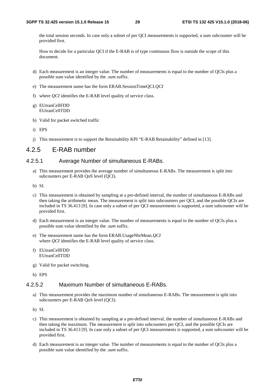the total session seconds. In case only a subset of per QCI measurements is supported, a sum subcounter will be provided first.

How to decide for a particular QCI if the E-RAB is of type continuous flow is outside the scope of this document.

- d) Each measurement is an integer value. The number of measurements is equal to the number of QCIs plus a possible sum value identified by the *.sum* suffix.
- e) The measurement name has the form ERAB.SessionTimeQCI.*QCI*
- f) where *QCI* identifies the E-RAB level quality of service class.
- g) EUtranCellFDD EUtranCellTDD
- h) Valid for packet switched traffic
- i) EPS
- j) This measurement is to support the Retainability KPI "E-RAB Retainability" defined in [13].

# 4.2.5 E-RAB number

### 4.2.5.1 Average Number of simultaneous E-RABs.

- a) This measurement provides the average number of simultaneous E-RABs. The measurement is split into subcounters per E-RAB QoS level (QCI).
- b) SI.
- c) This measurement is obtained by sampling at a pre-defined interval, the number of simultaneous E-RABs and then taking the arithmetic mean. The measurement is split into subcounters per QCI, and the possible QCIs are included in TS 36.413 [9]. In case only a subset of per QCI measurements is supported, a sum subcounter will be provided first.
- d) Each measurement is an integer value. The number of measurements is equal to the number of QCIs plus a possible sum value identified by the *.sum* suffix.
- e) The measurement name has the form ERAB.UsageNbrMean.*QCI*  where *QCI* identifies the E-RAB level quality of service class.
- f) EUtranCellFDD EUtranCellTDD
- g) Valid for packet switching.
- h) EPS

#### 4.2.5.2 Maximum Number of simultaneous E-RABs.

- a) This measurement provides the maximum number of simultaneous E-RABs. The measurement is split into subcounters per E-RAB QoS level (QCI).
- b) SI.
- c) This measurement is obtained by sampling at a pre-defined interval, the number of simultaneous E-RABs and then taking the maximum. The measurement is split into subcounters per QCI, and the possible QCIs are included in TS 36.413 [9]. In case only a subset of per QCI measurements is supported, a sum subcounter will be provided first.
- d) Each measurement is an integer value. The number of measurements is equal to the number of QCIs plus a possible sum value identified by the *.sum* suffix.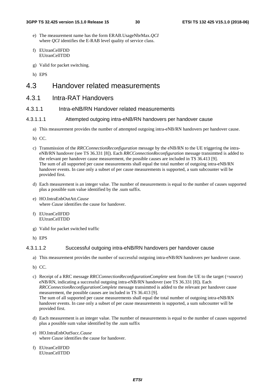- e) The measurement name has the form ERAB.UsageNbrMax.*QCI*  where *QCI* identifies the E-RAB level quality of service class.
- f) EUtranCellFDD EUtranCellTDD
- g) Valid for packet switching.
- h) EPS

# 4.3 Handover related measurements

### 4.3.1 Intra-RAT Handovers

#### 4.3.1.1 Intra-eNB/RN Handover related measurements

#### 4.3.1.1.1 Attempted outgoing intra-eNB/RN handovers per handover cause

- a) This measurement provides the number of attempted outgoing intra-eNB/RN handovers per handover cause.
- b) CC.
- c) Transmission of the *RRCConnectionReconfiguration* message by the eNB/RN to the UE triggering the intraeNB/RN handover (see TS 36.331 [8]). Each *RRCConnectionReconfiguration* message transimtted is added to the relevant per handover cause measurement, the possible causes are included in TS 36.413 [9]. The sum of all supported per cause measurements shall equal the total number of outgoing intra-eNB/RN handover events. In case only a subset of per cause measurements is supported, a sum subcounter will be provided first.
- d) Each measurement is an integer value. The number of measurements is equal to the number of causes supported plus a possible sum value identified by the .sum suffix.
- e) HO.IntraEnbOutAtt.*Cause* where *Cause* identifies the cause for handover.
- f) EUtranCellFDD EUtranCellTDD
- g) Valid for packet switched traffic
- h) EPS

#### 4.3.1.1.2 Successful outgoing intra-eNB/RN handovers per handover cause

a) This measurement provides the number of successful outgoing intra-eNB/RN handovers per handover cause.

- b) CC.
- c) Receipt of a RRC message *RRCConnectionReconfigurationComplete* sent from the UE to the target (=source) eNB/RN, indicating a successful outgoing intra-eNB/RN handover (see TS 36.331 [8]). Each *RRCConnectionReconfigurationComplete* message transimtted is added to the relevant per handover cause measurement, the possible causes are included in TS 36.413 [9]. The sum of all supported per cause measurements shall equal the total number of outgoing intra-eNB/RN handover events. In case only a subset of per cause measurements is supported, a sum subcounter will be provided first.
- d) Each measurement is an integer value. The number of measurements is equal to the number of causes supported plus a possible sum value identified by the .sum suffix
- e) HO.IntraEnbOutSucc.*Cause* where *Cause* identifies the cause for handover.
- f) EUtranCellFDD EUtranCellTDD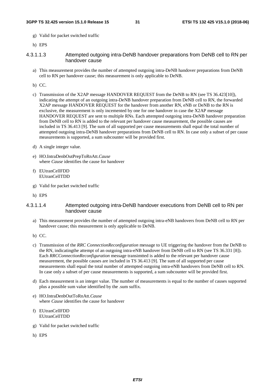- g) Valid for packet switched traffic
- h) EPS
- 4.3.1.1.3 Attempted outgoing intra-DeNB handover preparations from DeNB cell to RN per handover cause
	- a) This measurement provides the number of attempted outgoing intra-DeNB handover preparations from DeNB cell to RN per handover cause; this measurement is only applicable to DeNB.
	- b) CC.
	- c) Transmission of the X2AP message HANDOVER REQUEST from the DeNB to RN (see TS 36.423[10]), indicating the attempt of an outgoing intra-DeNB handover preparation from DeNB cell to RN, the forwarded X2AP message HANDOVER REQUEST for the handover from another RN, eNB or DeNB to the RN is exclusive, the measurement is only incemented by one for one handover in case the X2AP message HANDOVER REQUEST are sent to multiple RNs. Each attempted outgoing intra-DeNB handover preparation from DeNB cell to RN is added to the relevant per handover cause measurement, the possible causes are included in TS 36.413 [9]. The sum of all supported per cause measurements shall equal the total number of attempted outgoing intra-DeNB handover preparations from DeNB cell to RN. In case only a subset of per cause measurements is supported, a sum subcounter will be provided first.
	- d) A single integer value.
	- e) HO.IntraDenbOutPrepToRnAtt.*Cause w*here *Cause* identifies the cause for handover
	- f) EUtranCellFDD EUtranCellTDD
	- g) Valid for packet switched traffic
	- h) EPS

#### 4.3.1.1.4 Attempted outgoing intra-DeNB handover executions from DeNB cell to RN per handover cause

- a) This measurement provides the number of attempted outgoing intra-eNB handovers from DeNB cell to RN per handover cause; this measurement is only applicable to DeNB.
- b) CC.
- c) Transmission of the *RRC ConnectionReconfiguration* message to UE triggering the handover from the DeNB to the RN, indicatingthe attempt of an outgoing intra-eNB handover from DeNB cell to RN (see TS 36.331 [8]). Each *RRCConnectionReconfiguration* message transimtted is added to the relevant per handover cause measurement, the possible causes are included in TS 36.413 [9]. The sum of all supported per cause measurements shall equal the total number of attempted outgoing intra-eNB handovers from DeNB cell to RN. In case only a subset of per cause measurements is supported, a sum subcounter will be provided first.
- d) Each measurement is an integer value. The number of measurements is equal to the number of causes supported plus a possible sum value identified by the .sum suffix.
- e) HO.IntraDenbOutToRnAtt.*Cause w*here *Cause* identifies the cause for handover
- f) EUtranCellFDD EUtranCellTDD
- g) Valid for packet switched traffic
- h) EPS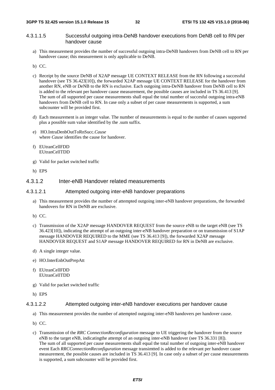#### 4.3.1.1.5 Successful outgoing intra-DeNB handover executions from DeNB cell to RN per handover cause

- a) This measurement provides the number of successful outgoing intra-DeNB handovers from DeNB cell to RN per handover cause; this measurement is only applicable to DeNB.
- b) CC.
- c) Receipt by the source DeNB of X2AP message UE CONTEXT RELEASE from the RN following a successful handover (see TS 36.423[10]), the forwarded X2AP message UE CONTEXT RELEASE for the handover from another RN, eNB or DeNB to the RN is exclusive. Each outgoing intra-DeNB handover from DeNB cell to RN is added to the relevant per handover cause measurement, the possible causes are included in TS 36.413 [9]. The sum of all supported per cause measurements shall equal the total number of succesful outgoing intra-eNB handovers from DeNB cell to RN. In case only a subset of per cause measurements is supported, a sum subcounter will be provided first.
- d) Each measurement is an integer value. The number of measurements is equal to the number of causes supported plus a possible sum value identified by the .sum suffix.
- e) HO.IntraDenbOutToRnSucc.*Cause* where *Cause* identifies the cause for handover.
- f) EUtranCellFDD EUtranCellTDD
- g) Valid for packet switched traffic
- h) EPS

#### 4.3.1.2 Inter-eNB Handover related measurements

#### 4.3.1.2.1 Attempted outgoing inter-eNB handover preparations

- a) This measurement provides the number of attempted outgoing inter-eNB handover preparations, the forwarded handovers for RN in DeNB are exclusive.
- b) CC.
- c) Transmission of the X2AP message HANDOVER REQUEST from the source eNB to the target eNB (see TS 36.423[10]), indicating the attempt of an outgoing inter-eNB handover preparation or on transmission of S1AP message HANDOVER REQUIRED to the MME (see TS 36.413 [9]), the forwarded X2AP message HANDOVER REQUEST and S1AP message HANDOVER REQUIRED for RN in DeNB are exclusive.
- d) A single integer value.
- e) HO.InterEnbOutPrepAtt
- f) EUtranCellFDD EUtranCellTDD
- g) Valid for packet switched traffic
- h) EPS

#### 4.3.1.2.2 Attempted outgoing inter-eNB handover executions per handover cause

- a) This measurement provides the number of attempted outgoing inter-eNB handovers per handover cause.
- b) CC.
- c) Transmission of the *RRC ConnectionReconfiguration* message to UE triggering the handover from the source eNB to the target eNB, indicatingthe attempt of an outgoing inter-eNB handover (see TS 36.331 [8]). The sum of all supported per cause measurements shall equal the total number of outgoing inter-eNB handover event Each *RRCConnectionReconfiguration* message transimtted is added to the relevant per handover cause measurement, the possible causes are included in TS 36.413 [9]. In case only a subset of per cause measurements is supported, a sum subcounter will be provided first.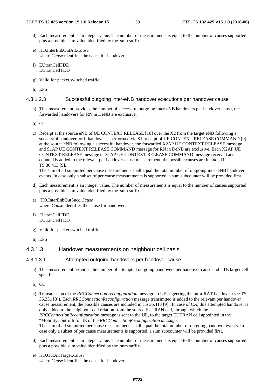- d) Each measurement is an integer value. The number of measurements is equal to the number of causes supported plus a possible sum value identified by the .sum suffix.
- e) HO.InterEnbOutAtt.*Cause w*here *Cause* identifies the cause for handover
- f) EUtranCellFDD EUtranCellTDD
- g) Valid for packet switched traffic
- h) EPS

#### 4.3.1.2.3 Successful outgoing inter-eNB handover executions per handover cause

- a) This measurement provides the number of successful outgoing inter-eNB handovers per handover cause, the forwarded handovers for RN in DeNB are exclusive.
- b) CC.
- c) Receipt at the source eNB of UE CONTEXT RELEASE [10] over the X2 from the target eNB following a successful handover, or if handover is performed via S1, receipt of UE CONTEXT RELEASE COMMAND [9] at the source eNB following a successful handover, the forwarded X2AP UE CONTEXT RELEASE message and S1AP UE CONTEXT RELEASE COMMAND message for RN in DeNB are exclusive. Each X2AP UE CONTEXT RELEASE message or S1AP UE CONTEXT RELEASE COMMAND message received and counted is added to the relevant per handover cause measurement, the possible causes are included in TS 36.413 [9].

The sum of all supported per cause measurements shall equal the total number of outgoing inter-eNB handover events. In case only a subset of per cause measurements is supported, a sum subcounter will be provided first.

- d) Each measurement is an integer value. The number of measurements is equal to the number of causes supported plus a possible sum value identified by the .sum suffix.
- e) HO.InterEnbOutSucc.*Cause* where *Cause* identifies the cause for handover.
- f) EUtranCellFDD EUtranCellTDD
- g) Valid for packet switched traffic
- h) EPS

#### 4.3.1.3 Handover measurements on neighbour cell basis

#### 4.3.1.3.1 Attempted outgoing handovers per handover cause

- a) This measurement provides the number of attempted outgoing handovers per handover cause and LTE target cell specific.
- b) CC.
- c) Transmission of the *RRCConnection reconfiguration* message to UE triggering the intra-RAT handover (see TS 36.331 [8]). Each *RRCConnectionReconfiguration* message transimtted is added to the relevant per handover cause measurement, the possible causes are included in TS 36.413 [9] . In case of CA, this attempted handover is only added to the neighbour cell relation from the source EUTRAN cell, through which the *RRCConnectionReconfiguration* message is sent to the UE, to the target EUTRAN cell appointed in the "MobilityControlInfo" IE of the *RRCConnectionReconfiguration message*. The sum of all supported per cause measurements shall equal the total number of outgoing handover events. In case only a subset of per cause measurements is supported, a sum subcounter will be provided first.
- d) Each measurement is an integer value. The number of measurements is equal to the number of causes supported plus a possible sum value identified by the .sum suffix.
- e) HO.OutAttTarget.*Cause w*here *Cause* identifies the cause for handover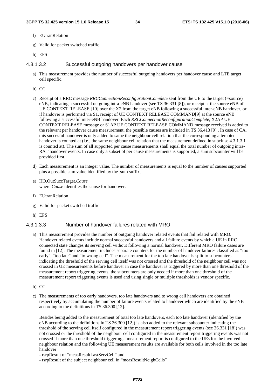- f) EUtranRelation
- g) Valid for packet switched traffic
- h) EPS

#### 4.3.1.3.2 Successful outgoing handovers per handover cause

- a) This measurement provides the number of successful outgoing handovers per handover cause and LTE target cell specific.
- b) CC.
- c) Receipt of a RRC message *RRCConnectionReconfigurationComplete* sent from the UE to the target (=source) eNB, indicating a successful outgoing intra-eNB handover (see TS 36.331 [8]), or receipt at the source eNB of UE CONTEXT RELEASE [10] over the X2 from the target eNB following a successful inter-eNB handover, or if handover is performed via S1, receipt of UE CONTEXT RELEASE COMMAND[9] at the source eNB following a successful inter-eNB handover. Each *RRCConnectionReconfigurationComplete*, X2AP UE CONTEXT RELEASE message or S1AP UE CONTEXT RELEASE COMMAND message received is added to the relevant per handover cause measurement, the possible causes are included in TS 36.413 [9] . In case of CA, this succesful handover is only added to same the neighbour cell relation that the corresponding attempted handover is counted at (i.e., the same neighbour cell relation that the measurement defined in subcluse 4.3.1.3.1 is counted at). The sum of all supported per cause measurements shall equal the total number of outgoing intra-RAT handover events. In case only a subset of per cause measurements is supported, a sum subcounter will be provided first.
- d) Each measurement is an integer value. The number of measurements is equal to the number of causes supported plus a possible sum value identified by the .sum suffix.
- e) HO.OutSuccTarget.*Cause* where *Cause* identifies the cause for handover.
- f) EUtranRelation
- g) Valid for packet switched traffic
- h) EPS

#### 4.3.1.3.3 Number of handover failures related with MRO

- a) This measurement provides the number of outgoing handover related events that fail related with MRO. Handover related events include normal successful handovers and all failure events by which a UE in RRC connected state changes its serving cell without following a normal handover. Different MRO failure cases are found in [12]. The measurement includes separate counters for the number of handover failures classified as "too early", "too late" and "to wrong cell". The measurement for the too late handover is split to subcounters indicating the threshold of the serving cell itself was not crossed and the threshold of the neighbour cell was not crossed in UE measurements before handover in case the handover is triggered by more than one threshold of the measurement report triggering events, the subcounters are only needed if more than one threshold of the measurement report triggering events is used and using single or multiple thresholds is vendor specific.
- b) CC
- c) The measurements of too early handovers, too late handovers and to wrong cell handovers are obtained respectively by accumulating the number of failure events related to handover which are identified by the eNB according to the definitions in TS 36.300 [12].

Besides being added to the measurement of total too late handovers, each too late handover (identified by the eNB according to the definitions in TS 36.300 [12]) is also added to the relevant subcounter indicating the threshold of the serving cell itself configured in the measurement report triggering events (see 36.331 [18]) was not crossed or the threshold of the neighbour cell configured in the measurement report triggering events was not crossed if more than one threshold triggering a measurement report is configured to the UEs for the involved neighbour relation and the following UE measurement results are available for both cells involved in the too late handover

- rsrpResult of "measResultLastServCell" and
- rsrpResult of the subject neighbour cell in "measResultNeighCells"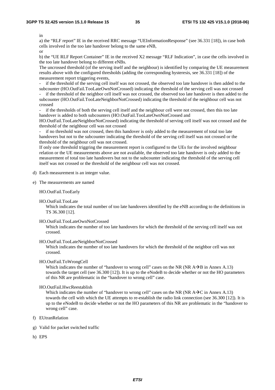in

a) the "RLF report" IE in the received RRC message "UEInformationResponse" (see 36.331 [18]), in case both cells involved in the too late handover belong to the same eNB,

or

b) the "UE RLF Report Container" IE in the received X2 message "RLF Indication", in case the cells involved in the too late handover belong to different eNBs.

The uncrossed threshold (of the serving itself and the neighbour) is identified by comparing the UE measurement results above with the configured thresholds (adding the corresponding hysteresis, see 36.331 [18]) of the measurement report triggering events,

if the threshold of the serving cell itself was not crossed, the observed too late handover is then added to the subcounter (HO.OutFail.TooLateOwnNotCrossed) indicating the threshold of the serving cell was not crossed

if the threshold of the neighbor cell itself was not crossed, the observed too late handover is then added to the subcounter (HO.OutFail.TooLateNeighborNotCrossed) indicating the threshold of the neighbour cell was not crossed

- if the thresholds of both the serving cell itself and the neighbour cell were not crossed, then this too late handover is added to both subcounters (HO.OutFail.TooLateOwnNotCrossed and

HO.OutFail.TooLateNeighborNotCrossed) indicating the threshold of serving cell itself was not crossed and the threshold of the neighbour cell was not crossed

if no threshold was not crossed, then this handover is only added to the measurement of total too late handovers but not to the subcounter indicating the threshold of the serving cell itself was not crossed or the threshold of the neighbour cell was not crossed.

If only one threshold triggring the measurement report is configured to the UEs for the involved neighbour relation or the UE measurements above are not available, the observed too late handover is only added to the measurement of total too late handovers but not to the subcounter indicating the threshold of the serving cell itself was not crossed or the threshold of the neighbour cell was not crossed.

- d) Each measurement is an integer value.
- e) The measurements are named

#### HO.OutFail.TooEarly

HO.OutFail.TooLate

Which indicates the total number of too late handovers identified by the eNB according to the definitions in TS 36.300 [12].

#### HO.OutFail.TooLateOwnNotCrossed

Which indicates the number of too late handovers for which the threshold of the serving cell itself was not crossed.

#### HO.OutFail.TooLateNeighborNotCrossed

Which indicates the number of too late handovers for which the threshold of the neighbor cell was not crossed.

HO.OutFail.ToWrongCell

Which indicates the number of "handover to wrong cell" cases on the NR (NR  $A\rightarrow B$  in Annex A.13) towards the target cell (see 36.300 [12]). It is up to the eNodeB to decide whether or not the HO parameters of this NR are problematic in the "handover to wrong cell" case.

HO.OutFail.HwcReestablish

Which indicates the number of "handover to wrong cell" cases on the NR (NR  $A\rightarrow C$  in Annex A.13) towards the cell with which the UE attempts to re-establish the radio link connection (see 36.300 [12]). It is up to the eNodeB to decide whether or not the HO parameters of this NR are problematic in the "handover to wrong cell" case.

- f) EUtranRelation
- g) Valid for packet switched traffic
- h) EPS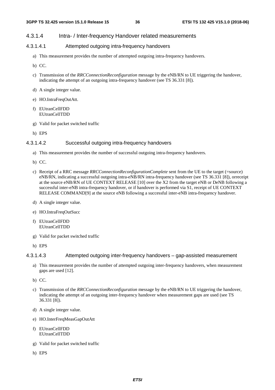#### 4.3.1.4 Intra- / Inter-frequency Handover related measurements

#### 4.3.1.4.1 Attempted outgoing intra-frequency handovers

- a) This measurement provides the number of attempted outgoing intra-frequency handovers.
- b) CC.
- c) Transmission of the *RRCConnectionReconfiguration* message by the eNB/RN to UE triggering the handover, indicating the attempt of an outgoing intra-frequency handover (see TS 36.331 [8]).
- d) A single integer value.
- e) HO.IntraFreqOutAtt.
- f) EUtranCellFDD EUtranCellTDD
- g) Valid for packet switched traffic
- h) EPS

#### 4.3.1.4.2 Successful outgoing intra-frequency handovers

- a) This measurement provides the number of successful outgoing intra-frequency handovers.
- b) CC.
- c) Receipt of a RRC message *RRCConnectionReconfigurationComplete* sent from the UE to the target (=source) eNB/RN, indicating a successful outgoing intra-eNB/RN intra-frequency handover (see TS 36.331 [8]), orreceipt at the source eNB/RN of UE CONTEXT RELEASE [10] over the X2 from the target eNB or DeNB following a successful inter-eNB intra-frequency handover, or if handover is performed via S1, receipt of UE CONTEXT RELEASE COMMAND[9] at the source eNB following a successful inter-eNB intra-frequency handover.
- d) A single integer value.
- e) HO.IntraFreqOutSucc
- f) EUtranCellFDD EUtranCellTDD
- g) Valid for packet switched traffic
- h) EPS

#### 4.3.1.4.3 Attempted outgoing inter-frequency handovers – gap-assisted measurement

- a) This measurement provides the number of attempted outgoing inter-frequency handovers, when measurement gaps are used [12].
- b) CC.
- c) Transmission of the *RRCConnectionReconfiguration* message by the eNB/RN to UE triggering the handover, indicating the attempt of an outgoing inter-frequency handover when measurement gaps are used (see TS 36.331 [8]).
- d) A single integer value.
- e) HO.InterFreqMeasGapOutAtt
- f) EUtranCellFDD EUtranCellTDD
- g) Valid for packet switched traffic
- h) EPS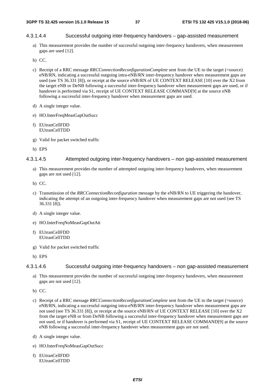#### 4.3.1.4.4 Successful outgoing inter-frequency handovers – gap-assisted measurement

a) This measurement provides the number of successful outgoing inter-frequency handovers, when measurement gaps are used [12].

b) CC.

- c) Receipt of a RRC message *RRCConnectionReconfigurationComplete* sent from the UE to the target (=source) eNB/RN, indicating a successful outgoing intra-eNB/RN inter-frequency handover when measurement gaps are used (see TS 36.331 [8]), or receipt at the source eNB/RN of UE CONTEXT RELEASE [10] over the X2 from the target eNB or DeNB following a successful inter-frequency handover when measurement gaps are used, or if handover is performed via S1, receipt of UE CONTEXT RELEASE COMMAND[9] at the source eNB following a successful inter-frequency handover when measurement gaps are used.
- d) A single integer value.
- e) HO.InterFreqMeasGapOutSucc
- f) EUtranCellFDD EUtranCellTDD
- g) Valid for packet switched traffic
- h) EPS

#### 4.3.1.4.5 Attempted outgoing inter-frequency handovers – non gap-assisted measurement

- a) This measurement provides the number of attempted outgoing inter-frequency handovers, when measurement gaps are not used [12].
- b) CC.
- c) Transmission of the *RRCConnectionReconfiguration* message by the eNB/RN to UE triggering the handover, indicating the attempt of an outgoing inter-frequency handover when measurement gaps are not used (see TS 36.331 [8]).
- d) A single integer value.
- e) HO.InterFreqNoMeasGapOutAtt
- f) EUtranCellFDD EUtranCellTDD
- g) Valid for packet switched traffic
- h) EPS

#### 4.3.1.4.6 Successful outgoing inter-frequency handovers – non gap-assisted measurement

- a) This measurement provides the number of successful outgoing inter-frequency handovers, when measurement gaps are not used [12].
- b) CC.
- c) Receipt of a RRC message *RRCConnectionReconfigurationComplete* sent from the UE to the target (=source) eNB/RN, indicating a successful outgoing intra-eNB/RN inter-frequency handover when measurement gaps are not used (see TS 36.331 [8]), or receipt at the source eNB/RN of UE CONTEXT RELEASE [10] over the X2 from the target eNB or from DeNB following a successful inter-frequency handover when measurement gaps are not used, or if handover is performed via S1, receipt of UE CONTEXT RELEASE COMMAND[9] at the source eNB following a successful inter-frequency handover when measurement gaps are not used.
- d) A single integer value.
- e) HO.InterFreqNoMeasGapOutSucc
- f) EUtranCellFDD EUtranCellTDD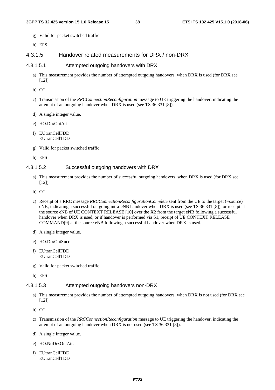- g) Valid for packet switched traffic
- h) EPS

### 4.3.1.5 Handover related measurements for DRX / non-DRX

#### 4.3.1.5.1 Attempted outgoing handovers with DRX

- a) This measurement provides the number of attempted outgoing handovers, when DRX is used (for DRX see  $[12]$ ).
- b) CC.
- c) Transmission of the *RRCConnectionReconfiguration* message to UE triggering the handover, indicating the attempt of an outgoing handover when DRX is used (see TS 36.331 [8]).
- d) A single integer value.
- e) HO.DrxOutAtt
- f) EUtranCellFDD EUtranCellTDD
- g) Valid for packet switched traffic
- h) EPS

#### 4.3.1.5.2 Successful outgoing handovers with DRX

- a) This measurement provides the number of successful outgoing handovers, when DRX is used (for DRX see  $[12]$ ).
- b) CC.
- c) Receipt of a RRC message *RRCConnectionReconfigurationComplete* sent from the UE to the target (=source) eNB, indicating a successful outgoing intra-eNB handover when DRX is used (see TS 36.331 [8]), or receipt at the source eNB of UE CONTEXT RELEASE [10] over the X2 from the target eNB following a successful handover when DRX is used, or if handover is performed via S1, receipt of UE CONTEXT RELEASE COMMAND[9] at the source eNB following a successful handover when DRX is used.
- d) A single integer value.
- e) HO.DrxOutSucc
- f) EUtranCellFDD EUtranCellTDD
- g) Valid for packet switched traffic
- h) EPS

#### 4.3.1.5.3 Attempted outgoing handovers non-DRX

- a) This measurement provides the number of attempted outgoing handovers, when DRX is not used (for DRX see  $[12]$ ).
- b) CC.
- c) Transmission of the *RRCConnectionReconfiguration* message to UE triggering the handover, indicating the attempt of an outgoing handover when DRX is not used (see TS 36.331 [8]).
- d) A single integer value.
- e) HO.NoDrxOutAtt.
- f) EUtranCellFDD EUtranCellTDD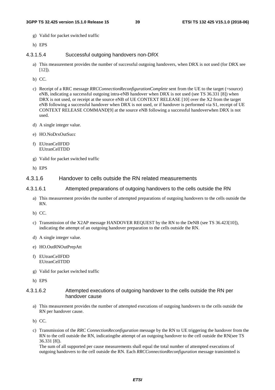- g) Valid for packet switched traffic
- h) EPS

#### 4.3.1.5.4 Successful outgoing handovers non-DRX

- a) This measurement provides the number of successful outgoing handovers, when DRX is not used (for DRX see  $[12]$ ).
- b) CC.
- c) Receipt of a RRC message *RRCConnectionReconfigurationComplete* sent from the UE to the target (=source) eNB, indicating a successful outgoing intra-eNB handover when DRX is not used (see TS 36.331 [8]) when DRX is not used, or receipt at the source eNB of UE CONTEXT RELEASE [10] over the X2 from the target eNB following a successful handover when DRX is not used, or if handover is performed via S1, receipt of UE CONTEXT RELEASE COMMAND[9] at the source eNB following a successful handoverwhen DRX is not used.
- d) A single integer value.
- e) HO.NoDrxOutSucc
- f) EUtranCellFDD EUtranCellTDD
- g) Valid for packet switched traffic
- h) EPS
- 4.3.1.6 Handover to cells outside the RN related measurements
- 4.3.1.6.1 Attempted preparations of outgoing handovers to the cells outside the RN
	- a) This measurement provides the number of attempted preparations of outgoing handovers to the cells outside the RN.
	- b) CC.
	- c) Transmission of the X2AP message HANDOVER REQUEST by the RN to the DeNB (see TS 36.423[10]), indicating the attempt of an outgoing handover preparation to the cells outside the RN.
	- d) A single integer value.
	- e) HO.OutRNOutPrepAtt
	- f) EUtranCellFDD EUtranCellTDD
	- g) Valid for packet switched traffic
	- h) EPS

#### 4.3.1.6.2 Attempted executions of outgoing handover to the cells outside the RN per handover cause

- a) This measurement provides the number of attempted executions of outgoing handovers to the cells outside the RN per handover cause.
- b) CC.
- c) Transmission of the *RRC ConnectionReconfiguration* message by the RN to UE triggering the handover from the RN to the cell outside the RN, indicatingthe attempt of an outgoing handover to the cell outside the RN(see TS 36.331 [8]).

The sum of all supported per cause measurements shall equal the total number of attempted executions of outgoing handovers to the cell outside the RN. Each *RRCConnectionReconfiguration* message transimtted is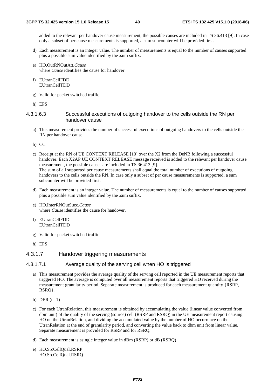added to the relevant per handover cause measurement, the possible causes are included in TS 36.413 [9]. In case only a subset of per cause measurements is supported, a sum subcounter will be provided first.

- d) Each measurement is an integer value. The number of measurements is equal to the number of causes supported plus a possible sum value identified by the .sum suffix.
- e) HO.OutRNOutAtt.*Cause w*here *Cause* identifies the cause for handover
- f) EUtranCellFDD EUtranCellTDD
- g) Valid for packet switched traffic
- h) EPS

#### 4.3.1.6.3 Successful executions of outgoing handover to the cells outside the RN per handover cause

- a) This measurement provides the number of successful executions of outgoing handovers to the cells outside the RN per handover cause.
- b) CC.
- c) Receipt at the RN of UE CONTEXT RELEASE [10] over the X2 from the DeNB following a successful handover. Each X2AP UE CONTEXT RELEASE message received is added to the relevant per handover cause measurement, the possible causes are included in TS 36.413 [9]. The sum of all supported per cause measurements shall equal the total number of executions of outgoing handovers to the cells outside the RN. In case only a subset of per cause measurements is supported, a sum subcounter will be provided first.
- d) Each measurement is an integer value. The number of measurements is equal to the number of causes supported plus a possible sum value identified by the .sum suffix.
- e) HO.InterRNOutSucc.*Cause* where *Cause* identifies the cause for handover.
- f) EUtranCellFDD EUtranCellTDD
- g) Valid for packet switched traffic
- h) EPS

#### 4.3.1.7 Handover triggering measurements

#### 4.3.1.7.1 Average quality of the serving cell when HO is triggered

- a) This measurement provides the average quality of the serving cell reported in the UE measurement reports that triggered HO. The average is computed over all measurement reports that triggered HO received during the measurement granularity period. Separate measurement is produced for each measurement quantity {RSRP, RSRQ}.
- b) DER  $(n=1)$
- c) For each UtranRelation, this measurement is obtained by accumulating the value (linear value converted from dbm unit) of the quality of the serving (source) cell (RSRP and RSRQ) in the UE measurement report causing HO on the UtranRelation, and dividing the accumulated value by the number of HO occurrence on the UtranRelation at the end of granularity period, and converting the value back to dbm unit from linear value. Separate measurement is provided for RSRP and for RSRQ.
- d) Each measurement is asingle integer value in dBm (RSRP) or dB (RSRQ)
- e) HO.SrcCellQual.RSRP HO.SrcCellQual.RSRQ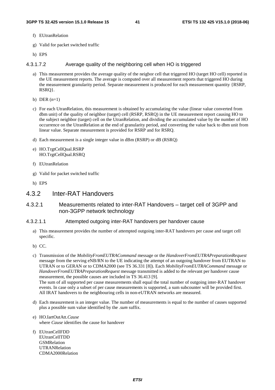- f) EUtranRelation
- g) Valid for packet switched traffic
- h) EPS

#### 4.3.1.7.2 Average quality of the neighboring cell when HO is triggered

- a) This measurement provides the average quality of the neigbor cell that triggered HO (target HO cell) reported in the UE measurement reports. The average is computed over all measurement reports that triggered HO during the measurement granularity period. Separate measurement is produced for each measurement quantity {RSRP, RSRQ}.
- b) DER  $(n=1)$
- c) For each UtranRelation, this measurement is obtained by accumulating the value (linear value converted from dbm unit) of the quality of neighbor (target) cell (RSRP, RSRQ) in the UE measurement report causing HO to the subject neighbor (target) cell on the UtranRelation, and dividing the accumulated value by the number of HO occurrence on the UtranRelation at the end of granularity period, and converting the value back to dbm unit from linear value. Separate measurement is provided for RSRP and for RSRQ.
- d) Each measurement is a single integer value in dBm (RSRP) or dB (RSRQ)
- e) HO.TrgtCellQual.RSRP HO.TrgtCellQual.RSRQ
- f) EUtranRelation
- g) Valid for packet switched traffic
- h) EPS

# 4.3.2 Inter-RAT Handovers

4.3.2.1 Measurements related to inter-RAT Handovers – target cell of 3GPP and non-3GPP network technology

#### 4.3.2.1.1 Attempted outgoing inter-RAT handovers per handover cause

- a) This measurement provides the number of attempted outgoing inter-RAT handovers per cause and target cell specific.
- b) CC.
- c) Transmission of the *MobilityFromEUTRACommand* message or the *HandoverFromEUTRAPreparationRequest* message from the serving eNB/RN to the UE indicating the attempt of an outgoing handover from EUTRAN to UTRAN or to GERAN or to CDMA2000 (see TS 36.331 [8]). Each *MobilityFromEUTRACommand* message or *HandoverFromEUTRAPreparationRequest* message transmitted is added to the relevant per handover cause measurement, the possible causes are included in TS 36.413 [9]. The sum of all supported per cause measurements shall equal the total number of outgoing inter-RAT handover events. In case only a subset of per cause measurements is supported, a sum subcounter will be provided first. All IRAT handovers to the neighbouring cells in non-eUTRAN networks are measured.
- d) Each measurement is an integer value. The number of measurements is equal to the number of causes supported plus a possible sum value identified by the *.sum* suffix.
- e) HO.IartOutAtt.*Cause w*here *Cause* identifies the cause for handover
- f) EUtranCellFDD EUtranCellTDD **GSMRelation** UTRANRelation CDMA2000Relation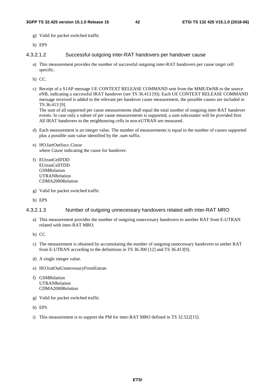- g) Valid for packet switched traffic
- h) EPS

4.3.2.1.2 Successful outgoing inter-RAT handovers per handover cause

a) This measurement provides the number of successful outgoing inter-RAT handovers per cause target cell specific.

b) CC.

c) Receipt of a S1AP message UE CONTEXT RELEASE COMMAND sent from the MME/DeNB to the source eNB, indicating a successful IRAT handover (see TS 36.413 [9]). Each UE CONTEXT RELEASE COMMAND message received is added to the relevant per handover cause measurement, the possible causes are included in TS 36.413 [9].

The sum of all supported per cause measurements shall equal the total number of outgoing inter-RAT handover events. In case only a subset of per cause measurements is supported, a sum subcounter will be provided first. All IRAT handovers to the neighbouring cells in non-eUTRAN are measured.

- d) Each measurement is an integer value. The number of measurements is equal to the number of causes supported plus a possible sum value identified by the *.sum* suffix.
- e) HO.IartOutSucc.*Cause w*here *Cause* indicating the cause for handover.

f) EUtranCellFDD EUtranCellTDD **GSMRelation UTRANRelation** CDMA2000Relation

- g) Valid for packet switched traffic
- h) EPS

#### 4.3.2.1.3 Number of outgoing unnecessary handovers related with inter-RAT MRO

a) This measurement provides the number of outgoing unnecessary handovers to another RAT from E-UTRAN related with inter-RAT MRO.

b) CC

- c) The measurement is obtained by accumulating the number of outgoing unnecessary handovers to anther RAT from E-UTRAN according to the definitions in TS 36.300 [12] and TS 36.413[9].
- d) A single integer value.
- e) HO.IratOutUnnecessaryFromEutran
- f) GSMRelation UTRANRelation CDMA2000Relation
- g) Valid for packet switched traffic
- h) EPS
- i) This measurement is to support the PM for inter-RAT MRO defined in TS 32.522[15].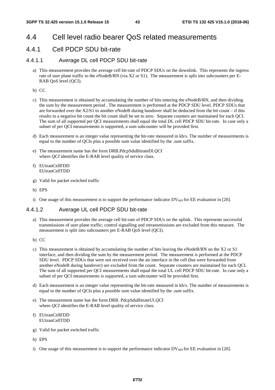# 4.4 Cell level radio bearer QoS related measurements

# 4.4.1 Cell PDCP SDU bit-rate

#### 4.4.1.1 Average DL cell PDCP SDU bit-rate

- a) This measurement provides the average cell bit-rate of PDCP SDUs on the downlink. This represents the ingress rate of user plane traffic to the eNodeB/RN (via X2 or S1). The measurement is split into subcounters per E-RAB QoS level (QCI).
- b) CC
- c) This measurement is obtained by accumulating the number of bits entering the eNodeB/RN, and then dividing the sum by the measurement period . The measurement is performed at the PDCP SDU level. PDCP SDUs that are forwarded over the X2/S1 to another eNodeB during handover shall be deducted from the bit count – if this results in a negative bit count the bit count shall be set to zero. Separate counters are maintained for each QCI. The sum of all supported per QCI measurements shall equal the total DL cell PDCP SDU bit-rate. In case only a subset of per QCI measurements is supported, a sum subcounter will be provided first.
- d) Each measurement is an integer value representing the bit-rate measured in kb/s. The number of measurements is equal to the number of QCIs plus a possible sum value identified by the *.sum* suffix.
- e) The measurement name has the form DRB.PdcpSduBitrateDl.*QCI* where *OCI* identifies the E-RAB level quality of service class.
- f) EUtranCellFDD EUtranCellTDD
- g) Valid for packet switched traffic
- h) EPS
- i) One usage of this measurement is to support the performance indicator  $DV_{MN}$  for EE evaluation in [20].

#### 4.4.1.2 Average UL cell PDCP SDU bit-rate

- a) This measurement provides the average cell bit-rate of PDCP SDUs on the uplink. This represents successful transmissions of user plane traffic; control signalling and retransmissions are excluded from this measure. The measurement is split into subcounters per E-RAB QoS level (QCI).
- b) CC
- c) This measurement is obtained by accumulating the number of bits leaving the eNodeB/RN on the X2 or S1 interface, and then dividing the sum by the measurement period. The measurement is performed at the PDCP SDU level. PDCP SDUs that were not received over the air interface in the cell (but were forwarded from another eNodeB during handover) are excluded from the count. Separate counters are maintained for each QCI. The sum of all supported per QCI measurements shall equal the total UL cell PDCP SDU bit-rate. In case only a subset of per QCI measurements is supported, a sum subcounter will be provided first.
- d) Each measurement is an integer value representing the bit-rate measured in kb/s. The number of measurements is equal to the number of QCIs plus a possible sum value identified by the *.sum* suffix.
- e) The measurement name has the form DRB. PdcpSduBitrateUl.*QCI* where *QCI* identifies the E-RAB level quality of service class.
- f) EUtranCellFDD EUtranCellTDD
- g) Valid for packet switched traffic
- h) EPS
- i) One usage of this measurement is to support the performance indicator  $DV_{MN}$  for EE evaluation in [20].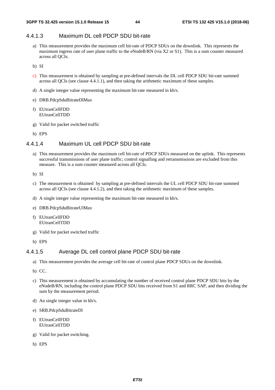#### 4.4.1.3 Maximum DL cell PDCP SDU bit-rate

a) This measurement provides the maximum cell bit-rate of PDCP SDUs on the downlink. This represents the maximum ingress rate of user plane traffic to the eNodeB/RN (via X2 or S1). This is a sum counter measured across all QCIs.

b) SI

- c) This measurement is obtained by sampling at pre-defined intervals the DL cell PDCP SDU bit-rate summed across all QCIs (see clause 4.4.1.1), and then taking the arithmetic maximum of these samples.
- d) A single integer value representing the maximum bit-rate measured in kb/s.
- e) DRB.PdcpSduBitrateDlMax
- f) EUtranCellFDD EUtranCellTDD
- g) Valid for packet switched traffic
- h) EPS

### 4.4.1.4 Maximum UL cell PDCP SDU bit-rate

a) This measurement provides the maximum cell bit-rate of PDCP SDUs measured on the uplink. This represents successful transmissions of user plane traffic; control signalling and retransmissions are excluded from this measure. This is a sum counter measured across all QCIs.

b) SI

- c) The measurement is obtained by sampling at pre-defined intervals the UL cell PDCP SDU bit-rate summed across all QCIs (see clause 4.4.1.2), and then taking the arithmetic maximum of these samples.
- d) A single integer value representing the maximum bit-rate measured in kb/s.
- e) DRB.PdcpSduBitrateUlMax
- f) EUtranCellFDD EUtranCellTDD
- g) Valid for packet switched traffic
- h) EPS

#### 4.4.1.5 Average DL cell control plane PDCP SDU bit-rate

- a) This measurement provides the average cell bit-rate of control plane PDCP SDUs on the downlink.
- b) CC.
- c) This measurement is obtained by accumulating the number of received control plane PDCP SDU bits by the eNodeB/RN, including the control plane PDCP SDU bits received from S1 and RRC SAP, and then dividing the sum by the measurement period.
- d) An single integer value in kb/s.
- e) SRB.PdcpSduBitrateDl
- f) EUtranCellFDD EUtranCellTDD
- g) Valid for packet switching.
- h) EPS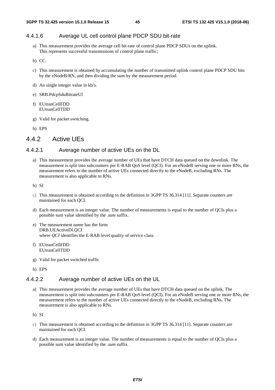### 4.4.1.6 Average UL cell control plane PDCP SDU bit-rate

- a) This measurement provides the average cell bit-rate of control plane PDCP SDUs on the uplink. This represents successful transmissions of control plane traffic;
- b) CC.
- c) This measurement is obtained by accumulating the number of transmitted uplink control plane PDCP SDU bits by the eNodeB/RN, and then dividing the sum by the measurement period.
- d) An single integer value in kb/s.
- e) SRB.PdcpSduBitrateUl
- f) EUtranCellFDD EUtranCellTDD
- g) Valid for packet switching.
- h) EPS

## 4.4.2 Active UEs

# 4.4.2.1 Average number of active UEs on the DL

- a) This measurement provides the average number of UEs that have DTCH data queued on the downlink. The measurement is split into subcounters per E-RAB QoS level (QCI). For an eNodeB serving one or more RNs, the measurement refers to the number of active UEs connected directly to the eNodeB, excluding RNs. The measurement is also applicable to RNs.
- b) SI
- c) This measurement is obtained according to the definition in 3GPP TS 36.314 [11]. Separate counters are maintained for each QCI.
- d) Each measurement is an integer value. The number of measurements is equal to the number of QCIs plus a possible sum value identified by the *.sum* suffix.
- e) The measurement name has the form DRB.UEActiveDl.*QCI* where *QCI* identifies the E-RAB level quality of service class.
- f) EUtranCellFDD EUtranCellTDD
- g) Valid for packet switched traffic
- h) EPS

#### 4.4.2.2 Average number of active UEs on the UL

a) This measurement provides the average number of UEs that have DTCH data queued on the uplink. The measurement is split into subcounters per E-RAB QoS level (QCI). For an eNodeB serving one or more RNs, the measurement refers to the number of active UEs connected directly to the eNodeB, excluding RNs. The measurement is also applicable to RNs.

b) SI

- c) This measurement is obtained according to the definition in 3GPP TS 36.314 [11]. Separate counters are maintained for each QCI.
- d) Each measurement is an integer value. The number of measurements is equal to the number of QCIs plus a possible sum value identified by the *.sum* suffix.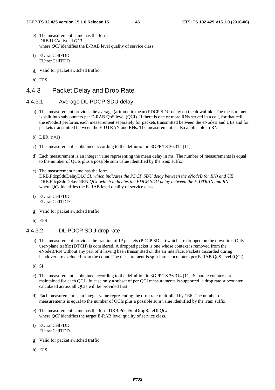- e) The measurement name has the form DRB.UEActiveUl.*QCI* where *QCI* identifies the E-RAB level quality of service class.
- f) EUtranCellFDD EUtranCellTDD
- g) Valid for packet switched traffic
- h) EPS

# 4.4.3 Packet Delay and Drop Rate

### 4.4.3.1 Average DL PDCP SDU delay

- a) This measurement provides the average (arithmetic mean) PDCP SDU delay on the downlink. The measurement is split into subcounters per E-RAB QoS level (QCI). If there is one or more RNs served in a cell, for that cell the eNodeB performs each measurement separately for packets transmitted between the eNodeB and UEs and for packets transmitted between the E-UTRAN and RNs. The measurement is also applicable to RNs.
- b) DER  $(n=1)$
- c) This measurement is obtained according to the definition in 3GPP TS 36.314 [11].
- d) Each measurement is an integer value representing the mean delay in ms. The number of measurements is equal to the number of QCIs plus a possible sum value identified by the *.sum* suffix.
- e) The measurement name has the form DRB.PdcpSduDelayDl.*QCI, which indicates the PDCP SDU delay between the eNodeB (or RN) and UE*  DRB.PdcpSduDelayDlRN*.QCI, which indicates the PDCP SDU delay between the E-UTRAN and RN.* where *QCI* identifies the E-RAB level quality of service class.
- f) EUtranCellFDD EUtranCellTDD
- g) Valid for packet switched traffic
- h) EPS

### 4.4.3.2 DL PDCP SDU drop rate

- a) This measurement provides the fraction of IP packets (PDCP SDUs) which are dropped on the downlink. Only user-plane traffic (DTCH) is considered. A dropped packet is one whose context is removed from the eNodeB/RN without any part of it having been transmitted on the air interface. Packets discarded during handover are excluded from the count. The measurement is split into subcounters per E-RAB QoS level (QCI).
- b) SI
- c) This measurement is obtained according to the definition in 3GPP TS 36.314 [11]. Separate counters are maintained for each QCI. In case only a subset of per QCI measurements is supported, a drop rate subcounter calculated across all QCIs will be provided first.
- d) Each measurement is an integer value representing the drop rate multiplied by 1E6. The number of measurements is equal to the number of QCIs plus a possible sum value identified by the *.sum* suffix.
- e) The measurement name has the form DRB.PdcpSduDropRateDl.*QCI* where *QCI* identifies the target E-RAB level quality of service class.
- f) EUtranCellFDD EUtranCellTDD
- g) Valid for packet switched traffic
- h) EPS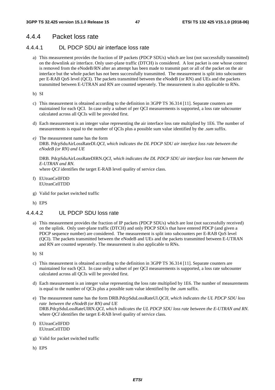### 4.4.4 Packet loss rate

#### 4.4.4.1 DL PDCP SDU air interface loss rate

a) This measurement provides the fraction of IP packets (PDCP SDUs) which are lost (not successfully transmitted) on the downlink air interface. Only user-plane traffic (DTCH) is considered. A lost packet is one whose context is removed from the eNodeB/RN after an attempt has been made to transmit part or all of the packet on the air interface but the whole packet has not been successfully transmitted. The measurement is split into subcounters per E-RAB QoS level (QCI). The packets transmitted between the eNodeB (or RN) and UEs and the packets transmitted between E-UTRAN and RN are counted seperately. The measurement is also applicable to RNs.

b) SI

- c) This measurement is obtained according to the definition in 3GPP TS 36.314 [11]. Separate counters are maintained for each QCI. In case only a subset of per QCI measurements is supported, a loss rate subcounter calculated across all QCIs will be provided first.
- d) Each measurement is an integer value representing the air interface loss rate multiplied by 1E6. The number of measurements is equal to the number of QCIs plus a possible sum value identified by the *.sum* suffix.
- *e)* The measurement name has the form DRB. PdcpSduAirLossRateDl.*QCI, which indicates the DL PDCP SDU air interface loss rate between the eNodeB (or RN) and UE*

DRB. PdcpSduAirLossRateDlRN.*QCI, which indicates the DL PDCP SDU air interface loss rate between the E-UTRAN and RN.*

where *QCI* identifies the target E-RAB level quality of service class.

- f) EUtranCellFDD EUtranCellTDD
- g) Valid for packet switched traffic
- h) EPS

### 4.4.4.2 UL PDCP SDU loss rate

- a) This measurement provides the fraction of IP packets (PDCP SDUs) which are lost (not successfully received) on the uplink. Only user-plane traffic (DTCH) and only PDCP SDUs that have entered PDCP (and given a PDCP sequence number) are considered. The measurement is split into subcounters per E-RAB QoS level (QCI). The packets transmitted between the eNodeB and UEs and the packets transmitted between E-UTRAN and RN are counted seperately. The measurement is also applicable to RNs.
- b) SI
- c) This measurement is obtained according to the definition in 3GPP TS 36.314 [11]. Separate counters are maintained for each QCI. In case only a subset of per QCI measurements is supported, a loss rate subcounter calculated across all QCIs will be provided first.
- d) Each measurement is an integer value representing the loss rate multiplied by 1E6. The number of measurements is equal to the number of QCIs plus a possible sum value identified by the *.sum* suffix.
- e) The measurement name has the form DRB.PdcpSduLossRateUl.*QCII, which indicates the UL PDCP SDU loss rate between the eNodeB (or RN) and UE* DRB.PdcpSduLossRateUlRN.*QCI, which indicates the UL PDCP SDU loss rate between the E-UTRAN and RN.*  where *QCI* identifies the target E-RAB level quality of service class.
- f) EUtranCellFDD EUtranCellTDD
- g) Valid for packet switched traffic
- h) EPS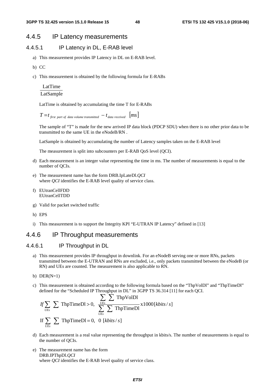# 4.4.5 IP Latency measurements

```
4.4.5.1 IP Latency in DL, E-RAB level
```
- a) This measurement provides IP Latency in DL on E-RAB level.
- b) CC
- c) This measurement is obtained by the following formula for E-RABs

#### LatSample LatTime

LatTime is obtained by accumulating the time T for E-RABs

 $T = t$  *first part of data volume transmitted*  $-t$  *data received*  $[ms]$ 

The sample of "T" is made for the new arrived IP data block (PDCP SDU) when there is no other prior data to be transmitted to the same UE in the eNodeB/RN .

LatSample is obtained by accumulating the number of Latency samples taken on the E-RAB level

The measurement is split into subcounters per E-RAB QoS level (QCI).

- d) Each measurement is an integer value representing the time in ms. The number of measurements is equal to the number of QCIs.
- e) The measurement name has the form DRB.IpLateDl.*QCI* where *QCI* identifies the E-RAB level quality of service class.
- f) EUtranCellFDD EUtranCellTDD
- g) Valid for packet switched traffic
- h) EPS
- i) This measurement is to support the Integrity KPI "E-UTRAN IP Latency" defined in [13]

### 4.4.6 IP Throughput measurements

### 4.4.6.1 IP Throughput in DL

- a) This measurement provides IP throughput in downlink. For an eNodeB serving one or more RNs, packets transmitted between the E-UTRAN and RNs are excluded, i.e., only packets transmitted between the eNodeB (or RN) and UEs are counted. The measurement is also applicable to RN.
- b)  $DER(N=1)$
- c) This measurement is obtained according to the following formula based on the "ThpVolDl" and "ThpTimeDl" defined for the "Scheduled IP Throughput in DL" in 3GPP TS 36.314 [11] for each QCI.

If 
$$
\sum_{UEs}
$$
  $\sum$  ThpTimeD1 > 0,  $\frac{\sum_{UEs}}{\sum_{UEs}} \sum$  ThpTimeD1 x1000[kbits/s]  
If  $\sum_{UEs}$   $\sum$  ThpTimeD1 = 0, 0 [kbits/s]

- d) Each measurement is a real value representing the throughput in kbits/s. The number of measurements is equal to the number of QCIs.
- e) The measurement name has the form DRB.IPThpDl.*QCI* where *QCI* identifies the E-RAB level quality of service class.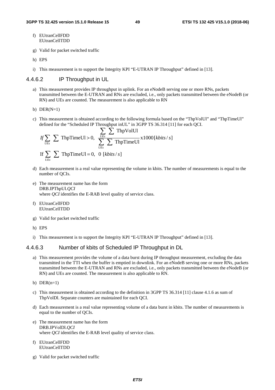- f) EUtranCellFDD EUtranCellTDD
- g) Valid for packet switched traffic
- h) EPS
- i) This measurement is to support the Integrity KPI "E-UTRAN IP Throughput" defined in [13].

#### 4.4.6.2 IP Throughput in UL

- a) This measurement provides IP throughput in uplink. For an eNodeB serving one or more RNs, packets transmitted between the E-UTRAN and RNs are excluded, i.e., only packets transmitted between the eNodeB (or RN) and UEs are counted. The measurement is also applicable to RN
- b)  $DER(N=1)$
- c) This measurement is obtained according to the following formula based on the "ThpVolUl" and "ThpTimeUl" defined for the "Scheduled IP Throughput inUL" in 3GPP TS 36.314 [11] for each QCI.

$$
If \sum_{UEs} \sum \text{ThpTimeUI} > 0, \sum_{UEs} \sum \text{ThpTimeUI} \times 1000[kbits/s]
$$
\n
$$
\text{If } \sum_{UEs} \sum \text{ThpTimeUI} = 0, \quad 0 \text{ [kbits/s]}
$$

- d) Each measurement is a real value representing the volume in kbits. The number of measurements is equal to the number of QCIs.
- e) The measurement name has the form DRB.IPThpUl.*QCI* where *QCI* identifies the E-RAB level quality of service class.
- f) EUtranCellFDD EUtranCellTDD
- g) Valid for packet switched traffic
- h) EPS
- i) This measurement is to support the Integrity KPI "E-UTRAN IP Throughput" defined in [13].

#### 4.4.6.3 Number of kbits of Scheduled IP Throughput in DL

- a) This measurement provides the volume of a data burst during IP throughput measurement, excluding the data transmitted in the TTI when the buffer is emptied in downlink. For an eNodeB serving one or more RNs, packets transmitted between the E-UTRAN and RNs are excluded, i.e., only packets transmitted between the eNodeB (or RN) and UEs are counted. The measurement is also applicable to RN.
- b)  $DER(n=1)$
- c) This measurement is obtained according to the definition in 3GPP TS 36.314 [11] clause 4.1.6 as sum of ThpVolDl. Separate counters are maintained for each QCI.
- d) Each measurement is a real value representing volume of a data burst in kbits. The number of measurements is equal to the number of QCIs.
- e) The measurement name has the form DRB.IPVolDl.*QCI* where *OCI* identifies the E-RAB level quality of service class.
- f) EUtranCellFDD EUtranCellTDD
- g) Valid for packet switched traffic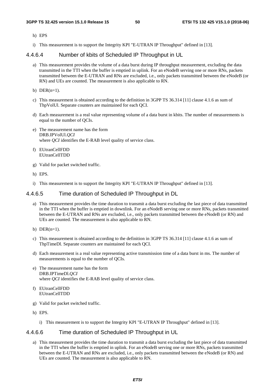- h) EPS
- i) This measurement is to support the Integrity KPI "E-UTRAN IP Throughput" defined in [13].

#### 4.4.6.4 Number of kbits of Scheduled IP Throughput in UL

- a) This measurement provides the volume of a data burst during IP throughput measurement, excluding the data transmitted in the TTI when the buffer is emptied in uplink. For an eNodeB serving one or more RNs, packets transmitted between the E-UTRAN and RNs are excluded, i.e., only packets transmitted between the eNodeB (or RN) and UEs are counted. The measurement is also applicable to RN.
- b)  $DER(n=1)$ .
- c) This measurement is obtained according to the definition in 3GPP TS 36.314 [11] clause 4.1.6 as sum of ThpVolUl. Separate counters are maintained for each QCI.
- d) Each measurement is a real value representing volume of a data burst in kbits. The number of measurements is equal to the number of QCIs.
- e) The measurement name has the form DRB.IPVolUl.*QCI* where *OCI* identifies the E-RAB level quality of service class.
- f) EUtranCellFDD EUtranCellTDD
- g) Valid for packet switched traffic.
- h) EPS.
- i) This measurement is to support the Integrity KPI "E-UTRAN IP Throughput" defined in [13].

#### 4.4.6.5 Time duration of Scheduled IP Throughput in DL

- a) This measurement provides the time duration to transmit a data burst excluding the last piece of data transmitted in the TTI when the buffer is emptied in downlink. For an eNodeB serving one or more RNs, packets transmitted between the E-UTRAN and RNs are excluded, i.e., only packets transmitted between the eNodeB (or RN) and UEs are counted. The measurement is also applicable to RN.
- b) DER $(n=1)$ .
- c) This measurement is obtained according to the definition in 3GPP TS 36.314 [11] clause 4.1.6 as sum of ThpTimeDl. Separate counters are maintained for each QCI.
- d) Each measurement is a real value representing active transmission time of a data burst in ms. The number of measurements is equal to the number of QCIs.
- e) The measurement name has the form DRB.IPTimeDl.*QCI* where *QCI* identifies the E-RAB level quality of service class.
- f) EUtranCellFDD EUtranCellTDD
- g) Valid for packet switched traffic.
- h) EPS.
	- i) This measurement is to support the Integrity KPI "E-UTRAN IP Throughput" defined in [13].

#### 4.4.6.6 Time duration of Scheduled IP Throughput in UL

a) This measurement provides the time duration to transmit a data burst excluding the last piece of data transmitted in the TTI when the buffer is emptied in uplink. For an eNodeB serving one or more RNs, packets transmitted between the E-UTRAN and RNs are excluded, i.e., only packets transmitted between the eNodeB (or RN) and UEs are counted. The measurement is also applicable to RN.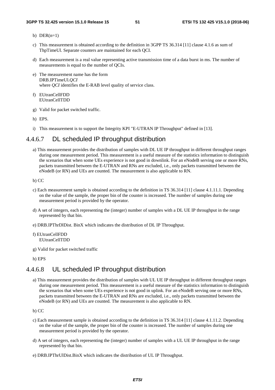b)  $DER(n=1)$ 

- c) This measurement is obtained according to the definition in 3GPP TS 36.314 [11] clause 4.1.6 as sum of ThpTimeUl. Separate counters are maintained for each QCI.
- d) Each measurement is a real value representing active transmission time of a data burst in ms. The number of measurements is equal to the number of QCIs.
- e) The measurement name has the form DRB.IPTimeUl.*QCI* where *QCI* identifies the E-RAB level quality of service class.
- f) EUtranCellFDD EUtranCellTDD
- g) Valid for packet switched traffic.
- h) EPS.
- i) This measurement is to support the Integrity KPI "E-UTRAN IP Throughput" defined in [13].

# 4.4.6.7 DL scheduled IP throughput distribution

- a) This measurement provides the distribution of samples with DL UE IP throughput in different throughput ranges during one measurement period. This measurement is a useful measure of the statistics information to distinguish the scenarios that when some UEs experience is not good in downlink. For an eNodeB serving one or more RNs, packets transmitted between the E-UTRAN and RNs are excluded, i.e., only packets transmitted between the eNodeB (or RN) and UEs are counted. The measurement is also applicable to RN.
- b) CC
- c) Each measurement sample is obtained according to the definition in TS 36.314 [11] clause 4.1.11.1. Depending on the value of the sample, the proper bin of the counter is increased. The number of samples during one measurement period is provided by the operator.
- d) A set of integers, each representing the (integer) number of samples with a DL UE IP throughput in the range represented by that bin.
- e) DRB.IPThrDlDist. BinX which indicates the distribution of DL IP Throughput.
- f) EUtranCellFDD EUtranCellTDD
- g) Valid for packet switched traffic

h) EPS

# 4.4.6.8 UL scheduled IP throughput distribution

a) This measurement provides the distribution of samples with UL UE IP throughput in different throughput ranges during one measurement period. This measurement is a useful measure of the statistics information to distinguish the scenarios that when some UEs experience is not good in uplink. For an eNodeB serving one or more RNs, packets transmitted between the E-UTRAN and RNs are excluded, i.e., only packets transmitted between the eNodeB (or RN) and UEs are counted. The measurement is also applicable to RN.

- c) Each measurement sample is obtained according to the definition in TS 36.314 [11] clause 4.1.11.2. Depending on the value of the sample, the proper bin of the counter is increased. The number of samples during one measurement period is provided by the operator.
- d) A set of integers, each representing the (integer) number of samples with a UL UE IP throughput in the range represented by that bin.
- e) DRB.IPThrUlDist.BinX which indicates the distribution of UL IP Throughput.

b) CC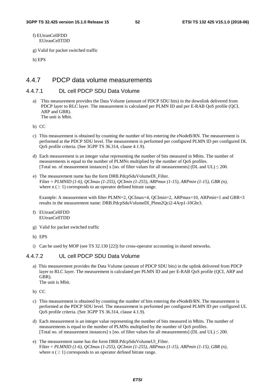- f) EUtranCellFDD EUtranCellTDD
- g) Valid for packet switched traffic
- h) EPS

# 4.4.7 PDCP data volume measurements

## 4.4.7.1 DL cell PDCP SDU Data Volume

- a) This measurement provides the Data Volume (amount of PDCP SDU bits) in the downlink delivered from PDCP layer to RLC layer. The measurement is calculated per PLMN ID and per E-RAB QoS profile (QCI, ARP and GBR). The unit is Mbit.
- b) CC
- c) This measurement is obtained by counting the number of bits entering the eNodeB/RN. The measurement is performed at the PDCP SDU level. The measurement is performed per configured PLMN ID per configured DL QoS profile criteria. (See 3GPP TS 36.314, clause 4.1.9).
- d) Each measurement is an integer value representing the number of bits measured in Mbits. The number of measurements is equal to the number of PLMNs multiplied by the number of QoS profiles. [Total no. of measurement instances] x [no. of filter values for all measurements] (DL and UL)  $\leq$  200.
- e) The measurement name has the form DRB.PdcpSduVolumeDl\_Filter. Filter = *PLMNID (1-6), QCImax (1-255), QCImin (1-255), ARPmax (1-15), ARPmin (1-15), GBR (n)*, where  $n \geq 1$ ) corresponds to an operator defined bitrate range.

Example: A measurement with filter PLMN=2, QCImax=4, QCImin=2, ARPmax=10, ARPmin=1 and GBR=3 results in the measurement name: DRB.PdcpSduVolumeDl\_Plmn2Qci2-4Arp1-10Gbr3.

- f) EUtranCellFDD EUtranCellTDD
- g) Valid for packet switched traffic
- h) EPS
- i) Can be used by MOP (see TS 32.130 [22]) for cross-operator accounting in shared networks.

#### 4.4.7.2 UL cell PDCP SDU Data Volume

- a) This measurement provides the Data Volume (amount of PDCP SDU bits) in the uplink delivered from PDCP layer to RLC layer. The measurement is calculated per PLMN ID and per E-RAB QoS profile (QCI, ARP and GBR). The unit is Mbit.
- b) CC
- c) This measurement is obtained by counting the number of bits entering the eNodeB/RN. The measurement is performed at the PDCP SDU level. The measurement is performed per configured PLMN ID per configured UL QoS profile criteria. (See 3GPP TS 36.314, clause 4.1.9).
- d) Each measurement is an integer value representing the number of bits measured in Mbits. The number of measurements is equal to the number of PLMNs multiplied by the number of QoS profiles. [Total no. of measurement instances] x [no. of filter values for all measurements] (DL and UL)  $\leq$  200.
- e) The measurement name has the form DRB.PdcpSduVolumeUl\_Filter. Filter = *PLMNID (1-6), QCImax (1-255), QCImin (1-255), ARPmax (1-15), ARPmin (1-15), GBR (n)*, where  $n \leq 1$ ) corresponds to an operator defined bitrate range.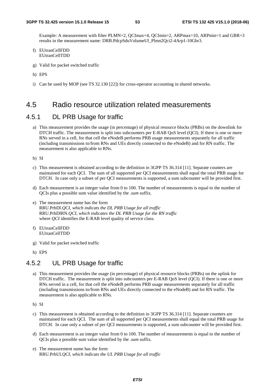Example: A measurement with filter PLMN=2, QCImax=4, QCImin=2, ARPmax=10, ARPmin=1 and GBR=3 results in the measurement name: DRB.PdcpSduVolumeUl\_Plmn2Qci2-4Arp1-10Gbr3.

- f) EUtranCellFDD EUtranCellTDD
- g) Valid for packet switched traffic
- h) EPS
- i) Can be used by MOP (see TS 32.130 [22]) for cross-operator accounting in shared networks.

# 4.5 Radio resource utilization related measurements

# 4.5.1 DL PRB Usage for traffic

a) This measurement provides the usage (in percentage) of physical resource blocks (PRBs) on the downlink for DTCH traffic. The measurement is split into subcounters per E-RAB QoS level (QCI). If there is one or more RNs served in a cell, for that cell the eNodeB performs PRB usage measurements separately for all traffic (including transmissions to/from RNs and UEs directly connected to the eNodeB) and for RN traffic. The measurement is also applicable to RNs.

b) SI

- c) This measurement is obtained according to the definition in 3GPP TS 36.314 [11]. Separate counters are maintained for each QCI. The sum of all supported per QCI measurements shall equal the total PRB usage for DTCH. In case only a subset of per QCI measurements is supported, a sum subcounter will be provided first.
- d) Each measurement is an integer value from 0 to 100. The number of measurements is equal to the number of QCIs plus a possible sum value identified by the *.sum* suffix.
- e) The measurement name has the form RRU.PrbDl.*QCI, which indicats the DL PRB Usage for all traffic* RRU.PrbDlRN.*QCI, which indicates the DL PRB Usage for the RN traffic* where *QCI* identifies the E-RAB level quality of service class.
- f) EUtranCellFDD EUtranCellTDD
- g) Valid for packet switched traffic
- h) EPS

# 4.5.2 UL PRB Usage for traffic

a) This measurement provides the usage (in percentage) of physical resource blocks (PRBs) on the uplink for DTCH traffic. The measurement is split into subcounters per E-RAB QoS level (QCI). If there is one or more RNs served in a cell, for that cell the eNodeB performs PRB usage measurements separately for all traffic (including transmissions to/from RNs and UEs directly connected to the eNodeB) and for RN traffic. The measurement is also applicable to RNs.

b) SI

- c) This measurement is obtained according to the definition in 3GPP TS 36.314 [11]. Separate counters are maintained for each QCI. The sum of all supported per QCI measurements shall equal the total PRB usage for DTCH. In case only a subset of per QCI measurements is supported, a sum subcounter will be provided first.
- d) Each measurement is an integer value from 0 to 100. The number of measurements is equal to the number of QCIs plus a possible sum value identified by the *.sum* suffix.
- e) The measurement name has the form RRU.PrbUl.*QCI, which indicats the UL PRB Usage for all traffic*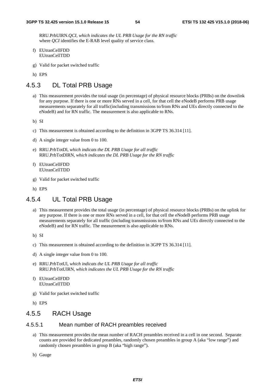RRU.PrbUlRN.*QCI, which indicates the UL PRB Usage for the RN traffic* where *QCI* identifies the E-RAB level quality of service class.

- f) EUtranCellFDD EUtranCellTDD
- g) Valid for packet switched traffic

h) EPS

# 4.5.3 DL Total PRB Usage

a) This measurement provides the total usage (in percentage) of physical resource blocks (PRBs) on the downlink for any purpose. If there is one or more RNs served in a cell, for that cell the eNodeB performs PRB usage measurements separately for all traffic(including transmissions to/from RNs and UEs directly connected to the eNodeB) and for RN traffic. The measurement is also applicable to RNs.

b) SI

- c) This measurement is obtained according to the definition in 3GPP TS 36.314 [11].
- d) A single integer value from 0 to 100.
- e) RRU.PrbTotDl, *which indicats the DL PRB Usage for all traffic* RRU.PrbTotDlRN, *which indicates the DL PRB Usage for the RN traffic*
- f) EUtranCellFDD EUtranCellTDD
- g) Valid for packet switched traffic
- h) EPS

# 4.5.4 UL Total PRB Usage

- a) This measurement provides the total usage (in percentage) of physical resource blocks (PRBs) on the uplink for any purpose. If there is one or more RNs served in a cell, for that cell the eNodeB performs PRB usage measurements separately for all traffic (including transmissions to/from RNs and UEs directly connected to the eNodeB) and for RN traffic. The measurement is also applicable to RNs.
- b) SI
- c) This measurement is obtained according to the definition in 3GPP TS 36.314 [11].
- d) A single integer value from 0 to 100.
- e) RRU.PrbTotUl, *which indicats the UL PRB Usage for all traffic* RRU.PrbTotUlRN, *which indicates the UL PRB Usage for the RN traffic*
- f) EUtranCellFDD EUtranCellTDD
- g) Valid for packet switched traffic
- h) EPS

# 4.5.5 RACH Usage

#### 4.5.5.1 Mean number of RACH preambles received

- a) This measurement provides the mean number of RACH preambles received in a cell in one second. Separate counts are provided for dedicated preambles, randomly chosen preambles in group A (aka "low range") and randomly chosen preambles in group B (aka "high range").
- b) Gauge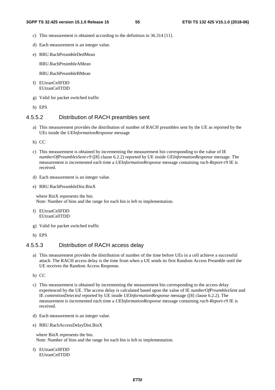- c) This measurement is obtained according to the definition in 36.314 [11].
- d) Each measurement is an integer value.
- e) RRU.RachPreambleDedMean

RRU.RachPreambleAMean

RRU.RachPreambleBMean

- f) EUtranCellFDD EUtranCellTDD
- g) Valid for packet switched traffic
- h) EPS

#### 4.5.5.2 Distribution of RACH preambles sent

a) This measurement provides the distribution of number of RACH preambles sent by the UE as reported by the UEs inside the *UEInformationResponse* message

b) CC

- c) This measurement is obtained by incrementing the measurement bin corresponding to the value of IE *numberOfPreamblesSent-r9* ([8] clause 6.2.2) reported by UE inside *UEInformationResponse* message. The measurement is incremented each time a *UEInformationResponse* message containing *rach-Report-r9* IE is received.
- d) Each measurement is an integer value.
- e) RRU.RachPreambleDist.BinX

where BinX represents the bin. Note: Number of bins and the range for each bin is left to implementation.

- f) EUtranCellFDD EUtranCellTDD
- g) Valid for packet switched traffic
- h) EPS

#### 4.5.5.3 Distribution of RACH access delay

- a) This measurement provides the distribution of number of the time before UEs in a cell achieve a successful attach. The RACH access delay is the time from when a UE sends its first Random Access Preamble until the UE receives the Random Access Response.
- b) CC
- c) This measurement is obtained by incrementing the measurement bin corresponding to the access delay experienced by the UE. The access delay is calculated based upon the value of IE *numberOfPreamblesSent* and IE *contentionDetected* reported by UE inside *UEInformationResponse* message ([8] clause 6.2.2). The measurement is incremented each time a *UEInformationResponse* message containing *rach-Report-r9* IE is received.
- d) Each measurement is an integer value.
- e) RRU.RachAccessDelayDist.BinX

where BinX represents the bin. Note: Number of bins and the range for each bin is left to implementation.

f) EUtranCellFDD EUtranCellTDD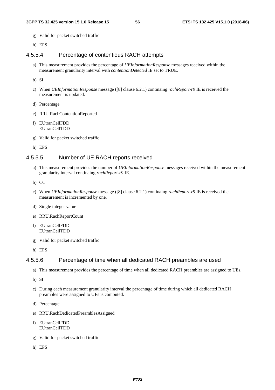- g) Valid for packet switched traffic
- h) EPS

#### 4.5.5.4 Percentage of contentious RACH attempts

a) This measurement provides the percentage of *UEInformationResponse* messages received within the measurement granularity interval with *contentionDetected* IE set to TRUE.

b) SI

- c) When *UEInformationResponse* message ([8] clause 6.2.1) continaing *rachReport-r9* IE is received the measurement is updated.
- d) Percentage
- e) RRU.RachContentionReported
- f) EUtranCellFDD EUtranCellTDD
- g) Valid for packet switched traffic
- h) EPS

#### 4.5.5.5 Number of UE RACH reports received

- a) This measurement provides the number of *UEInformationResponse* messages received within the measurement granularity interval continaing *rachReport-r9* IE.
- b) CC
- c) When *UEInformationResponse* message ([8] clause 6.2.1) continaing *rachReport-r9* IE is received the measurement is incremented by one.
- d) Single integer value
- e) RRU.RachReportCount
- f) EUtranCellFDD EUtranCellTDD
- g) Valid for packet switched traffic
- h) EPS

#### 4.5.5.6 Percentage of time when all dedicated RACH preambles are used

- a) This measurement provides the percentage of time when all dedicated RACH preambles are assigned to UEs.
- b) SI
- c) During each measurement granularity interval the percentage of time during which all dedicated RACH preambles were assigned to UEs is computed.
- d) Percentage
- e) RRU.RachDedicatedPreamblesAssigned
- f) EUtranCellFDD EUtranCellTDD
- g) Valid for packet switched traffic
- h) EPS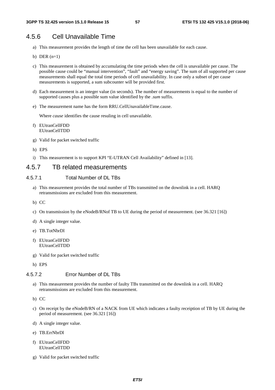# 4.5.6 Cell Unavailable Time

- a) This measurement provides the length of time the cell has been unavailable for each cause.
- b) DER  $(n=1)$
- c) This measurement is obtained by accumulating the time periods when the cell is unavailable per cause. The possible cause could be "manual intervention", "fault" and "energy saving". The sum of all supported per cause measurements shall equal the total time periods of cell unavailability. In case only a subset of per cause measurements is supported, a sum subcounter will be provided first.
- d) Each measurement is an integer value (in seconds). The number of measurements is equal to the number of supported causes plus a possible sum value identified by the *.sum* suffix.
- e) The measurement name has the form RRU.CellUnavailableTime.cause.

Where *cause* identifies the cause resuling in cell unavailable.

- f) EUtranCellFDD EUtranCellTDD
- g) Valid for packet switched traffic
- h) EPS
- i) This measurement is to support KPI "E-UTRAN Cell Availability" defined in [13].

# 4.5.7 TB related measurements

#### 4.5.7.1 Total Number of DL TBs

- a) This measurement provides the total number of TBs transmitted on the downlink in a cell. HARQ retransmissions are excluded from this measurement.
- b) CC
- c) On transmission by the eNodeB/RNof TB to UE during the period of measurement. (see 36.321 [16])
- d) A single integer value.
- e) TB.TotNbrDl
- f) EUtranCellFDD EUtranCellTDD
- g) Valid for packet switched traffic
- h) EPS

#### 4.5.7.2 Error Number of DL TBs

- a) This measurement provides the number of faulty TBs transmitted on the downlink in a cell. HARQ retransmissions are excluded from this measurement.
- b) CC
- c) On receipt by the eNodeB/RN of a NACK from UE which indicates a faulty receiption of TB by UE during the period of measurement. (see 36.321 [16])
- d) A single integer value.
- e) TB.ErrNbrDl
- f) EUtranCellFDD EUtranCellTDD
- g) Valid for packet switched traffic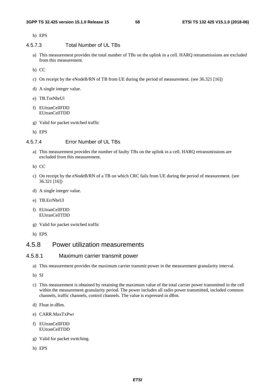h) EPS

#### 4.5.7.3 Total Number of UL TBs

- a) This measurement provides the total number of TBs on the uplink in a cell. HARQ retransmissions are excluded from this measurement.
- b) CC
- c) On receipt by the eNodeB/RN of TB from UE during the period of measurement. (see 36.321 [16])
- d) A single integer value.
- e) TB.TotNbrUl
- f) EUtranCellFDD EUtranCellTDD
- g) Valid for packet switched traffic
- h) EPS

#### 4.5.7.4 Error Number of UL TBs

- a) This measurement provides the number of faulty TBs on the uplink in a cell. HARQ retransmissions are excluded from this measurement.
- b) CC
- c) On receipt by the eNodeB/RN of a TB on which CRC fails from UE during the period of measurement. (see 36.321 [16])
- d) A single integer value.
- e) TB.ErrNbrUl
- f) EUtranCellFDD EUtranCellTDD
- g) Valid for packet switched traffic
- h) EPS

### 4.5.8 Power utilization measurements

#### 4.5.8.1 Maximum carrier transmit power

- a) This measurement provides the maximum carrier transmit power in the measurement granularity interval.
- b) SI
- c) This measurement is obtained by retaining the maximum value of the total carrier power transmitted in the cell within the measurement granularity period. The power includes all radio power transmitted, included common channels, traffic channels, control channels. The value is expressed in dBm.
- d) Float in dBm.
- e) CARR.MaxTxPwr
- f) EUtranCellFDD EUtranCellTDD
- g) Valid for packet switching.
- h) EPS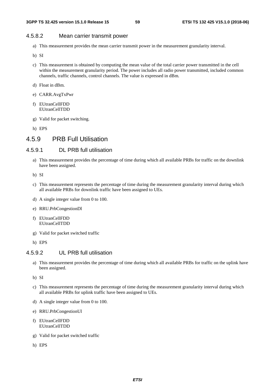#### 4.5.8.2 Mean carrier transmit power

- a) This measurement provides the mean carrier transmit power in the measurement granularity interval.
- b) SI
- c) This measurement is obtained by computing the mean value of the total carrier power transmitted in the cell within the measurement granularity period. The power includes all radio power transmitted, included common channels, traffic channels, control channels. The value is expressed in dBm.
- d) Float in dBm.
- e) CARR.AvgTxPwr
- f) EUtranCellFDD EUtranCellTDD
- g) Valid for packet switching.
- h) EPS

# 4.5.9 PRB Full Utilisation

# 4.5.9.1 DL PRB full utilisation

- a) This measurement provides the percentage of time during which all available PRBs for traffic on the downlink have been assigned.
- b) SI
- c) This measurement represents the percentage of time during the measurement granularity interval during which all available PRBs for downlink traffic have been assigned to UEs.
- d) A single integer value from 0 to 100.
- e) RRU.PrbCongestionDl
- f) EUtranCellFDD EUtranCellTDD
- g) Valid for packet switched traffic
- h) EPS

#### 4.5.9.2 UL PRB full utilisation

- a) This measurement provides the percentage of time during which all available PRBs for traffic on the uplink have been assigned.
- b) SI
- c) This measurement represents the percentage of time during the measurement granularity interval during which all available PRBs for uplink traffic have been assigned to UEs.
- d) A single integer value from 0 to 100.
- e) RRU.PrbCongestionUl
- f) EUtranCellFDD EUtranCellTDD
- g) Valid for packet switched traffic
- h) EPS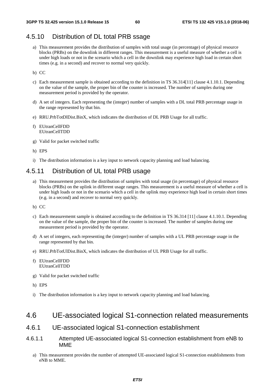# 4.5.10 Distribution of DL total PRB ssage

a) This measurement provides the distribution of samples with total usage (in percentage) of physical resource blocks (PRBs) on the downlink in different ranges. This measurement is a useful measure of whether a cell is under high loads or not in the scenario which a cell in the downlink may experience high load in certain short times (e.g. in a second) and recover to normal very quickly.

b) CC

- c) Each measurement sample is obtained according to the definition in TS 36.314[11] clause 4.1.10.1. Depending on the value of the sample, the proper bin of the counter is increased. The number of samples during one measurement period is provided by the operator.
- d) A set of integers. Each representing the (integer) number of samples with a DL total PRB percentage usage in the range represented by that bin.
- e) RRU.PrbTotDlDist.BinX, which indicates the distribution of DL PRB Usage for all traffic.
- f) EUtranCellFDD EUtranCellTDD
- g) Valid for packet switched traffic
- h) EPS
- i) The distribution information is a key input to network capacity planning and load balancing.

# 4.5.11 Distribution of UL total PRB usage

- a) This measurement provides the distribution of samples with total usage (in percentage) of physical resource blocks (PRBs) on the uplink in different usage ranges. This measurement is a useful measure of whether a cell is under high loads or not in the scenario which a cell in the uplink may experience high load in certain short times (e.g. in a second) and recover to normal very quickly.
- b) CC
- c) Each measurememt sample is obtained according to the definition in TS 36.314 [11] clause 4.1.10.1. Depending on the value of the sample, the proper bin of the counter is increased. The number of samples during one measurement period is provided by the operator.
- d) A set of integers, each representing the (integer) number of samples with a UL PRB percentage usage in the range represented by that bin.
- e) RRU.PrbTotUlDist.BinX, which indicates the distribution of UL PRB Usage for all traffic.
- f) EUtranCellFDD EUtranCellTDD
- g) Valid for packet switched traffic
- h) EPS
- i) The distribution information is a key input to network capacity planning and load balancing.

# 4.6 UE-associated logical S1-connection related measurements

# 4.6.1 UE-associated logical S1-connection establishment

### 4.6.1.1 Attempted UE-associated logical S1-connection establishment from eNB to MME

a) This measurement provides the number of attempted UE-associated logical S1-connection establishments from eNB to MME.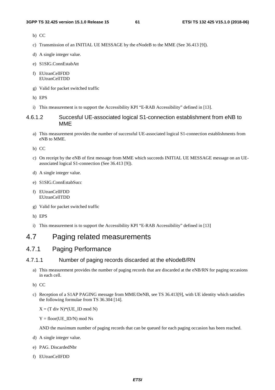b) CC

- c) Transmission of an INITIAL UE MESSAGE by the eNodeB to the MME (See 36.413 [9]).
- d) A single integer value.
- e) S1SIG.ConnEstabAtt
- f) EUtranCellFDD EUtranCellTDD
- g) Valid for packet switched traffic
- h) EPS
- i) This measurement is to support the Accessibility KPI "E-RAB Accessibility" defined in [13].

#### 4.6.1.2 Succesful UE-associated logical S1-connection establishment from eNB to MME

- a) This measurement provides the number of successful UE-associated logical S1-connection establishments from eNB to MME.
- b) CC
- c) On receipt by the eNB of first message from MME which succeeds INITIAL UE MESSAGE message on an UEassociated logical S1-connection (See 36.413 [9]).
- d) A single integer value.
- e) S1SIG.ConnEstabSucc
- f) EUtranCellFDD EUtranCellTDD
- g) Valid for packet switched traffic
- h) EPS
- i) This measurement is to support the Accessibility KPI "E-RAB Accessibility" defined in [13]

# 4.7 Paging related measurements

### 4.7.1 Paging Performance

#### 4.7.1.1 Number of paging records discarded at the eNodeB/RN

- a) This measurement provides the number of paging records that are discarded at the eNB/RN for paging occasions in each cell.
- b) CC
- c) Reception of a S1AP PAGING message from MME/DeNB, see TS 36.413[9], with UE identity which satisfies the following formulae from TS 36.304 [14].
	- $X = (T \text{ div } N)^*(UE\_ID \text{ mod } N)$

 $Y = floor(UEID/N) \text{ mod Ns}$ 

AND the maximum number of paging records that can be queued for each paging occasion has been reached.

- d) A single integer value.
- e) PAG. DiscardedNbr
- f) EUtranCellFDD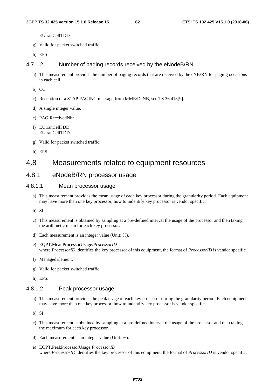EUtranCellTDD

- g) Valid for packet switched traffic.
- h) EPS

#### 4.7.1.2 Number of paging records received by the eNodeB/RN

a) This measurement provides the number of paging records that are received by the eNB/RN for paging occasions in each cell.

b) CC

- c) Reception of a S1AP PAGING message from MME/DeNB, see TS 36.413[9].
- d) A single integer value.
- e) PAG.ReceivedNbr
- f) EUtranCellFDD EUtranCellTDD
- g) Valid for packet switched traffic.
- h) EPS

# 4.8 Measurements related to equipment resources

# 4.8.1 eNodeB/RN processor usage

#### 4.8.1.1 Mean processor usage

- a) This measurement provides the mean usage of each key processor during the granularity period. Each equipment may have more than one key processor, how to indentify key processor is vendor specific.
- b) SI.
- c) This measurement is obtained by sampling at a pre-defined interval the usage of the processor and then taking the arithmetic mean for each key processor.
- d) Each measurement is an integer value (Unit: %).
- e) EQPT.MeanProcessorUsage.*ProcessorID*  where *ProcessorID* identifies the key processor of this equipment, the format of *ProcessorID* is vendor specific.
- f) ManagedElement.
- g) Valid for packet switched traffic.
- h) EPS.

#### 4.8.1.2 Peak processor usage

a) This measurement provides the peak usage of each key processor during the granularity period. Each equipment may have more than one key processor, how to indentify key processor is vendor specific.

b) SI.

- c) This measurement is obtained by sampling at a pre-defined interval the usage of the processor and then taking the maximum for each key processor.
- d) Each measurement is an integer value (Unit: %).
- e) EQPT.PeakProcessorUsage.*ProcessorID*  where *ProcessorID* identifies the key processor of this equipment, the format of *ProcessorID* is vendor specific.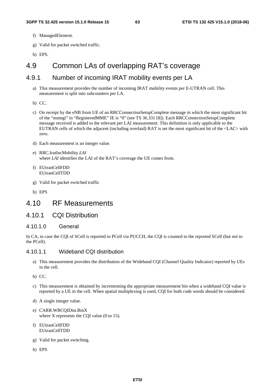- f) ManagedElement.
- g) Valid for packet switched traffic.
- h) EPS.

# 4.9 Common LAs of overlapping RAT's coverage

# 4.9.1 Number of incoming IRAT mobility events per LA

- a) This measurement provides the number of incoming IRAT mobility events per E-UTRAN cell. This measurement is split into subcounters per LA.
- b) CC.
- c) On receipt by the eNB from UE of an RRCConnectionSetupComplete message in which the most significant bit of the "mmegi" in "RegisteredMME" IE is "0" (see TS 36.331 [8]). Each RRCConnectionSetupComplete message received is added to the relevant per LAI measurement. This definition is only applicable to the EUTRAN cells of which the adjacent (including overlaid) RAT is set the most significant bit of the <LAC> with zero.
- d) Each measurement is an integer value.
- e) RRC.IratIncMobility.*LAI* where *LAI* identifies the LAI of the RAT's coverage the UE comes from.
- f) EUtranCellFDD EUtranCellTDD
- g) Valid for packet switched traffic
- h) EPS

# 4.10 RF Measurements

- 4.10.1 CQI Distribution
- 4.10.1.0 General

In CA, in case the CQI of SCell is reported to PCell via PUCCH, the CQI is counted to the reported SCell (but not to the PCell).

## 4.10.1.1 Wideband CQI distribution

- a) This measurement provides the distribution of the Wideband CQI (Channel Quality Indicator) reported by UEs in the cell.
- b) CC.
- c) This measurement is obtained by incrementing the appropriate measurement bin when a wideband CQI value is reported by a UE in the cell. When spatial multiplexing is used, CQI for both code words should be considered.
- d) A single integer value.
- e) CARR.WBCQIDist.BinX where X represents the CQI value (0 to 15).
- f) EUtranCellFDD EUtranCellTDD
- g) Valid for packet switching.
- h) EPS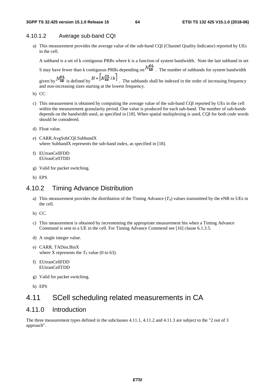#### 4.10.1.2 Average sub-band CQI

a) This measurement provides the average value of the sub-band CQI (Channel Quality Indicator) reported by UEs in the cell.

A subband is a set of k contiguous PRBs where k is a function of system bandwidth. Note the last subband in set

S may have fewer than k contiguous PRBs depending on  $N_{\rm RB}^{\rm DL}$ . The number of subbands for system bandwidth given by  $N_{RB}^{DL}$  is defined by  $N = |N_{RB}^{DL}/k|$ . The subbands shall be indexed in the order of increasing frequency

and non-increasing sizes starting at the lowest frequency.

b) CC

- c) This measurement is obtained by computing the average value of the sub-band CQI reported by UEs in the cell within the measurement granularity period. One value is produced for each sub-band. The number of sub-bands depends on the bandwidth used, as specified in [18]. When spatial multiplexing is used, CQI for both code words should be considered.
- d) Float value.
- e) CARR.AvgSubCQI.SubbandX where SubbandX represents the sub-band index, as specified in [18].
- f) EUtranCellFDD EUtranCellTDD
- g) Valid for packet switching.
- h) EPS

# 4.10.2 Timing Advance Distribution

- a) This measurement provides the distribution of the Timing Advance  $(T_A)$  values transmitted by the eNB to UEs in the cell.
- b) CC.
- c) This measurement is obtained by incrementing the appropriate measurement bin when a Timing Advance Command is sent to a UE in the cell. For Timing Advance Commend see [16] clause 6.1.3.5.
- d) A single integer value.
- e) CARR. TADist.BinX where X represents the  $T_A$  value (0 to 63).
- f) EUtranCellFDD EUtranCellTDD
- g) Valid for packet switching.
- h) EPS

# 4.11 SCell scheduling related measurements in CA

# 4.11.0 Introduction

The three measurement types defined in the subclauses 4.11.1, 4.11.2 and 4.11.3 are subject to the "2 out of 3 approach".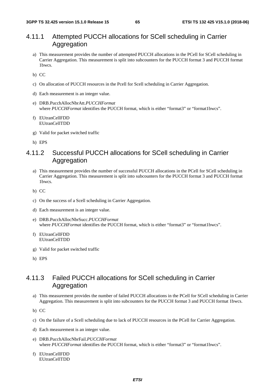# 4.11.1 Attempted PUCCH allocations for SCell scheduling in Carrier **Aggregation**

- a) This measurement provides the number of attempted PUCCH allocations in the PCell for SCell scheduling in Carrier Aggregation. This measurement is split into subcounters for the PUCCH format 3 and PUCCH format 1bwcs.
- b) CC
- c) On allocation of PUCCH resources in the Pcell for Scell scheduling in Carrier Aggregation.
- d) Each measurement is an integer value.
- e) DRB.PucchAllocNbrAtt.*PUCCHFormat* where *PUCCHFormat* identifies the PUCCH format, which is either "format3" or "format1bwcs".
- f) EUtranCellFDD EUtranCellTDD
- g) Valid for packet switched traffic
- h) EPS

# 4.11.2 Successful PUCCH allocations for SCell scheduling in Carrier Aggregation

- a) This measurement provides the number of successful PUCCH allocations in the PCell for SCell scheduling in Carrier Aggregation. This measurement is split into subcounters for the PUCCH format 3 and PUCCH format 1bwcs.
- b) CC
- c) On the success of a Scell scheduling in Carrier Aggregation.
- d) Each measurement is an integer value.
- e) DRB.PucchAllocNbrSucc.*PUCCHFormat* where *PUCCHFormat* identifies the PUCCH format, which is either "format3" or "format1bwcs".
- f) EUtranCellFDD EUtranCellTDD
- g) Valid for packet switched traffic
- h) EPS

# 4.11.3 Failed PUCCH allocations for SCell scheduling in Carrier Aggregation

a) This measurement provides the number of failed PUCCH allocations in the PCell for SCell scheduling in Carrier Aggregation. This measurement is split into subcounters for the PUCCH format 3 and PUCCH format 1bwcs.

b) CC

- c) On the failure of a Scell scheduling due to lack of PUCCH resources in the PCell for Carrier Aggregation.
- d) Each measurement is an integer value.
- e) DRB.PucchAllocNbrFail.*PUCCHFormat* where *PUCCHFormat* identifies the PUCCH format, which is either "format3" or "format1bwcs".
- f) EUtranCellFDD EUtranCellTDD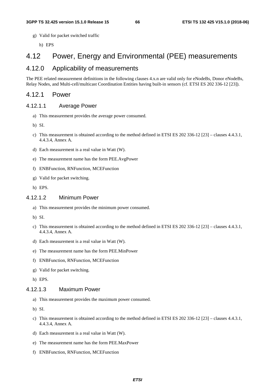- g) Valid for packet switched traffic
	- h) EPS

# 4.12 Power, Energy and Environmental (PEE) measurements

# 4.12.0 Applicability of measurements

The PEE related measurement definitions in the following clauses 4.x.n are valid only for eNodeBs, Donor eNodeBs, Relay Nodes, and Multi-cell/multicast Coordination Entities having built-in sensors (cf. ETSI ES 202 336-12 [23]).

### 4.12.1 Power

#### 4.12.1.1 Average Power

- a) This measurement provides the average power consumed.
- b) SI.
- c) This measurement is obtained according to the method defined in ETSI ES 202 336-12 [23] clauses 4.4.3.1, 4.4.3.4, Annex A.
- d) Each measurement is a real value in Watt (W).
- e) The measurement name has the form PEE.AvgPower
- f) ENBFunction, RNFunction, MCEFunction
- g) Valid for packet switching.
- h) EPS.

#### 4.12.1.2 Minimum Power

- a) This measurement provides the minimum power consumed.
- b) SI.
- c) This measurement is obtained according to the method defined in ETSI ES 202 336-12 [23] clauses 4.4.3.1, 4.4.3.4, Annex A.
- d) Each measurement is a real value in Watt (W).
- e) The measurement name has the form PEE.MinPower
- f) ENBFunction, RNFunction, MCEFunction
- g) Valid for packet switching.
- h) EPS.

#### 4.12.1.3 Maximum Power

- a) This measurement provides the maximum power consumed.
- b) SI.
- c) This measurement is obtained according to the method defined in ETSI ES 202 336-12 [23] clauses 4.4.3.1, 4.4.3.4, Annex A.
- d) Each measurement is a real value in Watt (W).
- e) The measurement name has the form PEE.MaxPower
- f) ENBFunction, RNFunction, MCEFunction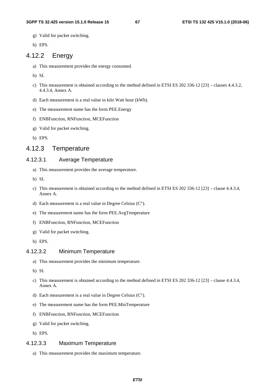- g) Valid for packet switching.
- h) EPS.

# 4.12.2 Energy

- a) This measurement provides the energy consumed.
- b) SI.
- c) This measurement is obtained according to the method defined in ETSI ES 202 336-12 [23] clauses 4.4.3.2, 4.4.3.4, Annex A.
- d) Each measurement is a real value in kilo Watt hour (kWh).
- e) The measurement name has the form PEE.Energy
- f) ENBFunction, RNFunction, MCEFunction
- g) Valid for packet switching.
- h) EPS.

# 4.12.3 Temperature

### 4.12.3.1 Average Temperature

- a) This measurement provides the average temperature.
- b) SI.
- c) This measurement is obtained according to the method defined in ETSI ES 202 336-12 [23] clause 4.4.3.4, Annex A.
- d) Each measurement is a real value in Degree Celsius (C°).
- e) The measurement name has the form PEE.AvgTemperature
- f) ENBFunction, RNFunction, MCEFunction
- g) Valid for packet switching.
- h) EPS.

### 4.12.3.2 Minimum Temperature

- a) This measurement provides the minimum temperature.
- b) SI.
- c) This measurement is obtained according to the method defined in ETSI ES 202 336-12 [23] clause 4.4.3.4, Annex A.
- d) Each measurement is a real value in Degree Celsius (C°).
- e) The measurement name has the form PEE.MinTemperature
- f) ENBFunction, RNFunction, MCEFunction
- g) Valid for packet switching.
- h) EPS.

### 4.12.3.3 Maximum Temperature

a) This measurement provides the maximum temperature.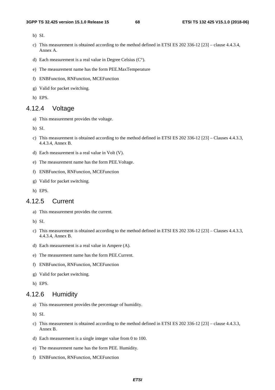#### b) SI.

- c) This measurement is obtained according to the method defined in ETSI ES 202 336-12 [23] clause 4.4.3.4, Annex A.
- d) Each measurement is a real value in Degree Celsius (C°).
- e) The measurement name has the form PEE.MaxTemperature
- f) ENBFunction, RNFunction, MCEFunction
- g) Valid for packet switching.
- h) EPS.

### 4.12.4 Voltage

- a) This measurement provides the voltage.
- b) SI.
- c) This measurement is obtained according to the method defined in ETSI ES 202 336-12 [23] Clauses 4.4.3.3, 4.4.3.4, Annex B.
- d) Each measurement is a real value in Volt (V).
- e) The measurement name has the form PEE.Voltage.
- f) ENBFunction, RNFunction, MCEFunction
- g) Valid for packet switching.
- h) EPS.

# 4.12.5 Current

- a) This measurement provides the current.
- b) SI.
- c) This measurement is obtained according to the method defined in ETSI ES 202 336-12 [23] Clauses 4.4.3.3, 4.4.3.4, Annex B.
- d) Each measurement is a real value in Ampere (A).
- e) The measurement name has the form PEE.Current.
- f) ENBFunction, RNFunction, MCEFunction
- g) Valid for packet switching.
- h) EPS.

### 4.12.6 Humidity

- a) This measurement provides the percentage of humidity.
- b) SI.
- c) This measurement is obtained according to the method defined in ETSI ES 202 336-12 [23] clause 4.4.3.3, Annex B.
- d) Each measurement is a single integer value from 0 to 100.
- e) The measurement name has the form PEE. Humidity.
- f) ENBFunction, RNFunction, MCEFunction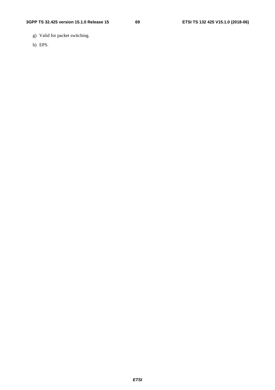- g) Valid for packet switching.
- h) EPS.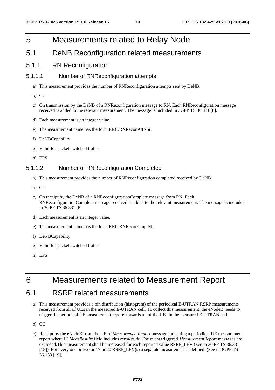# 5 Measurements related to Relay Node

# 5.1 DeNB Reconfiguration related measurements

# 5.1.1 RN Reconfiguration

#### 5.1.1.1 Number of RNReconfiguration attempts

- a) This measurement provides the number of RNReconfiguration attempts sent by DeNB.
- b) CC
- c) On transmission by the DeNB of a RNReconfiguration message to RN. Each RNReconfiguration message received is added to the relevant measurement. The message is included in 3GPP TS 36.331 [8].
- d) Each measurement is an integer value.
- e) The measurement name has the form RRC.RNReconAttNbr.
- f) DeNBCapability
- g) Valid for packet switched traffic
- h) EPS

#### 5.1.1.2 Number of RNReconfiguration Completed

- a) This measurement provides the number of RNReconfiguration completed received by DeNB
- b) CC
- c) On receipt by the DeNB of a RNReconfigurationComplete message from RN. Each RNReconfigurationComplete message received is added to the relevant measurement. The message is included in 3GPP TS 36.331 [8].
- d) Each measurement is an integer value.
- e) The measurement name has the form RRC.RNReconCmptNbr
- f) DeNBCapability
- g) Valid for packet switched traffic
- h) EPS

# 6 Measurements related to Measurement Report

# 6.1 RSRP related measurements

- a) This measurement provides a bin distribution (histogram) of the periodical E-UTRAN RSRP measurements received from all of UEs in the measured E-UTRAN cell. To collect this measurement, the eNodeB needs to trigger the periodical UE measurement reports towards all of the UEs in the measured E-UTRAN cell.
- b) CC
- c) Receipt by the eNodeB from the UE of *MeasurementReport* message indicating a periodical UE measurement report where IE *MeasResults* field includes *rsrpResult*. The event triggered *MeasurementReport* messages are excluded.This measurement shall be increased for each reported value RSRP\_LEV (See in 3GPP TS 36.331 [18]). For every one or two or 17 or 20 RSRP\_LEV(s) a separate measurement is defined. (See in 3GPP TS 36.133 [19])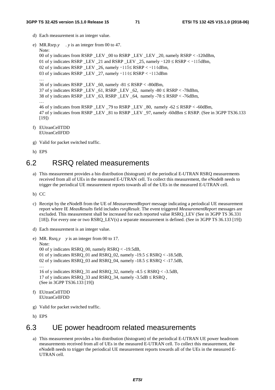- d) Each measurement is an integer value.
- e) MR.Rsrp.*y* . *y* is an integer from 00 to 47. Note: 00 of y indicates from RSRP \_LEV \_00 to RSRP \_LEV \_LEV \_20, namely RSRP < -120dBm, 01 of y indicates RSRP \_LEV \_21 and RSRP \_LEV \_25, namely  $-120 \leq RSRP < -115dBm$ , 02 of y indicates RSRP \_LEV \_26, namely -115≤ RSRP < -114dBm, 03 of y indicates RSRP \_LEV \_27, namely -114≤ RSRP < -113dBm … 36 of y indicates RSRP \_LEV \_60, namely  $-81 \leq RSRP < -80dBm$ , 37 of y indicates RSRP \_LEV \_61, RSRP \_LEV \_62, namely -80 ≤ RSRP < -78dBm, 38 of y indicates RSRP \_LEV \_63, RSRP \_LEV \_64, namely -78 ≤ RSRP < -76dBm, … 46 of y indicates from RSRP \_LEV \_79 to RSRP \_LEV \_80, namely -62 ≤ RSRP < -60dBm, 47 of y indicates from RSRP \_LEV \_81 to RSRP \_LEV \_97, namely -60dBm ≤ RSRP. (See in 3GPP TS36.133 [19]) f) EUtranCellTDD
- EUtranCellFDD
- g) Valid for packet switched traffic.
- h) EPS

# 6.2 RSRQ related measurements

- a) This measurement provides a bin distribution (histogram) of the periodical E-UTRAN RSRQ measurements received from all of UEs in the measured E-UTRAN cell. To collect this measurement, the eNodeB needs to trigger the periodical UE measurement reports towards all of the UEs in the measured E-UTRAN cell.
- b) CC
- c) Receipt by the eNodeB from the UE of *MeasurementReport* message indicating a periodical UE measurement report where IE *MeasResults* field includes *rsrqResult*. The event triggered *MeasurementReport* messages are excluded. This measurement shall be increased for each reported value RSRQ\_LEV (See in 3GPP TS 36.331 [18]). For every one or two RSRQ\_LEV(s) a separate measurement is defined. (See in 3GPP TS 36.133 [19])
- d) Each measurement is an integer value.
- e) MR. Rsrq.*y y* is an integer from 00 to 17. Note: 00 of y indicates RSRQ\_00, namely RSRQ < -19.5dB, 01 of y indicates RSRQ\_01 and RSRQ\_02, namely  $-19.5 \leq RSRQ < -18.5dB$ , 02 of y indicates RSRQ\_03 and RSRQ\_04, namely  $-18.5 \leq RSRQ < -17.5dB$ , … 16 of y indicates RSRQ\_31 and RSRQ\_32, namely  $-4.5 \leq$  RSRQ  $< -3.5$ dB, 17 of y indicates RSRQ 33 and RSRQ 34, namely -3.5dB  $\leq$  RSRQ , (See in 3GPP TS36.133 [19])
- f) EUtranCellTDD EUtranCellFDD
- g) Valid for packet switched traffic.
- h) EPS

# 6.3 UE power headroom related measurements

a) This measurement provides a bin distribution (histogram) of the periodical E-UTRAN UE power headroom measurements received from all of UEs in the measured E-UTRAN cell. To collect this measurement, the eNodeB needs to trigger the periodical UE measurement reports towards all of the UEs in the measured E-UTRAN cell.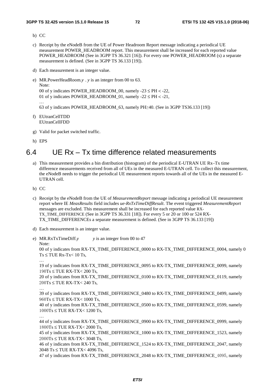- b) CC
- c) Receipt by the eNodeB from the UE of Power Headroom Report message indicating a periodical UE measurement POWER\_HEADROOM report. This measurement shall be increased for each reported value POWER\_HEADROOM (See in 3GPP TS 36.321 [16]). For every one POWER\_HEADROOM (s) a separate measurement is defined. (See in 3GPP TS 36.133 [19]).
- d) Each measurement is an integer value.
- e) MR.PowerHeadRoom.*y* . *y* is an integer from 00 to 63. Note: 00 of y indicates POWER\_HEADROOM\_00, namely  $-23 \le PH < -22$ , 01 of y indicates POWER\_HEADROOM\_01, namely -22 ≤ PH < -21, …

- f) EUtranCellTDD EUtranCellFDD
- g) Valid for packet switched traffic.
- h) EPS

#### 6.4 UE Rx – Tx time difference related measurements

- a) This measurement provides a bin distribution (histogram) of the periodical E-UTRAN UE Rx–Tx time difference measurements received from all of UEs in the measured E-UTRAN cell. To collect this measurement, the eNodeB needs to trigger the periodical UE measurement reports towards all of the UEs in the measured E-UTRAN cell.
- b) CC
- c) Receipt by the eNodeB from the UE of *MeasurementReport* message indicating a periodical UE measurement report where IE *MeasResults* field includes *ue-RxTxTimeDiffResult*. The event triggered *MeasurementReport* messages are excluded. This measurement shall be increased for each reported value RX-TX\_TIME\_DIFFERENCE (See in 3GPP TS 36.331 [18]). For every 5 or 20 or 100 or 524 RX-TX\_TIME\_DIFFERENCEs a separate measurement is defined. (See in 3GPP TS 36.133 [19])
- d) Each measurement is an integer value.
- e) MR.RxTxTimeDiff.*y y* is an integer from 00 to 47
	- Note:

…

00 of y indicates from RX-TX\_TIME\_DIFFERENCE\_0000 to RX-TX\_TIME\_DIFFERENCE\_0004, namely 0  $Ts \leq TUE$  Rx-Tx $< 10$  Ts,

19 of y indicates from RX-TX\_TIME\_DIFFERENCE\_0095 to RX-TX\_TIME\_DIFFERENCE\_0099, namely  $190Ts \leq TUE RX-TX < 200Ts$ ,

20 of y indicates from RX-TX\_TIME\_DIFFERENCE\_0100 to RX-TX\_TIME\_DIFFERENCE\_0119, namely  $200Ts \leq TUE RX-TX < 240Ts$ .

… 39 of y indicates from RX-TX\_TIME\_DIFFERENCE\_0480 to RX-TX\_TIME\_DIFFERENCE\_0499, namely  $960Ts \leq TUE RX-TX < 1000Ts$ ,

40 of y indicates from RX-TX\_TIME\_DIFFERENCE\_0500 to RX-TX\_TIME\_DIFFERENCE\_0599, namely 1000Ts ≤ TUE RX-TX< 1200 Ts,

…

44 of y indicates from RX-TX\_TIME\_DIFFERENCE\_0900 to RX-TX\_TIME\_DIFFERENCE\_0999, namely  $1800Ts \leq TUE RX-TX < 2000Ts$ ,

45 of y indicates from RX-TX\_TIME\_DIFFERENCE\_1000 to RX-TX\_TIME\_DIFFERENCE\_1523, namely 2000Ts ≤ TUE RX-TX< 3048 Ts,

46 of y indicates from RX-TX\_TIME\_DIFFERENCE\_1524 to RX-TX\_TIME\_DIFFERENCE\_2047, namely 3048 Ts ≤ TUE RX-TX< 4096 Ts,

47 of y indicates from RX-TX\_TIME\_DIFFERENCE\_2048 to RX-TX\_TIME\_DIFFERENCE\_4095, namely

<sup>63</sup> of y indicates POWER\_HEADROOM\_63, namely PH≥40. (See in 3GPP TS36.133 [19])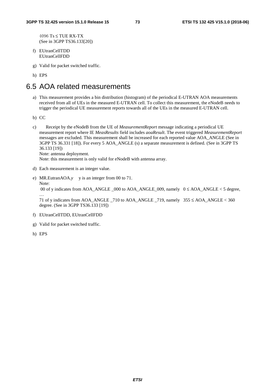$4096$  Ts  $\leq$  TUE RX-TX (See in 3GPP TS36.133[20])

- f) EUtranCellTDD EUtranCellFDD
- g) Valid for packet switched traffic.

h) EPS

#### 6.5 AOA related measurements

a) This measurement provides a bin distribution (histogram) of the periodical E-UTRAN AOA measurements received from all of UEs in the measured E-UTRAN cell. To collect this measurement, the eNodeB needs to trigger the periodical UE measurement reports towards all of the UEs in the measured E-UTRAN cell.

b) CC

c) Receipt by the eNodeB from the UE of *MeasurementReport* message indicating a periodical UE measurement report where IE *MeasResults* field includes *aoaResult*. The event triggered *MeasurementReport* messages are excluded. This measurement shall be increased for each reported value AOA\_ANGLE (See in 3GPP TS 36.331 [18]). For every 5 AOA\_ANGLE (s) a separate measurement is defined. (See in 3GPP TS 36.133 [19]) Note: antenna deployment.

Note: this measurement is only valid for eNodeB with antenna array.

- d) Each measurement is an integer value.
- e) MR.EutranAOA.*y* y is an integer from 00 to 71. Note:

00 of y indicates from AOA\_ANGLE \_000 to AOA\_ANGLE\_009, namely 0 ≤ AOA\_ANGLE < 5 degree,

71 of y indicates from AOA\_ANGLE \_710 to AOA\_ANGLE \_719, namely 355 ≤ AOA\_ANGLE < 360 degree. (See in 3GPP TS36.133 [19])

- f) EUtranCellTDD, EUtranCellFDD
- g) Valid for packet switched traffic.
- h) EPS

…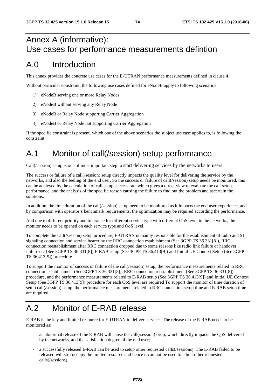## Annex A (informative): Use cases for performance measurements defintion

## A.0 Introduction

This annex provides the concrete use cases for the E-UTRAN performance measurements defined in clause 4.

Without particular constraint, the following use cases defined for eNodeB apply to following scenarios

- 1) eNodeB serving one or more Relay Nodes
- 2) eNodeB without serving any Relay Node
- 3) eNodeB or Relay Node supporting Carrier Aggregation
- 4) eNodeB or Relay Node not supporting Carrier Aggregation

If the specific constraint is present, which one of the above scenarios the subject use case applies to, is following the constraint.

## A.1 Monitor of call(/session) setup performance

Call(/session) setup is one of most important step to start delivering services by the networks to users.

The success or failure of a call(/session) setup directly impacts the quality level for delivering the service by the networks, and also the feeling of the end user. So the success or failure of call(/session) setup needs be monitored, this can be achieved by the calculation of call setup success rate which gives a direct view to evaluate the call setup performance, and the analysis of the specific reason causing the failure to find out the problem and ascertain the solutions.

In addition, the time duration of the call(/session) setup need to be monitored as it impacts the end user experience, and by comparison with operator's benchmark requirements, the optimization may be required according the performance.

And due to different priority and tolerance for different service type with different OoS level in the networks, the monitor needs to be opened on each service type and OoS level.

To complete the call(/session) setup procedure, E-UTRAN is mainly responsible for the establishment of radio and S1 signaling connection and service bearer by the RRC connection establishment (See 3GPP TS 36.331[8]), RRC connection reestablishment after RRC connection dropped due to some reasons like radio link failure or handover failure etc (See 3GPP TS 36.331[8]) E-RAB setup (See 3GPP TS 36.413[9]) and Initial UE Context Setup (See 3GPP TS 36.413[9]) procedure.

To support the monitor of success or failure of the call(/session) setup, the performance measurements related to RRC connection establishment (See 3GPP TS 36.331[8]), RRC connection reestablishment (See 3GPP TS 36.331[8]) procedure, and the performance measurements related to E-RAB setup (See 3GPP TS 36.413[9]) and Initial UE Context Setup (See 3GPP TS 36.413[9]) procedure for each QoS level are required To support the monitor of time duration of setup call(/session) setup, the performance measurements related to RRC connection setup time and E-RAB setup time are required.

## A.2 Monitor of E-RAB release

E-RAB is the key and limited resource for E-UTRAN to deliver services. The release of the E-RAB needs to be monitored as:

- an abnormal release of the E-RAB will cause the call(/session) drop, which directly impacts the QoS delivered by the networks, and the satisfaction degree of the end user;
- a successfully released E-RAB can be used to setup other requested calls(/sessions). The E-RAB failed to be released will still occupy the limited resource and hence it can not be used to admit other requested calls(/sessions).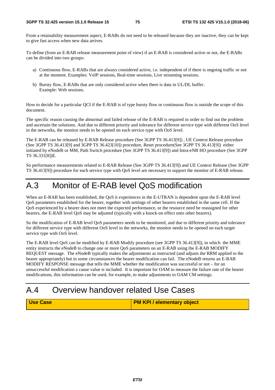From a retainability measurement aspect, E-RABs do not need to be released because they are inactive, they can be kept to give fast access when new data arrives.

To define (from an E-RAB release measurement point of view) if an E-RAB is considered active or not, the E-RABs can be divided into two groups:

- a) Continuous flow, E-RABs that are always considered active, i.e. independent of if there is ongoing traffic or not at the moment. Examples: VoIP sessions, Real-time sessions, Live streaming sessions.
- b) Bursty flow, E-RABs that are only considered active when there is data in UL/DL buffer. Example: Web sessions.

How to decide for a particular QCI if the E-RAB is of type bursty flow or continuous flow is outside the scope of this document.

The specific reason causing the abnormal and failed release of the E-RAB is required in order to find out the problem and ascertain the solutions. And due to different priority and tolerance for different service type with different OoS level in the networks, the monitor needs to be opened on each service type with OoS level.

The E-RAB can be released by E-RAB Release procedure (See 3GPP TS 36.413[9]) , UE Context Release procedure (See 3GPP TS 36.413[9] and 3GPP TS 36.423[10]) procedure, Reset procedure(See 3GPP TS 36.413[9]) either initiated by eNodeB or MM, Path Switch procedure (See 3GPP TS 36.413[9]) and Intra-eNB HO procedure (See 3GPP TS 36.331[8])E.

So performance measurements related to E-RAB Release (See 3GPP TS 36.413[9]) and UE Context Release (See 3GPP TS 36.413[9]) procedure for each service type with QoS level are necessary to support the monitor of E-RAB release.

#### A.3 Monitor of E-RAB level QoS modification

When an E-RAB has been established, the QoS it experiences in the E-UTRAN is dependent upon the E-RAB level QoS parameters established for the bearer, together with settings of other bearers established in the same cell. If the QoS experienced by a bearer does not meet the expected performance, or the resource need be reassigned for other bearers, the E-RAB level QoS may be adjusted (typically with a knock-on effect onto other bearers).

So the modification of E-RAB level QoS parameters needs to be monitored, and due to different priority and tolerance for different service type with different OoS level in the networks, the monitor needs to be opened on each target service type with OoS level.

The E-RAB level QoS can be modified by E-RAB Modify procedure (see 3GPP TS 36.413[9]), in which the MME entity instructs the eNodeB to change one or more QoS parameters on an E-RAB using the E-RAB MODIFY REQUEST message. The eNodeB typically makes the adjustments as instructed (and adjusts the RRM applied to the bearer appropriately) but in some circumstances the bearer modification can fail. The eNodeB returns an E-RAB MODIFY RESPONSE message that tells the MME whether the modification was successful or not – for an unsuccessful modification a cause value is included. It is important for OAM to measure the failure rate of the bearer modifications, this information can be used, for example, to make adjustments to OAM CM settings.

#### A.4 Overview handover related Use Cases

**Use Case PM KPI / elementary object**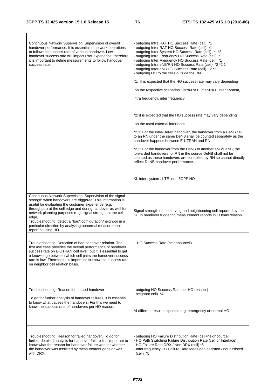| Continuous Network Supervision: Supervision of overall<br>handover performance. It is essential in network operations<br>to follow the success rate of various handover. Low<br>handover success rate will impact user experience, therefore<br>it is important to define measurements to follow handover<br>success rate.                                                                                                                                             | - outgoing Intra RAT HO Success Rate (cell) *1<br>- outgoing Inter RAT HO Success Rate (cell) *1<br>- outgoing Inter System HO Success Rate (cell) *1 *3<br>- outgoing Intra Frequency HO Success Rate (cell) *1<br>- outgoing Inter Frequency HO Success Rate (cell) *1<br>- outgoing Intra eNB/RN HO Success Rate (cell) *2 *2.1<br>- outgoing Inter eNB HO Success Rate (cell) *2 *2.2<br>- outgoing HO to the cells outside the RN<br>*1: It is expected that the HO success rate may vary depending                        |
|------------------------------------------------------------------------------------------------------------------------------------------------------------------------------------------------------------------------------------------------------------------------------------------------------------------------------------------------------------------------------------------------------------------------------------------------------------------------|---------------------------------------------------------------------------------------------------------------------------------------------------------------------------------------------------------------------------------------------------------------------------------------------------------------------------------------------------------------------------------------------------------------------------------------------------------------------------------------------------------------------------------|
|                                                                                                                                                                                                                                                                                                                                                                                                                                                                        | on the respective scenarios : intra-RAT, inter-RAT, inter System,<br>intra frequency, inter frequency                                                                                                                                                                                                                                                                                                                                                                                                                           |
|                                                                                                                                                                                                                                                                                                                                                                                                                                                                        | *2: it is expected that the HO success rate may vary depending<br>on the used external interfaces<br>*2.1: For the intra-DeNB handover, the handover from a DeNB cell<br>to an RN under the same DeNB shall be counted separately as the<br>handover happens between E-UTRAN and RN.<br>*2.2: For the handover from the DeNB to another eNB/DeNB, the<br>forwarded handovers for RN in the source DeNB shall not be<br>counted as these handovers are controlled by RN so cannot directly<br>reflect DeNB handover performance. |
|                                                                                                                                                                                                                                                                                                                                                                                                                                                                        | *3: inter system : LTE- non 3GPP HO                                                                                                                                                                                                                                                                                                                                                                                                                                                                                             |
| Continuous Network Supervision: Supervision of the signal<br>strength when handovers are triggered. This information is<br>useful for evaluating the customer experience (e.g.<br>throughput) at the cell edge and during handover as well for<br>network planning purposes (e.g. signal strength at the cell<br>edge).<br>Troubleshooting: detect a "bad" configuration/neighbor in a<br>particular direction by analyzing abnormal measurement<br>report causing HO. | Signal strength of the serving and neighbouring cell reported by the<br>UE in handover triggering measurement reports in EUtranRelation                                                                                                                                                                                                                                                                                                                                                                                         |
| Troubleshooting: Detection of bad handover relation. The<br>first use case provides the overall performance of handover<br>success rate on E-UTRAN cell level, but it is essential to get<br>a knowledge between which cell pairs the handover success<br>rate is low. Therefore it is important to know the success rate<br>on neighbor cell relation basis.                                                                                                          | - HO Success Rate (neighbourcell)                                                                                                                                                                                                                                                                                                                                                                                                                                                                                               |
| Troubleshooting: Reason for started handover<br>To go for further analysis of handover failures, it is essential<br>to know what causes the handovers. For this we need to<br>know the success rate of handovers per HO reason.                                                                                                                                                                                                                                        | - outgoing HO Success Rate per HO reason (<br>neighbor cell) *4<br>*4 different results expected e.g. emergency or normal HO                                                                                                                                                                                                                                                                                                                                                                                                    |
| Troubleshooting: Reason for failed handover. To go for<br>further detailed analysis for handover failure it is important to<br>know what the reason for handover failure was, or whether<br>the handover was assisted by measurement gaps or was<br>with DRX.                                                                                                                                                                                                          | - outgoing HO Failure Distribution Rate (cell+neighbourcell)<br>- HO Path Switching Failure Distribution Rate (cell or Interface)<br>- HO Failure Rate DRX / Non DRX (cell) *5<br>- Inter frequency HO Failure Rate Meas gap assisted / not assisted<br>$(cell)$ *5                                                                                                                                                                                                                                                             |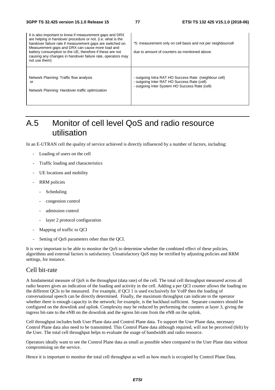| It is also important to know if measurement gaps and DRX<br>are helping in handover procedure or not. (i.e. what is the<br>handover failure rate if measurement gaps are switched on.<br>Measurement gaps and DRX can cause more load and<br>battery consumption to the UE, therefore if these are not<br>causing any changes in handover failure rate, operators may<br>not use them) | *5: measurement only on cell basis and not per neighbourcell<br>due to amount of counters as mentioned above. |
|----------------------------------------------------------------------------------------------------------------------------------------------------------------------------------------------------------------------------------------------------------------------------------------------------------------------------------------------------------------------------------------|---------------------------------------------------------------------------------------------------------------|
| Network Planning: Traffic flow analysis                                                                                                                                                                                                                                                                                                                                                | - outgoing Intra RAT HO Success Rate (neighbour cell)                                                         |
| or                                                                                                                                                                                                                                                                                                                                                                                     | - outgoing Inter RAT HO Success Rate (cell)                                                                   |
| Network Planning: Handover traffic optimization                                                                                                                                                                                                                                                                                                                                        | - outgoing Inter System HO Success Rate (cell)                                                                |

#### A.5 Monitor of cell level QoS and radio resource utilisation

In an E-UTRAN cell the quality of service achieved is directly influenced by a number of factors, including:

- Loading of users on the cell
- Traffic loading and characteristics
- UE locations and mobility
- RRM policies
	- Scheduling
	- congestion control
	- admission control
	- layer 2 protocol configuration
- Mapping of traffic to QCI
- Setting of QoS parameters other than the QCI.

It is very important to be able to monitor the QoS to determine whether the combined effect of these policies, algorithms and external factors is satisfactory. Unsatisfactory QoS may be rectified by adjusting policies and RRM settings, for instance.

#### Cell bit-rate

A fundamental measure of QoS is the throughput (data rate) of the cell. The total cell throughput measured across all radio bearers gives an indication of the loading and activity in the cell. Adding a per QCI counter allows the loading on the different QCIs to be measured. For example, if QCI 1 is used exclusively for VoIP then the loading of conversational speech can be directly determined. Finally, the maximum throughput can indicate to the operator whether there is enough capacity in the network; for example, is the backhaul sufficient. Separate counters should be configured on the downlink and uplink. Complexity may be reduced by performing the counters at layer 3, giving the ingress bit-rate to the eNB on the downlink and the egress bit-rate from the eNB on the uplink.

Cell throughput includes both User Plane data and Control Plane data. To support the User Plane data, necessary Control Plane data also need to be transmitted. This Control Plane data although required, will not be perceived (felt) by the User. The total cell throughput helps to evaluate the usage of bandwidth and radio resource.

Operators ideally want to see the Control Plane data as small as possible when compared to the User Plane data without compromising on the service.

Hence it is important to monitor the total cell throughput as well as how much is occupied by Control Plane Data.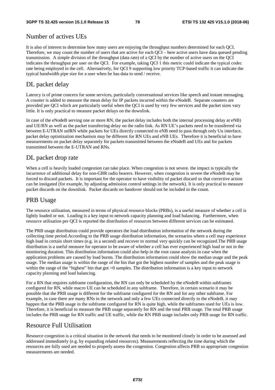#### Number of actives UEs

It is also of interest to determine how many users are enjoying the throughput numbers determined for each QCI. Therefore, we may count the number of users that are active for each QCI – here active users have data queued pending transmission. A simple division of the throughput (data rate) of a QCI by the number of active users on the QCI indicates the throughput per user on the QCI. For example, taking QCI 1 this metric could indicate the typical codec rate being employed in the cell. Alternatively, for QCI 9 supporting low priority TCP-based traffic it can indicate the typical bandwidth pipe size for a user when he has data to send / receive.

#### DL packet delay

Latency is of prime concern for some services, particularly conversational services like speech and instant messaging. A counter is added to measure the mean delay for IP packets incurred within the eNodeB. Separate counters are provided per QCI which are particularly useful when the QCI is used by very few services and the packet sizes vary little. It is only practical to measure packet delays on the downlink.

In case of the eNodeB serving one or more RN, the packet delay includes both the internal processing delay at eNB) and UE/RN as well as the packet transferring delay on the radio link. As RN UE's packets need to be transferred via between E-UTRAN snfRN while packets for UEs directly connected to eNB need to pass through only Uu interface, packet delay optimization mechanism may be different for RN UEs and eNB UEs. Therefore it is beneficial to have measurements on packet delay separately for packets transmitted between the eNodeB and UEs and for packets transmitted between the E-UTRAN and RNs.

#### DL packet drop rate

When a cell is heavily loaded congestion can take place. When congestion is not severe. the impact is typically the incurrence of additional delay for non-GBR radio bearers. However, when congestion is severe the eNodeB may be forced to discard packets. It is important for the operator to have visibility of packet discard so that corrective action can be instigated (for example, by adjusting admission control settings in the network). It is only practical to measure packet discards on the downlink. Packet discards on handover should not be included in the count.

#### PRB Usage

The resource utilisation, measured in terms of physical resource blocks (PRBs), is a useful measure of whether a cell is lightly loaded or not. Loading is a key input to network capacity planning and load balancing. Furthermore, when resource utilisation per QCI is reported the distribution of resources between different services can be estimated.

The PRB usage distribution could provide operators the load distribution information of the network during the collecting time period.According to the PRB usage distribution information, the scenarios where a cell may experience high load in certain short times (e.g. in a second) and recover to normal very quickly can be recognized. The PRB usage distribution is a useful measure for operator to be aware of whether a cell has ever experienced high load or not in the monitoring duration. This distribution information could also help in the root cause analysis in case when the application problems are caused by load bursts. The distribution information could show the median usage and the peak usage. The median usage is within the range of the bin that got the highest number of samples and the peak usage is within the range of the "highest" bin that got >0 samples. The distribution information is a key input to network capacity planning and load balancing.

For a RN that requires subframe configuration, the RN can only be scheduled by the eNodeB within subframes configured for RN, while macro UE can be scheduled in any subframe. Therefore, in certain scenario it may be possible that the PRB usage is different for the subframe configured for the RN and for any other subframe. For example, in case there are many RNs in the network and only a few UEs connected directly to the eNodeB, it may happen that the PRB usage in the subframe configured for RN is quite high, while the subframes used for UEs is low. Therefore, it is beneficial to measure the PRB usage separately for RN and the total PRB usage. The total PRB usage includes the PRB usage for RN traffic and UE traffic, while the RN PRB usage includes only PRB usage for RN traffic.

#### Resource Full Utilisation

Resource congestion is a critical situation in the network that needs to be monitored closely in order to be assessed and addressed immediately (e.g. by expanding related resources). Measurements reflecting the time during which the resources are fully used are needed to properly assess the congestion. Congestion affects PRB so appropriate congestion measurements are needed.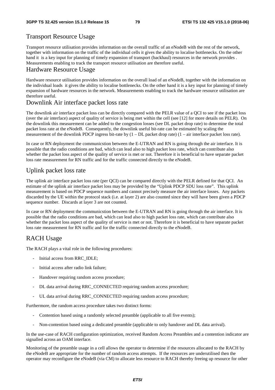#### Transport Resource Usage

Transport resource utilisation provides information on the overall traffic of an eNodeB with the rest of the network, together with information on the traffic of the individual cells it gives the ability to localise bottlenecks. On the other hand it is a key input for planning of timely expansion of transport (backhaul) resources in the network provides . Measurements enabling to track the transport resource utilisation are therefore useful.

#### Hardware Resource Usage

Hardware resource utilisation provides information on the overall load of an eNodeB, together with the information on the individual loads it gives the ability to localise bottlenecks. On the other hand it is a key input for planning of timely expansion of hardware resources in the network. Measurements enabling to track the hardware resource utilisation are therefore useful.

#### Downlink Air interface packet loss rate

The downlink air interface packet loss can be directly compared with the PELR value of a QCI to see if the packet loss (over the air interface) aspect of quality of service is being met within the cell (see [12] for more details on PELR). On the downlink this measurement can be added to the congestion losses (see DL packet drop rate) to determine the total packet loss rate at the eNodeB. Consequently, the downlink useful bit-rate can be estimated by scaling the measurement of the downlink PDCP ingress bit-rate by  $(1 - DL$  packet drop rate)  $(1 - air$  interface packet loss rate).

In case or RN deployment the communicstion between the E-UTRAN and RN is going through the air interface. It is possible that the radio conditions are bad, which can lead also to high packet loss rate, which can contribute also whether the packet loss aspect of the quality of service is met or not. Therefore it is beneficial to have separate packet loss rate measurement for RN traffic and for the traffic connected directly to the eNodeB.

#### Uplink packet loss rate

The uplink air interface packet loss rate (per QCI) can be compared directly with the PELR defined for that QCI. An estimate of the uplink air interface packet loss may be provided by the "Uplink PDCP SDU loss rate". This uplink measurement is based on PDCP sequence numbers and cannot precisely measure the air interface losses. Any packets discarded by the UE within the protocol stack (i.e. at layer 2) are also counted since they will have been given a PDCP sequence number. Discards at layer 3 are not counted.

In case or RN deployment the communicstion between the E-UTRAN and RN is going through the air interface. It is possible that the radio conditions are bad, which can lead also to high packet loss rate, which can contribute also whether the packet loss aspect of the quality of service is met or not. Therefore it is beneficial to have separate packet loss rate measurement for RN traffic and for the traffic connected directly to the eNodeB.

#### RACH Usage

The RACH plays a vital role in the following procedures:

- Initial access from RRC\_IDLE;
- Initial access after radio link failure;
- Handover requiring random access procedure;
- DL data arrival during RRC\_CONNECTED requiring random access procedure;
- UL data arrival during RRC\_CONNECTED requiring random access procedure;

Furthermore, the random access procedure takes two distinct forms:

- Contention based using a randomly selected preamble (applicable to all five events);
- Non-contention based using a dedicated preamble (applicable to only handover and DL data arrival).

In the use-case of RACH configuration optimization, received Random Access Preambles and a contention indicator are signalled across an OAM interface.

Monitoring of the preamble usage in a cell allows the operator to determine if the resources allocated to the RACH by the eNodeB are appropriate for the number of random access attempts. If the resources are underutilised then the operator may reconfigure the eNodeB (via CM) to allocate less resource to RACH thereby freeing up resource for other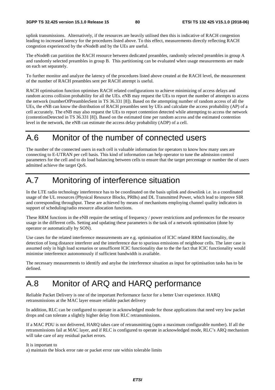uplink transmissions. Alternatively, if the resources are heavily utilised then this is indicative of RACH congestion leading to increased latency for the procedures listed above. To this effect, measurements directly reflecting RACH congestion experienced by the eNodeB and by the UEs are useful.

The eNodeB can partition the RACH resource between dedicated preambles, randomly selected preambles in group A and randomly selected preambles in group B. This partitioning can be evaluated when usage measurements are made on each set separately.

To further monitor and analyze the latency of the procedures listed above created at the RACH level, the measurement of the number of RACH preambles sent per RACH attempt is useful.

RACH optimisation function optimises RACH related configurations to achieve minimizing of access delays and random access collision probability for all the UEs. eNB may request the UEs to report the number of attempts to access the network (numberOfPreamblesSent in TS 36.331 [8]). Based on the attempting number of random access of all the UEs, the eNB can know the distribution of RACH preambles sent by UEs and calculate the access probability (AP) of a cell accurately. The eNB may also request the UEs to report contention detected while attempting to access the network (contentionDetected in TS 36.331 [8]). Based on the estimated time per random access and the estimated contention level in the network, the eNB can estimate the access delay probability (ADP) of a cell.

#### A.6 Monitor of the number of connected users

The number of the connected users in each cell is valuable information for operators to know how many uses are connecting to E-UTRAN per cell basis. This kind of information can help operator to tune the admission control parameters for the cell and to do load balancing between cells to ensure that the target percentage or number the of users admitted achieve the target QoS.

### A.7 Monitoring of interference situation

In the LTE radio technology interference has to be coordinated on the basis uplink and downlink i.e. in a coordinated usage of the UL resources (Physical Resource Blocks, PRBs) and DL Transmitted Power, which lead to improve SIR and corresponding throughput. These are achieved by means of mechanisms employing channel quality indicators in support of scheduling/radio resource allocation functions.

These RRM functions in the eNB require the setting of frequency / power restrictions and preferences for the resource usage in the different cells. Setting and updating these parameters is the task of a network optimisation (done by operator or automatically by SON).

Use cases for the related interference measurements are e.g. optimisation of ICIC related RRM functionality, the detection of long distance interferer and the interference due to spurious emissions of neighbour cells. The later case is assumed only in high load scenarios or unsufficent ICIC functionality due to the the fact that ICIC functionality would minimise interference autonomously if sufficient bandwidth is available.

The necessary measurements to identify and anylse the interference situation as input for optimisation tasks has to be defined.

## A.8 Monitor of ARQ and HARQ performance

Reliable Packet Delivery is one of the important Performance factor for a better User experience. HARQ retransmissions at the MAC layer ensure reliable packet delivery

In addition, RLC can be configured to operate in acknowledged mode for those applications that need very low packet drops and can tolerate a slightly higher delay from RLC retransmissions.

If a MAC PDU is not delivered, HARQ takes care of retransmitting (upto a maximum configurable number). If all the retransmissions fail at MAC layer, and if RLC is configured to operate in acknowledged mode, RLC's ARQ mechanism will take care of any residual packet errors.

It is important to

a) maintain the block error rate or packet error rate within tolerable limits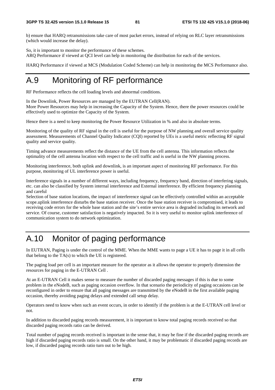b) ensure that HARQ retransmissions take care of most packet errors, instead of relying on RLC layer retransmissions (which would increase the delay).

So, it is important to monitor the performance of these schemes.

ARQ Performance if viewed at QCI level can help in monitoring the distribution for each of the services.

HARQ Performance if viewed at MCS (Modulation Coded Scheme) can help in monitoring the MCS Performance also.

## A.9 Monitoring of RF performance

RF Performance reflects the cell loading levels and abnormal conditions.

In the Downlink, Power Resources are managed by the EUTRAN Cell(RAN). More Power Resources may help in increasing the Capacity of the System. Hence, there the power resources could be effectively used to optimize the Capacity of the System.

Hence there is a need to keep monitoring the Power Resource Utilization in % and also in absolute terms.

Monitoring of the quality of RF signal in the cell is useful for the purpose of NW planning and overall service quality assessment. Measurements of Channel Quality Indicator (CQI) reported by UEs is a useful metric reflecting RF signal quality and service quality.

Timing advance measurements reflect the distance of the UE from the cell antenna. This information reflects the optimality of the cell antenna location with respect to the cell traffic and is useful in the NW planning process.

Monitoring interference, both uplink and downlink, is an important aspect of monitoring RF performance. For this purpose, monitoring of UL interference power is useful.

Interference signals in a number of different ways, including frequency, frequency band, direction of interfering signals, etc. can also be classified by System internal interference and External interference. By efficient frequency planning and careful

Selection of base station locations, the impact of interference signal can be effectively controlled within an acceptable scope.uplink interference disturbs the base station receiver. Once the base station receiver is compromised, it leads to receiving code errors for the whole base station and the site's entire service area is degraded including its network and service. Of course, customer satisfaction is negatively impacted. So it is very useful to monitor uplink interference of communication system to do network optimization.

## A.10 Monitor of paging performance

In EUTRAN, Paging is under the control of the MME. When the MME wants to page a UE it has to page it in all cells that belong to the TA(s) to which the UE is registered.

The paging load per cell is an important measure for the operator as it allows the operator to properly dimension the resources for paging in the E-UTRAN Cell .

At an E-UTRAN Cell it makes sense to measure the number of discarded paging messages if this is due to some problem in the eNodeB, such as paging occasion overflow. In that scenario the periodicity of paging occasions can be reconfigured in order to ensure that all paging messages are transmitted by the eNodeB in the first available paging occasion, thereby avoiding paging delays and extended call setup delay.

Operators need to know when such an event occurs, in order to identify if the problem is at the E-UTRAN cell level or not.

In addition to discarded paging records measurement, it is important to know total paging records received so that discarded paging records ratio can be derived.

Total number of paging records received is important in the sense that, it may be fine if the discarded paging records are high if discarded paging records ratio is small. On the other hand, it may be problematic if discarded paging records are low, if discarded paging records ratio turn out to be high.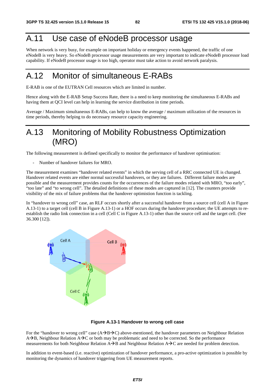#### A.11 Use case of eNodeB processor usage

When network is very busy, for example on important holiday or emergency events happened, the traffic of one eNodeB is very heavy. So eNodeB processor usage measurements are very important to indicate eNodeB processor load capability. If eNodeB processor usage is too high, operator must take action to avoid network paralysis.

#### A.12 Monitor of simultaneous E-RABs

E-RAB is one of the EUTRAN Cell resources which are limited in number.

Hence along with the E-RAB Setup Success Rate, there is a need to keep monitoring the simultaneous E-RABs and having them at QCI level can help in learning the service distribution in time periods.

Average / Maximum simultaneous E-RABs, can help to know the average / maximum utilization of the resources in time periods, thereby helping to do necessary resource capacity engineering.

#### A.13 Monitoring of Mobility Robustness Optimization (MRO)

The following measurement is defined specifically to monitor the performance of handover optimisation:

Number of handover failures for MRO.

The measurement examines "handover related events" in which the serving cell of a RRC connected UE is changed. Handover related events are either normal successful handovers, or they are failures. Different failure modes are possible and the measurement provides counts for the occurrences of the failure modes related with MRO, "too early", "too late" and "to wrong cell". The detailed definitions of these modes are captured in [12]. The counters provide visibility of the mix of failure problems that the handover optimistion function is tackling.

In "handover to wrong cell" case, an RLF occurs shortly after a successful handover from a source cell (cell A in Figure A.13-1) to a target cell (cell B in Figure A.13-1) or a HOF occurs during the handover procedure; the UE attempts to reestablish the radio link connection in a cell (Cell C in Figure A.13-1) other than the source cell and the target cell. (See 36.300 [12]).



#### **Figure A.13-1 Handover to wrong cell case**

For the "handover to wrong cell" case  $(A\rightarrow B\rightarrow C)$  above-mentioned, the handover parameters on Neighbour Relation  $A \rightarrow B$ , Neighbour Relation  $A \rightarrow C$  or both may be problematic and need to be corrected. So the performance measurements for both Neighbour Relation  $A \rightarrow B$  and Neighbour Relation  $A \rightarrow C$  are needed for problem detection.

In addition to event-based (i.e. reactive) optimization of handover performance, a pro-active optimization is possible by monitoring the dynamics of handover triggering from UE measurement reports.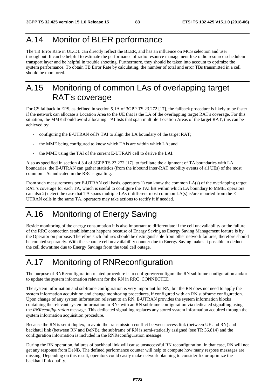## A.14 Monitor of BLER performance

The TB Error Rate in UL/DL can directly reflect the BLER, and has an influence on MCS selection and user throughput. It can be helpful to estimate the performance of radio resource management like radio resource schedulein transport layer and be helpful in trouble shooting. Furthermore, they should be taken into account to optimize the system performance. To obtain TB Error Rate by calculating, the number of total and error TBs transmitted in a cell should be monitored.

## A.15 Monitoring of common LAs of overlapping target RAT's coverage

For CS fallback in EPS, as defined in section 5.1A of 3GPP TS 23.272 [17], the fallback procedure is likely to be faster if the network can allocate a Location Area to the UE that is the LA of the overlapping target RAT's coverage. For this situation, the MME should avoid allocating TAI lists that span multiple Location Areas of the target RAT, this can be achieved by:

- configuring the E-UTRAN cell's TAI to align the LA boundary of the target RAT;
- the MME being configured to know which TAIs are within which LA; and
- the MME using the TAI of the current E-UTRAN cell to derive the LAI.

Also as specified in section 4.3.4 of 3GPP TS 23.272 [17], to facilitate the alignment of TA boundaries with LA boundaries, the E-UTRAN can gather statistics (from the inbound inter-RAT mobility events of all UEs) of the most common LAs indicated in the RRC signalling.

From such measurements per E-UTRAN cell basis, operators 1) can know the common LA(s) of the overlapping target RAT's coverage for each TA, which is useful to configure the TAI list within which LA boundary to MME, operators can also 2) detect the case that TA spans multiple LAs if different most common LA(s) is/are reported from the E-UTRAN cells in the same TA, operators may take actions to rectify it if needed.

## A.16 Monitoring of Energy Saving

Beside monitoring of the energy consumption it is also important to differentiate if the cell unavailability or the failure of the RRC connection establishment happens because of Energy Saving as Energy Saving Management feature is by the Operator on purpose. Therefore such failures should be distinguishable from other network failures, therefore should be counted separately. With the separate cell unavailability counter due to Energy Saving makes it possible to deduct the cell downtime due to Energy Savings from the total cell outage.

## A.17 Monitoring of RNReconfiguration

The purpose of RNReconfiguration related procedure is to configure/reconfigure the RN subframe configuration and/or to update the system information relevant for the RN in RRC\_CONNECTED.

The system information and subframe configuration is very important for RN, but the RN does not need to apply the system information acquisition and change monitoring procedures, if configured with an RN subframe configuration. Upon change of any system information relevant to an RN, E-UTRAN provides the system information blocks containing the relevant system information to RNs with an RN subframe configuration via dedicated signalling using the *RNReconfiguration* message. This dedicated signalling replaces any stored system information acquired through the system information acquisition procedure.

Because the RN is semi-duplex, to avoid the transmission conflict between access link (between UE and RN) and backhaul link (between RN and DeNB), the subframe of RN is semi-statically assigned (see TR 36.814) and the configuration information is included in the RNReconfiguration message.

During the RN operation, failures of backhaul link will cause unsuccessful RN reconfiguration. In that case, RN will not get any response from DeNB. The defined performance counter will help to compute how many respose messages are missing. Depending on this result, operators could easily make network planning to consider fix or optimize the backhaul link quality.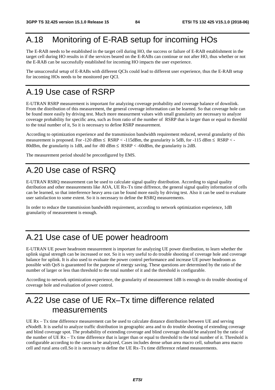#### A.18 Monitoring of E-RAB setup for incoming HOs

The E-RAB needs to be established in the target cell during HO, the success or failure of E-RAB establishment in the target cell during HO results in if the services beared on the E-RABs can continue or not after HO, thus whether or not the E-RAB can be successfully established for incoming HO impacts the user experience.

The unsuccessful setup of E-RABs with different QCIs could lead to different user experience, thus the E-RAB setup for incoming HOs needs to be monitored per QCI.

#### A.19 Use case of RSRP

E-UTRAN RSRP measurement is important for analyzing coverage probability and coverage balance of downlink. From the distribution of this measurement, the general coverage information can be learned. So that coverage hole can be found more easily by driving test. Much more measurment values with small granularity are necessary to analyze coverage probability for specific area, such as from ratio of the number of RSRP that is larger than or equal to threshld to the total number of it, So it is necessary to define RSRP measurement.

According to optimization experience and the transmission bandwidth requirement reduced, several granularity of this measurement is proposed. For -120 dBm  $\leq$  RSRP < -115dBm, the granularity is 5dB, for -115 dBm  $\leq$  RSRP < -80dBm, the granularity is 1dB, and for -80 dBm  $\leq$  RSRP < -60dBm, the granularity is 2dB.

The measurement period should be preconfigured by EMS.

#### A.20 Use case of RSRQ

E-UTRAN RSRQ measurement can be used to calculate signal quality distribution. According to signal quality dstribution and other measurements like AOA, UE Rx-Tx time diffrence, the general signal quality information of cells can be learned, so that interference heavy area can be found more easily by driving test. Also it can be used to evaluate user satisfaction to some extent. So it is necessary to define the RSRQ measurements.

In order to reduce the transmission bandwidth requirement, according to network optimization experience, 1dB granularity of measurement is enough.

## A.21 Use case of UE power headroom

E-UTRAN UE power headroom measurement is important for analyzing UE power distribution, to learn whether the uplink signal strength can be increased or not. So it is very useful to do trouble shooting of coverage hole and coverage balance for uplink. It is also used to evaluate the power control performance and increase UE power headroom as possible with QoS is guaranteed for the purpose of energy saving. These questions are determined by the ratio of the number of larger or less than threshold to the total number of it and the threshold is configurable.

According to network optimization experience, the granularity of measurement 1dB is enough to do trouble shooting of coverage hole and evaluation of power control.

#### A.22 Use case of UE Rx–Tx time difference related measurements

UE Rx – Tx time difference measurement can be used to calculate distance distribution between UE and serving eNodeB. It is useful to analyze traffic distribution in geographic area and to do trouble shooting of extending coverage and blind coverage spot. The probability of extending coverage and blind coverage should be analyzed by the ratio of the number of UE Rx – Tx time difference that is larger than or equal to threshold to the total number of it. Threshold is configurable according to the cases to be analyzed, Cases includes dense urban area macro cell, suburban area macro cell and rural area cell.So it is necessary to define the UE Rx–Tx time difference related measurements.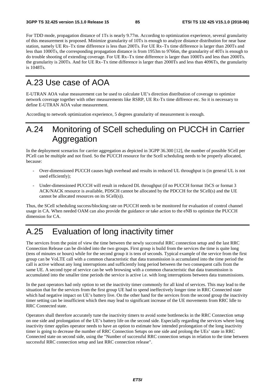For TDD mode, propagation distance of 1Ts is nearly 9.77m. According to optimization experience, several granularity of this measurement is proposed. Minimize granularity of 10Ts is enough to analyze distance distribution for near base station, namely UE Rx–Tx time difference is less than 200Ts. For UE Rx–Tx time difference is larger than 200Ts and less than 1000Ts, the corresponding propagation distance is from 1953m to 9766m, the granularity of 40Ts is enough to do trouble shooting of extending coverage. For UE Rx–Tx time difference is larger than 1000Ts and less than 2000Ts. the granularity is 200Ts. And for UE Rx–Tx time difference is larger than 2000Ts and less than 4096Ts, the granularity is 1048Ts.

#### A.23 Use case of AOA

E-UTRAN AOA value measurement can be used to calculate UE's direction distribution of coverage to optimize network coverage together with other measurements like RSRP, UE Rx-Tx time diffrence etc. So it is necessary to define E-UTRAN AOA value measurement.

According to network optimization experience, 5 degrees granularity of measurement is enough.

#### A.24 Monitoring of SCell scheduling on PUCCH in Carrier Aggregation

In the deployment scenarios for carrier aggregation as depicted in 3GPP 36.300 [12], the number of possible SCell per PCell can be multiple and not fixed. So the PUCCH resource for the Scell scheduling needs to be properly allocated, because:

- Over-dimensioned PUCCH causes high overhead and results in reduced UL throughput is (in general UL is not used efficiently);
- Under-dimensioned PUCCH will result in reduced DL throughput (if no PUCCH format 1bCS or format 3 ACK/NACK resource is available, PDSCH cannot be allocated by the PDCCH for the SCell(s) and the UE cannot be allocated resources on its SCell(s)).

Thus, the SCell scheduling success/blocking rate on PUCCH needs to be monitored for evaluation of control channel usage in CA. When needed OAM can also provide the guidance or take action to the eNB to optimize the PUCCH dimension for CA.

## A.25 Evaluation of long inactivity timer

The services from the point of view the time between the newly successful RRC connection setup and the last RRC Connection Release can be divided into the two groups. First group is build from the services the time is quite long (tens of minutes or hours) while for the second group it is tens of seconds. Typical example of the service from the first group can be VoLTE call with a common characteristic that data transmission is accumulated into the time period the call is active without any long interruptions and sufficiently long period between the two consequent calls from the same UE. A second type of service can be web browsing with a common characteristic that data transmission is accumulated into the smaller time periods the service is active i.e. with long interruptions between data transmissions.

In the past operators had only option to set the inactivity timer commonly for all kind of services. This may lead to the situation that for the services from the first group UE had to spend ineffectively longer time in RRC Connected state which had negative impact on UE's battery live. On the other hand for the services from the second group the inactivity timer setting can be insufficient which then may lead to significant increase of the UE movements from RRC Idle to RRC Connected state.

Operators shall therefore accurately tune the inactivity timers to avoid some bottlenecks in the RRC Connection setup on one side and prolongation of the UE's battery life on the second side. Especially regarding the services where long inactivity timer applies operator needs to have an option to estimate how intended prolongation of the long inactivity timer is going to decrease the number of RRC Connection Setups on one side and prolong the UEs' state in RRC Connected state on second side, using the "Number of successful RRC connection setups in relation to the time between successful RRC connection setup and last RRC connection release".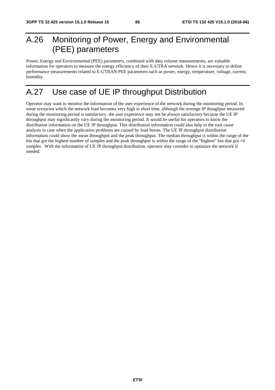### A.26 Monitoring of Power, Energy and Environmental (PEE) parameters

Power, Energy and Environmental (PEE) parameters, combined with data volume measurements, are valuable information for operators to measure the energy efficiency of their E-UTRA network. Hence it is necessary to define performance measurements related to E-UTRAN PEE parameters such as power, energy, temperature, voltage, current, humidity.

## A.27 Use case of UE IP throughput Distribution

Operator may want to monitor the information of the user experience of the network during the monitoring period. In some scenarios which the network load becomes very high in short time, although the average IP thoughput measured during the monitoring period is satisfactory. the user experience may not be always satisfactory because the UE IP throughput may significantly vary during the monitoring period. It would be useful for operators to know the distribution information on the UE IP throughput. This distribution information could also help in the root cause analysis in case when the application problems are caused by load bursts. The UE IP throughput distribution information could show the mean throughput and the peak throughput. The median throughput is within the range of the bin that got the highest number of samples and the peak throughput is within the range of the "highest" bin that got >0 samples. With the information of UE IP throughput distribution, operator may consider to optimize the network if needed.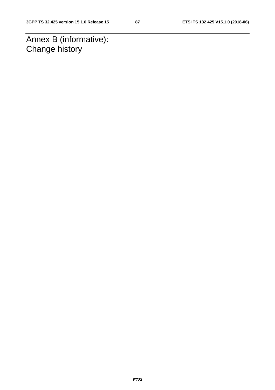Annex B (informative): Change history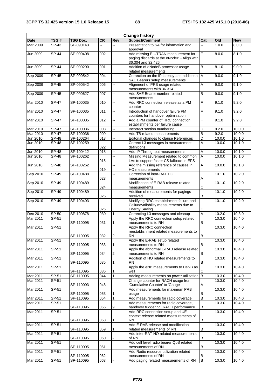|          | <b>Change history</b> |           |            |     |                                                                                                                    |                               |        |            |
|----------|-----------------------|-----------|------------|-----|--------------------------------------------------------------------------------------------------------------------|-------------------------------|--------|------------|
| Date     | TSG #                 | TSG Doc.  | СR         | Rev | Subject/Comment                                                                                                    | Cat                           | Old    | <b>New</b> |
| Mar 2009 | SP-43                 | SP-090143 | ш,         | L.  | Presentation to SA for information and                                                                             | цц.                           | 1.0.0  | 8.0.0      |
| Jun 2009 | SP-44                 | SP-090408 | 002        | Щ,  | approval<br>Add missing E-UTRAN measurement for<br>paging discards at the eNodeB - Align with<br>36.304 and 32.426 | F                             | 8.0.0  | 8.1.0      |
| Jun 2009 | SP-44                 | SP-090290 | 001        | цü. | Addition of eNodeB processor usage<br>B<br>related measurements                                                    |                               | 8.1.0  | 9.0.0      |
| Sep 2009 | $SP-45$               | SP-090542 | 004        | Ш.  | Correction on the IP latency and additional A<br>SAE Bearers setup measurements                                    |                               | 9.0.0  | 9.1.0      |
| Sep 2009 | <b>SP-45</b>          | SP-090542 | 006        | Ш.  | Alignment of PRB usage related<br>Α<br>measurements with 36.314                                                    |                               | 9.0.0  | 9.1.0      |
| Sep 2009 | <b>SP-45</b>          | SP-090627 | 007        | Щ.  | Add SAE Bearer number related<br>measurements                                                                      | B                             | 9.0.0  | 9.1.0      |
| Mar 2010 | <b>SP-47</b>          | SP-100035 | 010        | L.  | Add RRC connection release as a PM<br>counter                                                                      | F                             | 9.1.0  | 9.2.0      |
| Mar 2010 | SP-47                 | SP-100035 | 011        | ц,  | Introduction of handover failure PM<br>counters for handover optimisation                                          | F                             | 9.1.0  | 9.2.0      |
| Mar 2010 | <b>SP-47</b>          | SP-100035 | 012        | ц.  | Add a PM counter of RRC connection<br>establishments per failure cause                                             | F                             | 9.1.0  | 9.2.0      |
| Mar 2010 | $SP-47$               | SP-100036 | 008        | --  | Incorrect section numbering                                                                                        | D                             | 9.2.0  | 10.0.0     |
| Mar 2010 | <b>SP-47</b>          | SP-100036 | 009        | --  | Add TB related measurements                                                                                        | $\overline{B}$                | 9.2.0  | 10.0.0     |
| Jun 2010 | <b>SP-48</b>          | SP-100264 | 013        | Щ,  | Editorial changes to clause References                                                                             | $\overline{D}$                | 10.0.0 | 10.1.0     |
| Jun 2010 | <b>SP-48</b>          | SP-100259 |            | ц.  | Correct L3 messages in measurement                                                                                 | A                             | 10.0.0 | 10.1.0     |
|          |                       |           | 022        |     | definitions                                                                                                        |                               |        |            |
| Jun 2010 | <b>SP-48</b>          | SP-100412 | 018        | Щ.  | Add IP Throughput measurements                                                                                     | $\overline{A}$                | 10.0.0 | 10.1.0     |
| Jun 2010 | $SP-48$               | SP-100262 |            |     | Missing Measurement related to common                                                                              | Α                             | 10.0.0 | 10.1.0     |
|          |                       |           | 015        |     | LAs to support faster CS fallback in EPS                                                                           |                               |        |            |
| Jun 2010 | $SP-48$               | SP-100262 | 019        | ц,  | Add the missing reference of causes in<br><b>HO</b> measurements                                                   | Α                             | 10.0.0 | 10.1.0     |
| Sep 2010 | $SP-49$               | SP-100488 | 023        | ÷.  | Correction of intra-RAT HO<br>measurements                                                                         | Α                             | 10.1.0 | 10.2.0     |
| Sep 2010 | SP-49                 | SP-100489 | 024        |     | Modification of E-RAB release related<br>C<br>measurements                                                         |                               | 10.1.0 | 10.2.0     |
| Sep 2010 | $SP-49$               | SP-100489 | 025        |     | Addition of measurements for pagings<br>received<br>В                                                              |                               | 10.1.0 | 10.2.0     |
| Sep 2010 | SP-49                 | SP-100493 |            | ц,  | Modifying RRC establishment failure and<br>Cellunavailability measurements due to                                  |                               | 10.1.0 | 10.2.0     |
| Dec 2010 | SP-50                 | SP-100878 | 026<br>030 | 1   | <b>Energy Saving</b>                                                                                               | $\mathsf C$<br>$\overline{A}$ | 10.2.0 | 10.3.0     |
| Mar 2011 | $SP-51$               |           |            |     | Correcting L3 messages and cleanup<br>Apply the RRC connection setup related                                       |                               | 10.3.0 | 10.4.0     |
| Mar 2011 | SP-51                 | SP-110095 | 031        | 1   | measurements to RN<br>Apply the RRC connection                                                                     | B                             | 10.3.0 | 10.4.0     |
|          |                       | SP-110095 | 032        | 2   | reestablishment related measurements to<br><b>RN</b><br>B                                                          |                               |        |            |
| Mar 2011 | $SP-51$               | SP-110095 | 033        | 1   | Apply the E-RAB setup related<br>$\, {\bf B}$<br>measurements to RN                                                |                               | 10.3.0 | 10.4.0     |
| Mar 2011 | SP-51                 |           |            |     | Apply the abnormal E-RAB release related                                                                           |                               | 10.3.0 | 10.4.0     |
|          |                       | SP-110095 | 034        | 2   | measurements to RN<br>В                                                                                            |                               |        |            |
| Mar 2011 | SP-51                 | SP-110095 | 035        | 1   | Addition of HO related measurements to<br><b>RN</b>                                                                | В                             | 10.3.0 | 10.4.0     |
| Mar 2011 | SP-51                 | SP-110095 | 036        |     | Apply the eNB measurements to DeNB as<br>well                                                                      | С                             | 10.3.0 | 10.4.0     |
| Mar 2011 | SP-51                 | SP-110095 | 044        | 1   | Adding measurements on power utilization B                                                                         |                               | 10.3.0 | 10.4.0     |
| Mar 2011 | SP-51                 | SP-110093 | 048        |     | Change counter for RACH usage from<br>'Cumulative Counter' to 'Gauge'<br>Α                                         |                               | 10.3.0 | 10.4.0     |
| Mar 2011 | SP-51                 | SP-110095 | 053        |     | Add measurements for maximum PRB<br>usage                                                                          | В                             | 10.3.0 | 10.4.0     |
| Mar 2011 | SP-51                 | SP-110095 | 054        | 1   | Add measurements for radio coverage                                                                                | B                             | 10.3.0 | 10.4.0     |
| Mar 2011 | $S P-51$              | SP-110095 | 055        | 9   | Add measurements for radio coverage,<br>handover triggering, RACH performance                                      | B                             | 10.3.0 | 10.4.0     |
| Mar 2011 | SP-51                 |           |            |     | Add RRC connection setup and UE<br>context release related measurements of                                         |                               | 10.3.0 | 10.4.0     |
| Mar 2011 | SP-51                 | SP-110095 | 058        | 1   | RN<br>Add E-RAB release and modification                                                                           | В                             | 10.3.0 | 10.4.0     |
| Mar 2011 | SP-51                 | SP-110095 | 059        | 1   | related measurements of RN<br>Add inter-RAT HO related measurements                                                | В                             | 10.3.0 | 10.4.0     |
|          |                       | SP-110095 | 060        |     | of RN                                                                                                              | В                             |        |            |
| Mar 2011 | SP-51                 | SP-110095 | 061        |     | Add cell level radio bearer QoS related<br>measurements of RN                                                      | В                             | 10.3.0 | 10.4.0     |
| Mar 2011 | SP-51                 | SP-110095 | 062        |     | Add Radio resource utilization related<br>measurements of RN                                                       | В                             | 10.3.0 | 10.4.0     |
| Mar 2011 | SP-51                 | SP-110095 | 063        |     | Add paging related measurements of RN                                                                              | B                             | 10.3.0 | 10.4.0     |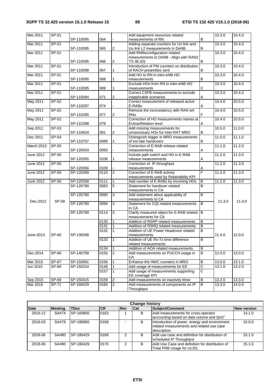| Mar 2011         | SP-51   | SP-110095 | 064  |                                                                                                | Add equipment resources related<br>measurements of RN                                             | В                     | 10.3.0 | 10.4.0 |
|------------------|---------|-----------|------|------------------------------------------------------------------------------------------------|---------------------------------------------------------------------------------------------------|-----------------------|--------|--------|
| Mar 2011         | SP-51   | SP-110095 | 065  | Adding separate counters for Un link and<br>$\overline{2}$<br>Uu link L2 measurements in DeNB. |                                                                                                   | B                     | 10.3.0 | 10.4.0 |
| Mar 2011         | SP-51   |           |      |                                                                                                | Add RNReconfiguration related                                                                     |                       | 10.3.0 | 10.4.0 |
|                  |         | SP-110095 | 066  | 2                                                                                              | measurements to DeNB - Align with RAN2<br>TS 36.331                                               | В                     |        |        |
| Mar 2011         | SP-51   | SP-110098 | 067  | 1                                                                                              | Introduction of PM counters on distribution<br>of RACH preambles sent                             | B                     | 10.3.0 | 10.4.0 |
| Mar 2011         | SP-51   | SP-110095 | 068  | Add HO to RN in intro-eNB HO<br>1<br>measurements                                              |                                                                                                   | B                     | 10.3.0 | 10.4.0 |
| Mar 2011         | $SP-51$ | SP-110095 | 069  |                                                                                                | Exclude HOs from RN in inter-eNB HO<br>measurements                                               | C                     | 10.3.0 | 10.4.0 |
| Mar 2011         | SP-51   | SP-110094 | 071  | 2                                                                                              | Correct CSFB measurements to exclude<br>inapplicable scenarios                                    | Α                     | 10.3.0 | 10.4.0 |
| <b>May 2011</b>  | SP-52   | SP-110287 | 074  |                                                                                                | Correct measurement of released active<br>E-RABs                                                  | Α                     | 10.4.0 | 10.5.0 |
| May 2011         | SP-52   | SP-110285 | 077  | 2                                                                                              | Remove the inconsistency with RAN wrt<br><b>RNs</b>                                               | F                     | 10.4.0 | 10.5.0 |
| <b>May 2011</b>  | SP-52   | SP-110288 | 079  |                                                                                                | Correction of HO measurements names at<br><b>EUtranRelation level</b>                             | Α                     | 10.4.0 | 10.5.0 |
| Sep 2011         | SP-53   | SP-110634 | 081  | 2                                                                                              | Add missing measurements for<br>unnecessary HOs for Inter-RAT MRO                                 | B                     | 10.5.0 | 11.0.0 |
| Dec 2011         | SP-54   | SP-110707 | 0089 | 1                                                                                              | Distinguish trigger in MRO measurements<br>of too late handovers                                  | В                     | 11.0.0 | 11.1.0 |
| March 2012       | $SP-55$ | SP-120043 | 0093 |                                                                                                | Correction of E-RAB release related<br>measurements                                               | Α                     | 11.1.0 | 11.2.0 |
| June 2012        | SP-56   | SP-120355 | 0106 | 1                                                                                              | Include path switch and HO in E-RAB<br>release measurements                                       |                       | 11.2.0 | 11.3.0 |
| <b>June 2012</b> | $SP-56$ | SP-120356 | 0109 |                                                                                                | Α<br>Correction of IP throughput<br>measurements<br>Α                                             |                       | 11.2.0 | 11.3.0 |
| <b>June 2012</b> | $SP-56$ | SP-120358 | 0110 | $\overline{2}$                                                                                 | $\overline{\mathsf{F}}$<br>Correction of E-RAB activity<br>measurements used by Retainability KPI |                       | 11.2.0 | 11.3.0 |
| June 2012        | SP-56   | SP-120358 | 0111 | 1                                                                                              | Add number of E-RABs by incoming HOs                                                              | B                     | 11.2.0 | 11.3.0 |
|                  |         | SP-120790 | 0083 | $\overline{5}$                                                                                 | Statement for handover related<br>measurements in CA                                              | B                     |        |        |
|                  |         | SP-120790 | 0090 | 3                                                                                              | Add statement about applicablity of<br>measurements to CA                                         | $\overline{B}$        |        |        |
| Dec-2012         | SP-58   | SP-120790 | 0094 | $\overline{3}$                                                                                 | Statement for CQI related measurements<br>in CA                                                   | в                     | 11.3.0 | 11.4.0 |
|                  |         | SP-120790 | 0114 | 3                                                                                              | Clarify measured object for E-RAB related<br>measurements for CA                                  | ĪВ                    |        |        |
|                  |         |           | 0130 |                                                                                                | Addition of RSRP related measurements                                                             | $\overline{B}$        |        |        |
|                  |         |           | 0131 | $\mathbf{1}$                                                                                   | Addition of RSRQ related measurements                                                             | B                     |        |        |
| June-2013        | SP-60   | SP-130268 | 0132 | $\mathbf{1}$                                                                                   | Addition of UE Power Headroom related<br>measurements                                             | $\overline{B}$        | 11.4.0 | 12.0.0 |
|                  |         |           | 0133 | 1                                                                                              | Addition of UE Rx-Tx time difference<br>related measurements                                      | $\overline{B}$        |        |        |
|                  |         |           | 0134 | $\mathbf{1}$                                                                                   | Addition of AOA related measurements                                                              | В                     |        |        |
| Dec-2014         | SP-66   | SP-140799 | 0155 | $\overline{2}$                                                                                 | Add measurements on PUCCH usage in<br>СA                                                          | $\overline{B}$        | 12.0.0 | 13.0.0 |
| Mar 2015         | SP-67   | SP-150061 | 0156 | 1                                                                                              | Enhance the HWC counters in MRO                                                                   | B                     | 13.0.0 | 13.1.0 |
| Jun 2015         | SP-68   | SP-150314 | 0148 | 1                                                                                              | Add usage of measurements for EE                                                                  | $\overline{C}$        | 13.1.0 | 13.2.0 |
|                  |         |           | 0157 | $\mathbf{1}$                                                                                   | Add usage of measurements supporting<br>EE coverage KPI                                           | $\overline{\text{c}}$ |        |        |
| Sep 2015         | SP-69   | SP-150415 | 0159 | $\overline{2}$                                                                                 | Add measurements on inactivity timer                                                              | В                     | 13.2.0 | 13.3.0 |
| Mar 2016         | SP-71   | SP-160029 | 0160 | $\overline{2}$                                                                                 | Add measurements of components on IP<br>Throughput                                                | B                     | 13.3.0 | 14.0.0 |

| <b>Change history</b> |                |             |           |            |            |                                                                                                            |                    |
|-----------------------|----------------|-------------|-----------|------------|------------|------------------------------------------------------------------------------------------------------------|--------------------|
| <b>Date</b>           | <b>Meeting</b> | <b>TDoc</b> | <b>CR</b> | <b>Rev</b> | <b>Cat</b> | Subject/Comment                                                                                            | <b>New version</b> |
| 2016-12               | SA#74          | SP-160856   | 0163      |            | В          | Add measurements for cross-operator<br>accounting based on data volume and QoS"                            | 14.1.0             |
| 2018-03               | SA#79          | SP-180060   | 0168      |            | В          | Introduction of power, energy and environment<br>related measurements and related use case<br>description. | 15.0.0             |
| 2018-06               | SA#80          | SP-180429   | 0169      |            | B          | Add use case and definition for distribution of<br>scheduled IP Throughput                                 | 15.1.0             |
| 2018-06               | SA#80          | SP-180429   | 0170      | ົ          | B          | Add Use Case and definition for distribution of<br>Total PRB Usage for UL/DL                               | 15.1.0             |